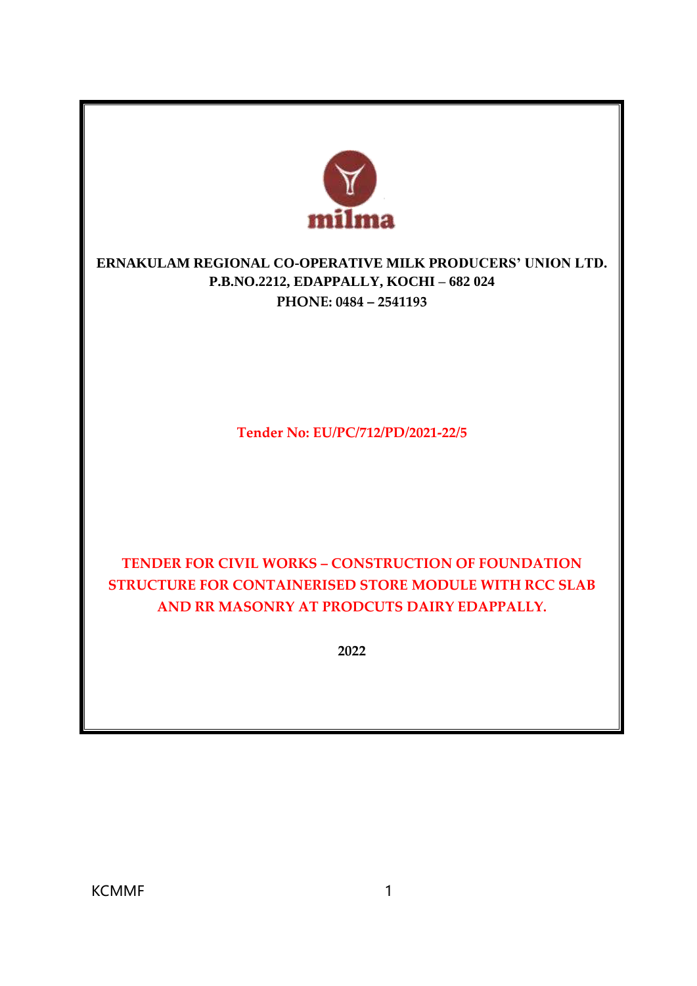

# **ERNAKULAM REGIONAL CO-OPERATIVE MILK PRODUCERS' UNION LTD. P.B.NO.2212, EDAPPALLY, KOCHI – 682 024 PHONE: 0484 – 2541193**

**Tender No: EU/PC/712/PD/2021-22/5**

# **TENDER FOR CIVIL WORKS – CONSTRUCTION OF FOUNDATION STRUCTURE FOR CONTAINERISED STORE MODULE WITH RCC SLAB AND RR MASONRY AT PRODCUTS DAIRY EDAPPALLY.**

**2022**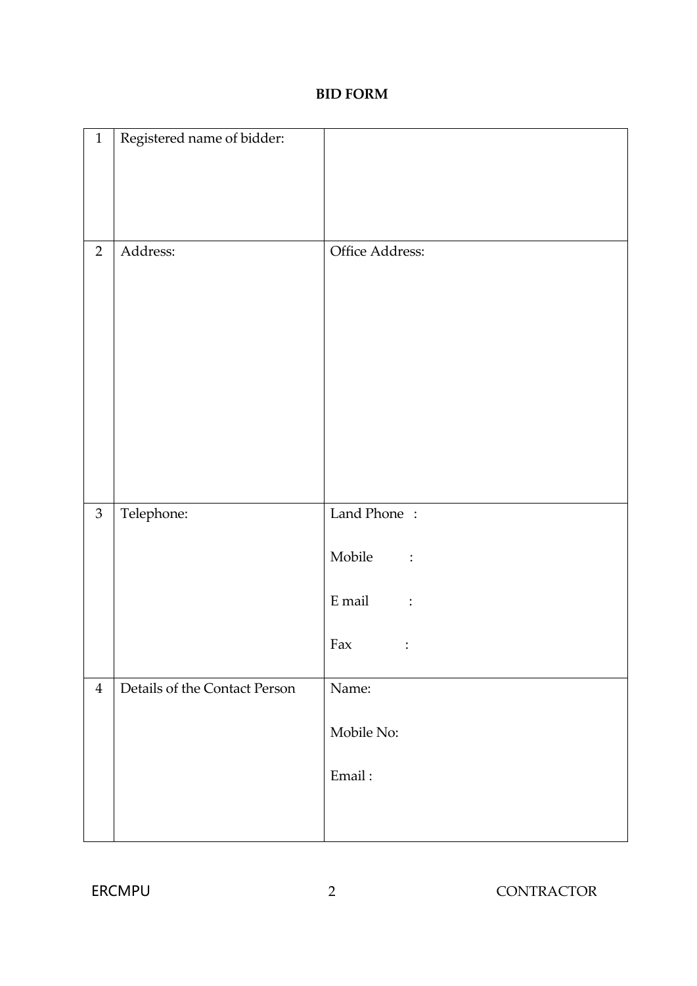#### **BID FORM**

| $\mathbf{1}$   | Registered name of bidder:    |                          |
|----------------|-------------------------------|--------------------------|
|                |                               |                          |
|                |                               |                          |
| $\overline{2}$ | Address:                      | Office Address:          |
| $\mathfrak{Z}$ | Telephone:                    | Land Phone:              |
|                |                               | Mobile<br>$\ddot{\cdot}$ |
|                |                               | E mail<br>$\ddot{\cdot}$ |
|                |                               | Fax<br>$\ddot{\cdot}$    |
| $\overline{4}$ | Details of the Contact Person | Name:                    |
|                |                               | Mobile No:               |
|                |                               | Email:                   |
|                |                               |                          |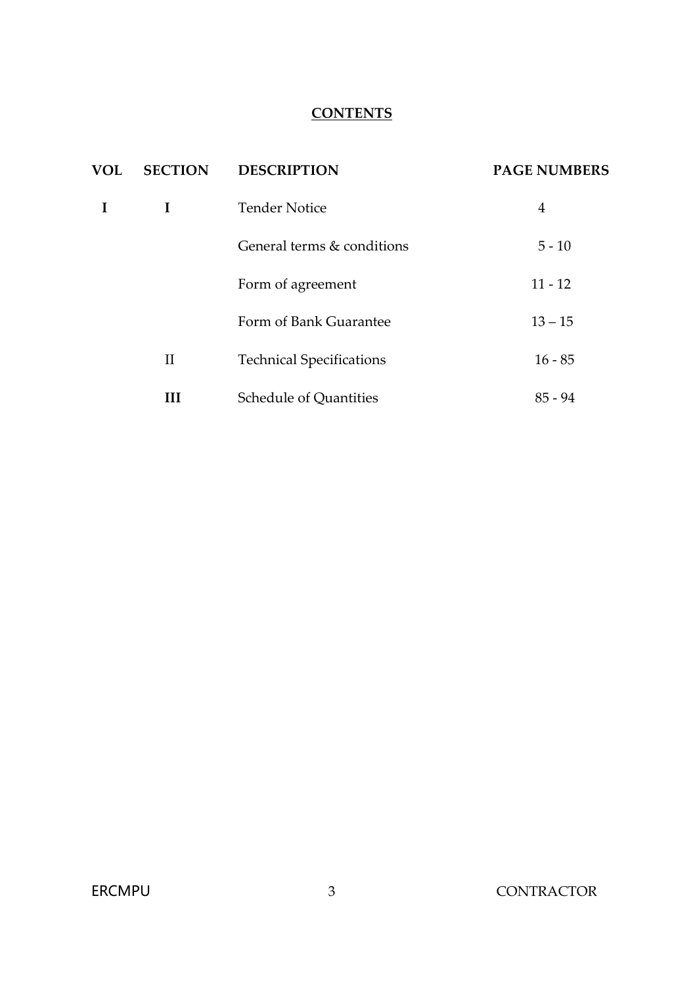### **CONTENTS**

| <b>VOL</b> | <b>SECTION</b> | <b>DESCRIPTION</b>              | <b>PAGE NUMBERS</b> |
|------------|----------------|---------------------------------|---------------------|
|            | L              | <b>Tender Notice</b>            | $\overline{4}$      |
|            |                | General terms & conditions      | $5 - 10$            |
|            |                | Form of agreement               | $11 - 12$           |
|            |                | Form of Bank Guarantee          | $13 - 15$           |
|            | $\rm II$       | <b>Technical Specifications</b> | $16 - 85$           |
|            | Ш              | <b>Schedule of Quantities</b>   | $85 - 94$           |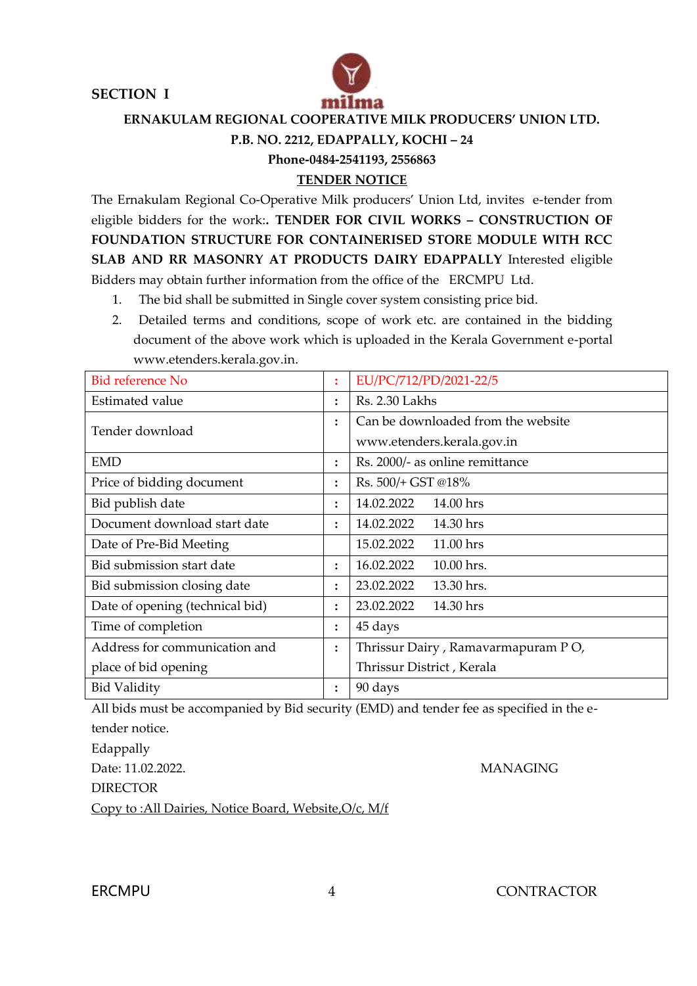**SECTION I** 



 **ERNAKULAM REGIONAL COOPERATIVE MILK PRODUCERS' UNION LTD.**

#### **P.B. NO. 2212, EDAPPALLY, KOCHI – 24**

**Phone-0484-2541193, 2556863**

#### **TENDER NOTICE**

The Ernakulam Regional Co-Operative Milk producers' Union Ltd, invites e-tender from eligible bidders for the work:**. TENDER FOR CIVIL WORKS – CONSTRUCTION OF FOUNDATION STRUCTURE FOR CONTAINERISED STORE MODULE WITH RCC SLAB AND RR MASONRY AT PRODUCTS DAIRY EDAPPALLY** Interested eligible Bidders may obtain further information from the office of the ERCMPU Ltd.

- 1. The bid shall be submitted in Single cover system consisting price bid.
- 2. Detailed terms and conditions, scope of work etc. are contained in the bidding document of the above work which is uploaded in the Kerala Government e-portal [www.etenders.kerala.gov.in.](http://www.etenders.kerala.gov.in/)

| <b>Bid reference No</b>         |                | EU/PC/712/PD/2021-22/5             |
|---------------------------------|----------------|------------------------------------|
| Estimated value                 | $\ddot{\cdot}$ | Rs. 2.30 Lakhs                     |
| Tender download                 | $\ddot{\cdot}$ | Can be downloaded from the website |
|                                 |                | www.etenders.kerala.gov.in         |
| <b>EMD</b>                      | $\ddot{\cdot}$ | Rs. 2000/- as online remittance    |
| Price of bidding document       | $\ddot{\cdot}$ | Rs. 500/+ GST @18%                 |
| Bid publish date                | $\ddot{\cdot}$ | 14.02.2022<br>14.00 hrs            |
| Document download start date    | $\ddot{\cdot}$ | 14.02.2022<br>14.30 hrs            |
| Date of Pre-Bid Meeting         |                | 11.00 hrs<br>15.02.2022            |
| Bid submission start date       | $\ddot{\cdot}$ | 16.02.2022<br>10.00 hrs.           |
| Bid submission closing date     | $\ddot{\cdot}$ | 13.30 hrs.<br>23.02.2022           |
| Date of opening (technical bid) | $\ddot{\cdot}$ | 23.02.2022<br>14.30 hrs            |
| Time of completion              | $\ddot{\cdot}$ | 45 days                            |
| Address for communication and   | $\ddot{\cdot}$ | Thrissur Dairy, Ramavarmapuram PO, |
| place of bid opening            |                | Thrissur District, Kerala          |
| <b>Bid Validity</b>             | $\ddot{\cdot}$ | 90 days                            |

All bids must be accompanied by Bid security (EMD) and tender fee as specified in the etender notice. Edappally Date: 11.02.2022. MANAGING

DIRECTOR

Copy to :All Dairies, Notice Board, Website,O/c, M/f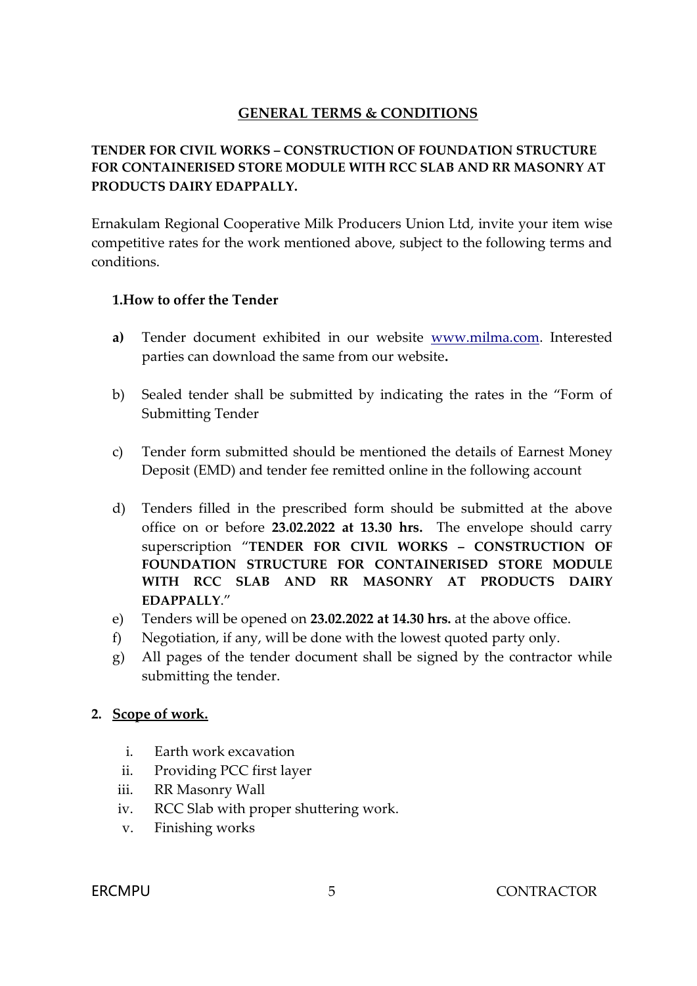### **GENERAL TERMS & CONDITIONS**

### **TENDER FOR CIVIL WORKS – CONSTRUCTION OF FOUNDATION STRUCTURE FOR CONTAINERISED STORE MODULE WITH RCC SLAB AND RR MASONRY AT PRODUCTS DAIRY EDAPPALLY.**

Ernakulam Regional Cooperative Milk Producers Union Ltd, invite your item wise competitive rates for the work mentioned above, subject to the following terms and conditions.

#### **1.How to offer the Tender**

- **a)** Tender document exhibited in our website [www.milma.com.](http://www.milma.com/) Interested parties can download the same from our website**.**
- b) Sealed tender shall be submitted by indicating the rates in the "Form of Submitting Tender
- c) Tender form submitted should be mentioned the details of Earnest Money Deposit (EMD) and tender fee remitted online in the following account
- d) Tenders filled in the prescribed form should be submitted at the above office on or before **23.02.2022 at 13.30 hrs.** The envelope should carry superscription "**TENDER FOR CIVIL WORKS – CONSTRUCTION OF FOUNDATION STRUCTURE FOR CONTAINERISED STORE MODULE WITH RCC SLAB AND RR MASONRY AT PRODUCTS DAIRY EDAPPALLY**."
- e) Tenders will be opened on **23.02.2022 at 14.30 hrs.** at the above office.
- f) Negotiation, if any, will be done with the lowest quoted party only.
- g) All pages of the tender document shall be signed by the contractor while submitting the tender.

#### **2. Scope of work.**

- i. Earth work excavation
- ii. Providing PCC first layer
- iii. RR Masonry Wall
- iv. RCC Slab with proper shuttering work.
- v. Finishing works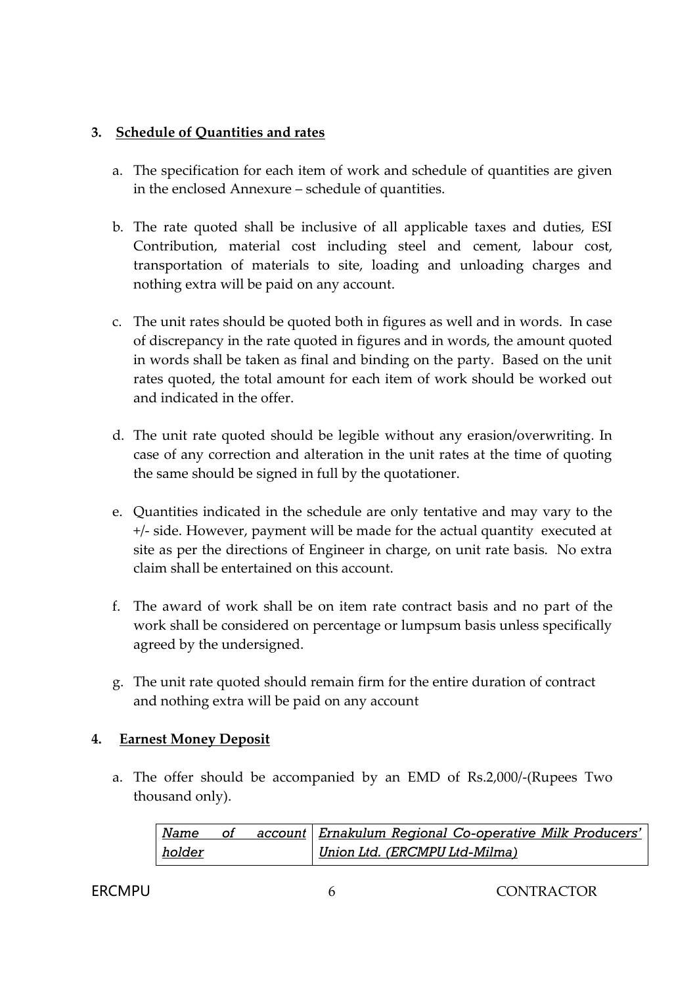### **3. Schedule of Quantities and rates**

- a. The specification for each item of work and schedule of quantities are given in the enclosed Annexure – schedule of quantities.
- b. The rate quoted shall be inclusive of all applicable taxes and duties, ESI Contribution, material cost including steel and cement, labour cost, transportation of materials to site, loading and unloading charges and nothing extra will be paid on any account.
- c. The unit rates should be quoted both in figures as well and in words. In case of discrepancy in the rate quoted in figures and in words, the amount quoted in words shall be taken as final and binding on the party. Based on the unit rates quoted, the total amount for each item of work should be worked out and indicated in the offer.
- d. The unit rate quoted should be legible without any erasion/overwriting. In case of any correction and alteration in the unit rates at the time of quoting the same should be signed in full by the quotationer.
- e. Quantities indicated in the schedule are only tentative and may vary to the +/- side. However, payment will be made for the actual quantity executed at site as per the directions of Engineer in charge, on unit rate basis. No extra claim shall be entertained on this account.
- f. The award of work shall be on item rate contract basis and no part of the work shall be considered on percentage or lumpsum basis unless specifically agreed by the undersigned.
- g. The unit rate quoted should remain firm for the entire duration of contract and nothing extra will be paid on any account

#### **4. Earnest Money Deposit**

a. The offer should be accompanied by an EMD of Rs.2,000/-(Rupees Two thousand only).

| Name          | 0f | account   Ernakulum Regional Co-operative Milk Producers' |
|---------------|----|-----------------------------------------------------------|
| <u>holder</u> |    | Union Ltd. (ERCMPU Ltd-Milma)                             |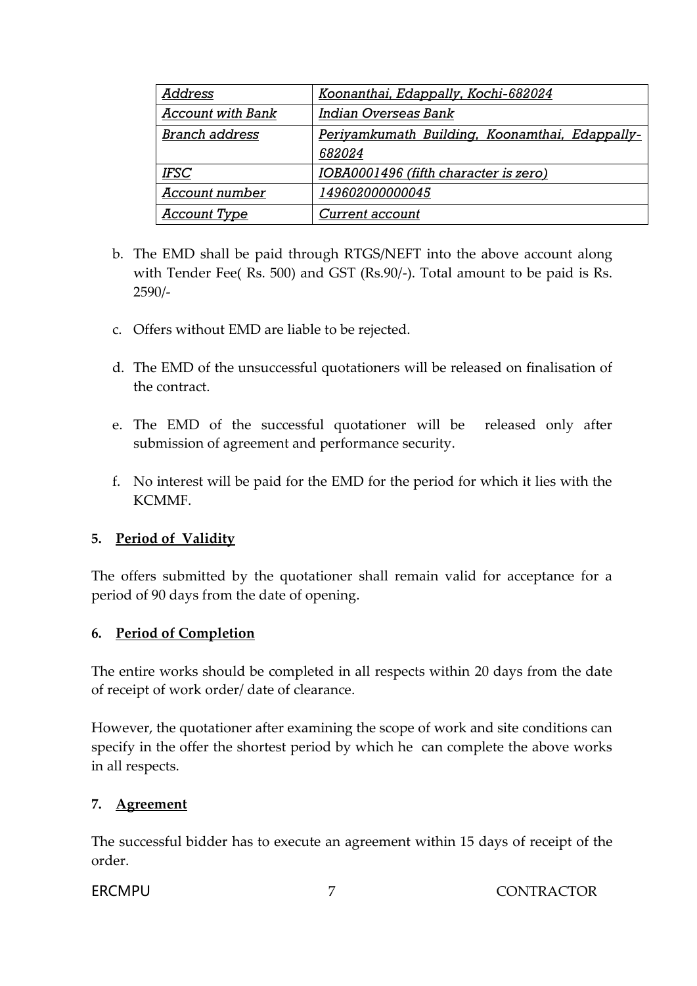| <b>Address</b>           | Koonanthai, Edappally, Kochi-682024            |
|--------------------------|------------------------------------------------|
| <b>Account with Bank</b> | Indian Overseas Bank                           |
| <b>Branch address</b>    | Periyamkumath Building, Koonamthai, Edappally- |
|                          | 682024                                         |
| <b>IFSC</b>              | IOBA0001496 (fifth character is zero)          |
| Account number           | 149602000000045                                |
| <b>Account Type</b>      | Current account                                |

- b. The EMD shall be paid through RTGS/NEFT into the above account along with Tender Fee( Rs. 500) and GST (Rs.90/-). Total amount to be paid is Rs. 2590/-
- c. Offers without EMD are liable to be rejected.
- d. The EMD of the unsuccessful quotationers will be released on finalisation of the contract.
- e. The EMD of the successful quotationer will be released only after submission of agreement and performance security.
- f. No interest will be paid for the EMD for the period for which it lies with the KCMMF.

#### **5. Period of Validity**

The offers submitted by the quotationer shall remain valid for acceptance for a period of 90 days from the date of opening.

#### **6. Period of Completion**

The entire works should be completed in all respects within 20 days from the date of receipt of work order/ date of clearance.

However, the quotationer after examining the scope of work and site conditions can specify in the offer the shortest period by which he can complete the above works in all respects.

### **7. Agreement**

The successful bidder has to execute an agreement within 15 days of receipt of the order.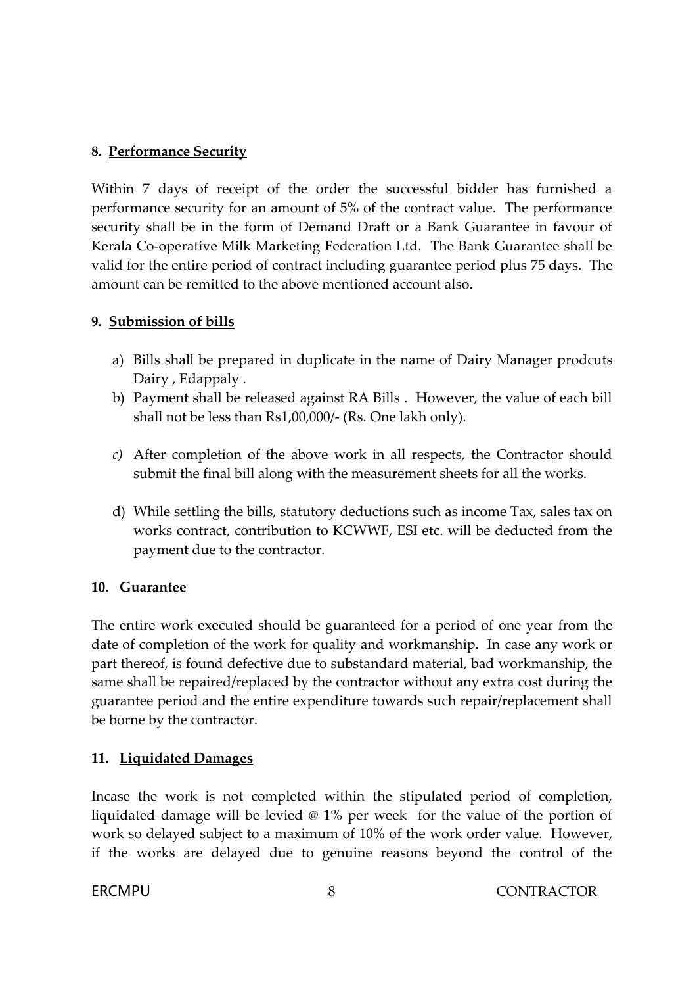### **8. Performance Security**

Within 7 days of receipt of the order the successful bidder has furnished a performance security for an amount of 5% of the contract value. The performance security shall be in the form of Demand Draft or a Bank Guarantee in favour of Kerala Co-operative Milk Marketing Federation Ltd. The Bank Guarantee shall be valid for the entire period of contract including guarantee period plus 75 days. The amount can be remitted to the above mentioned account also.

#### **9. Submission of bills**

- a) Bills shall be prepared in duplicate in the name of Dairy Manager prodcuts Dairy , Edappaly .
- b) Payment shall be released against RA Bills . However, the value of each bill shall not be less than Rs1,00,000/- (Rs. One lakh only).
- *c)* After completion of the above work in all respects, the Contractor should submit the final bill along with the measurement sheets for all the works.
- d) While settling the bills, statutory deductions such as income Tax, sales tax on works contract, contribution to KCWWF, ESI etc. will be deducted from the payment due to the contractor.

#### **10. Guarantee**

The entire work executed should be guaranteed for a period of one year from the date of completion of the work for quality and workmanship. In case any work or part thereof, is found defective due to substandard material, bad workmanship, the same shall be repaired/replaced by the contractor without any extra cost during the guarantee period and the entire expenditure towards such repair/replacement shall be borne by the contractor.

#### **11. Liquidated Damages**

Incase the work is not completed within the stipulated period of completion, liquidated damage will be levied @ 1% per week for the value of the portion of work so delayed subject to a maximum of 10% of the work order value. However, if the works are delayed due to genuine reasons beyond the control of the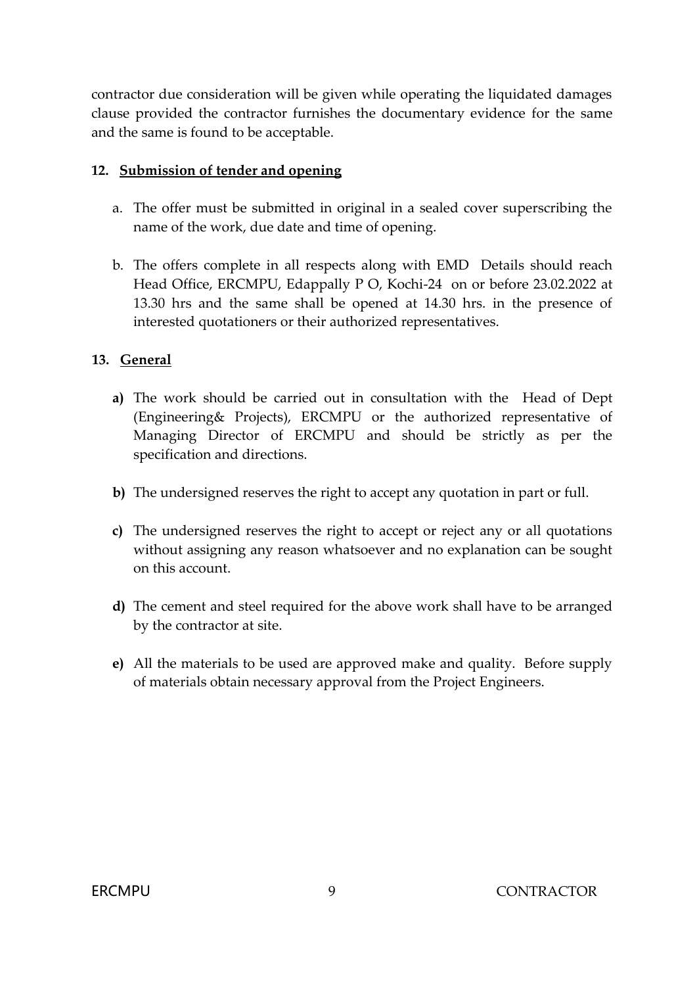contractor due consideration will be given while operating the liquidated damages clause provided the contractor furnishes the documentary evidence for the same and the same is found to be acceptable.

#### **12. Submission of tender and opening**

- a. The offer must be submitted in original in a sealed cover superscribing the name of the work, due date and time of opening.
- b. The offers complete in all respects along with EMD Details should reach Head Office, ERCMPU, Edappally P O, Kochi-24 on or before 23.02.2022 at 13.30 hrs and the same shall be opened at 14.30 hrs. in the presence of interested quotationers or their authorized representatives.

#### **13. General**

- **a)** The work should be carried out in consultation with the Head of Dept (Engineering& Projects), ERCMPU or the authorized representative of Managing Director of ERCMPU and should be strictly as per the specification and directions.
- **b)** The undersigned reserves the right to accept any quotation in part or full.
- **c)** The undersigned reserves the right to accept or reject any or all quotations without assigning any reason whatsoever and no explanation can be sought on this account.
- **d)** The cement and steel required for the above work shall have to be arranged by the contractor at site.
- **e)** All the materials to be used are approved make and quality. Before supply of materials obtain necessary approval from the Project Engineers.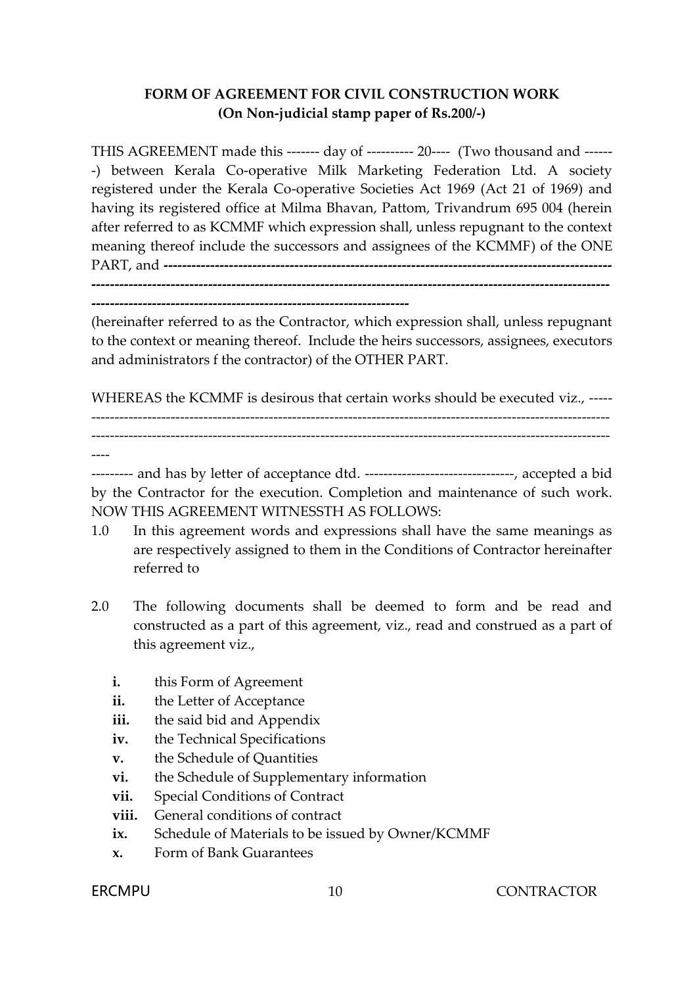### **FORM OF AGREEMENT FOR CIVIL CONSTRUCTION WORK (On Non-judicial stamp paper of Rs.200/-)**

THIS AGREEMENT made this ------- day of ---------- 20---- (Two thousand and ------ -) between Kerala Co-operative Milk Marketing Federation Ltd. A society registered under the Kerala Co-operative Societies Act 1969 (Act 21 of 1969) and having its registered office at Milma Bhavan, Pattom, Trivandrum 695 004 (herein after referred to as KCMMF which expression shall, unless repugnant to the context meaning thereof include the successors and assignees of the KCMMF) of the ONE PART, and **------------------------------------------------------------------------------------------------ ---------------------------------------------------------------------------------------------------------------**

**--------------------------------------------------------------------**

(hereinafter referred to as the Contractor, which expression shall, unless repugnant to the context or meaning thereof. Include the heirs successors, assignees, executors and administrators f the contractor) of the OTHER PART.

WHEREAS the KCMMF is desirous that certain works should be executed viz., -------------------------------------------------------------------------------------------------------------------- ---------------------------------------------------------------------------------------------------------------

----

--------- and has by letter of acceptance dtd. --------------------------------, accepted a bid by the Contractor for the execution. Completion and maintenance of such work. NOW THIS AGREEMENT WITNESSTH AS FOLLOWS:

- 1.0 In this agreement words and expressions shall have the same meanings as are respectively assigned to them in the Conditions of Contractor hereinafter referred to
- 2.0 The following documents shall be deemed to form and be read and constructed as a part of this agreement, viz., read and construed as a part of this agreement viz.,
	- **i.** this Form of Agreement
	- **ii.** the Letter of Acceptance
	- iii. the said bid and Appendix
	- **iv.** the Technical Specifications
	- **v.** the Schedule of Quantities
	- **vi.** the Schedule of Supplementary information
	- **vii.** Special Conditions of Contract
	- **viii.** General conditions of contract
	- ix. Schedule of Materials to be issued by Owner/KCMMF
	- **x.** Form of Bank Guarantees

#### ERCMPU 10 CONTRACTOR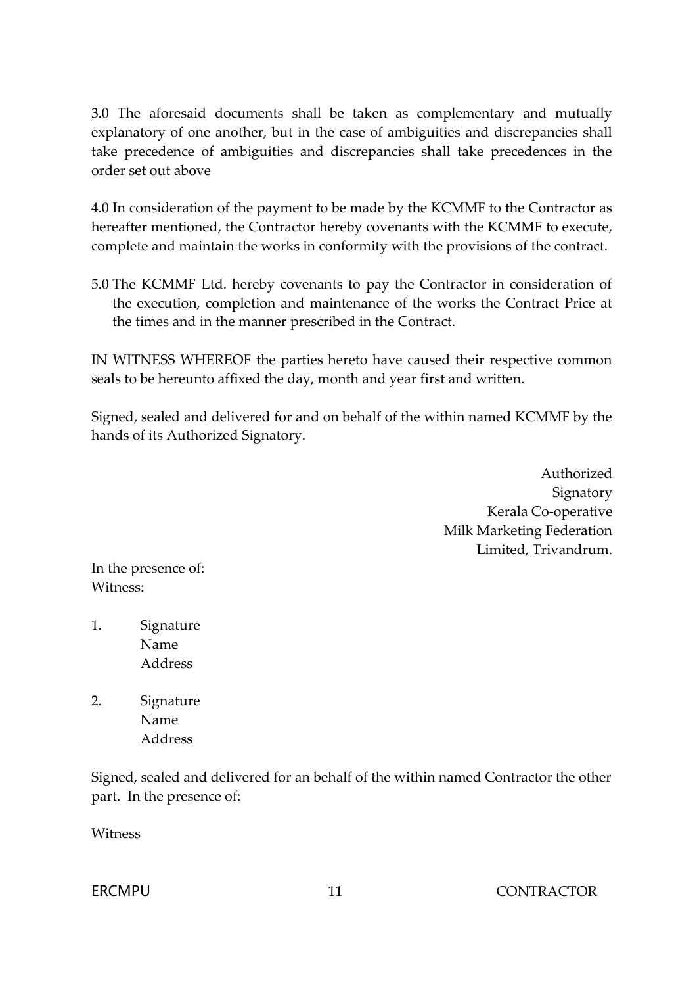3.0 The aforesaid documents shall be taken as complementary and mutually explanatory of one another, but in the case of ambiguities and discrepancies shall take precedence of ambiguities and discrepancies shall take precedences in the order set out above

4.0 In consideration of the payment to be made by the KCMMF to the Contractor as hereafter mentioned, the Contractor hereby covenants with the KCMMF to execute, complete and maintain the works in conformity with the provisions of the contract.

5.0 The KCMMF Ltd. hereby covenants to pay the Contractor in consideration of the execution, completion and maintenance of the works the Contract Price at the times and in the manner prescribed in the Contract.

IN WITNESS WHEREOF the parties hereto have caused their respective common seals to be hereunto affixed the day, month and year first and written.

Signed, sealed and delivered for and on behalf of the within named KCMMF by the hands of its Authorized Signatory.

> Authorized Signatory Kerala Co-operative Milk Marketing Federation Limited, Trivandrum.

In the presence of: Witness:

- 1. Signature Name Address
- 2. Signature Name Address

Signed, sealed and delivered for an behalf of the within named Contractor the other part. In the presence of:

Witness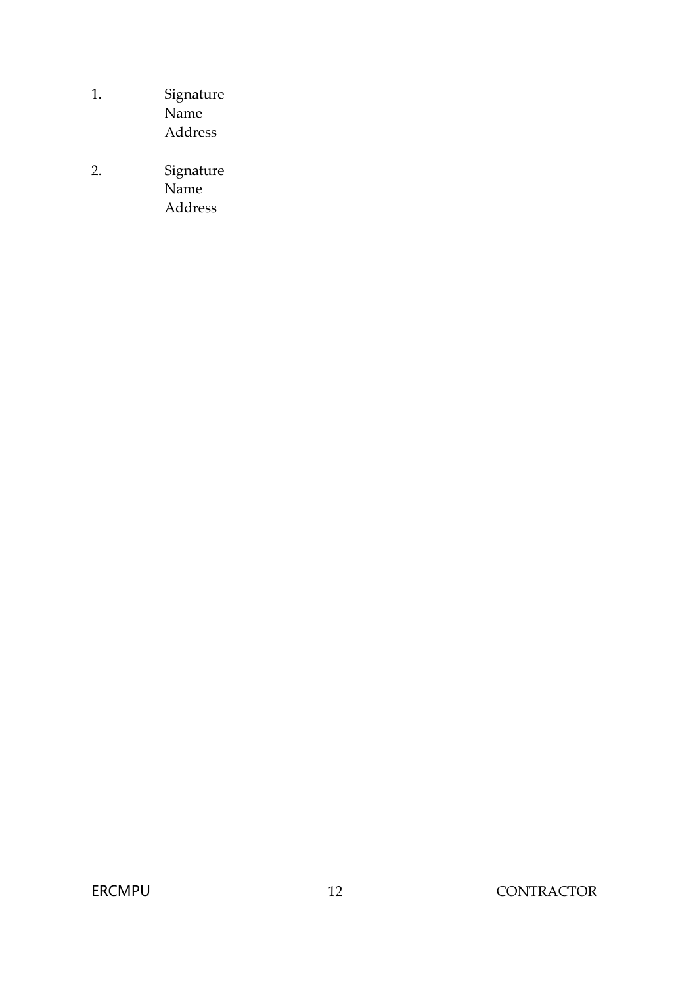- 1. Signature Name Address
- 2. Signature Name Address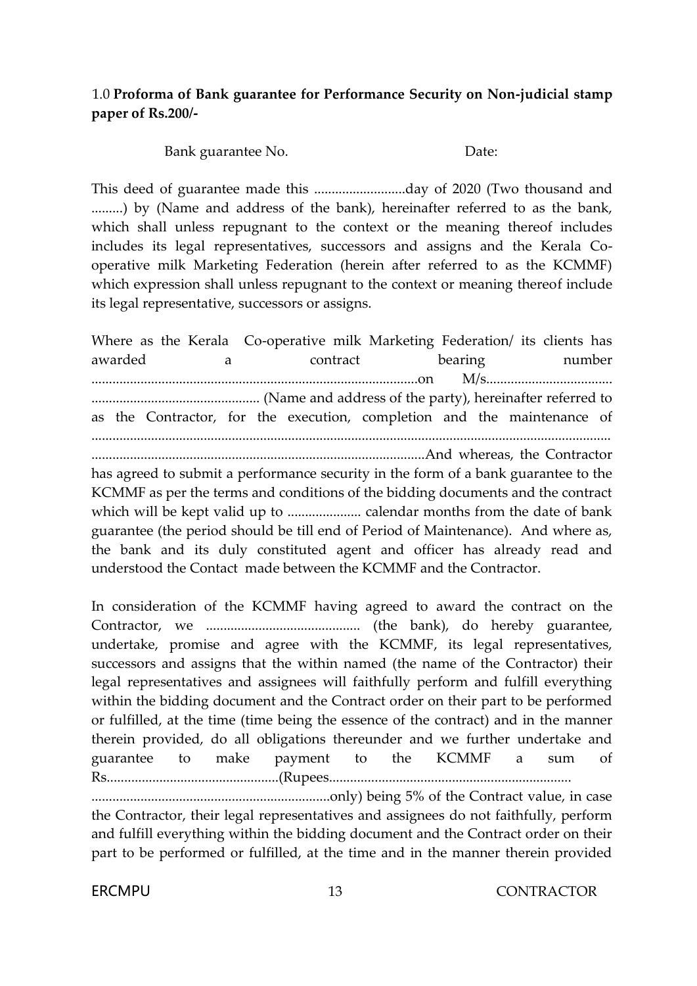#### 1.0 **Proforma of Bank guarantee for Performance Security on Non-judicial stamp paper of Rs.200/-**

Bank guarantee No. Date:

This deed of guarantee made this ..........................day of 2020 (Two thousand and .........) by (Name and address of the bank), hereinafter referred to as the bank, which shall unless repugnant to the context or the meaning thereof includes includes its legal representatives, successors and assigns and the Kerala Cooperative milk Marketing Federation (herein after referred to as the KCMMF) which expression shall unless repugnant to the context or meaning thereof include its legal representative, successors or assigns.

Where as the Kerala Co-operative milk Marketing Federation/ its clients has awarded a contract bearing number .............................................................................................on M/s.................................... ................................................ (Name and address of the party), hereinafter referred to as the Contractor, for the execution, completion and the maintenance of .................................................................................................................................................... ...............................................................................................And whereas, the Contractor

has agreed to submit a performance security in the form of a bank guarantee to the KCMMF as per the terms and conditions of the bidding documents and the contract which will be kept valid up to ..................... calendar months from the date of bank guarantee (the period should be till end of Period of Maintenance). And where as, the bank and its duly constituted agent and officer has already read and understood the Contact made between the KCMMF and the Contractor.

In consideration of the KCMMF having agreed to award the contract on the Contractor, we ............................................ (the bank), do hereby guarantee, undertake, promise and agree with the KCMMF, its legal representatives, successors and assigns that the within named (the name of the Contractor) their legal representatives and assignees will faithfully perform and fulfill everything within the bidding document and the Contract order on their part to be performed or fulfilled, at the time (time being the essence of the contract) and in the manner therein provided, do all obligations thereunder and we further undertake and guarantee to make payment to the KCMMF a sum of Rs.................................................(Rupees.....................................................................

....................................................................only) being 5% of the Contract value, in case the Contractor, their legal representatives and assignees do not faithfully, perform and fulfill everything within the bidding document and the Contract order on their part to be performed or fulfilled, at the time and in the manner therein provided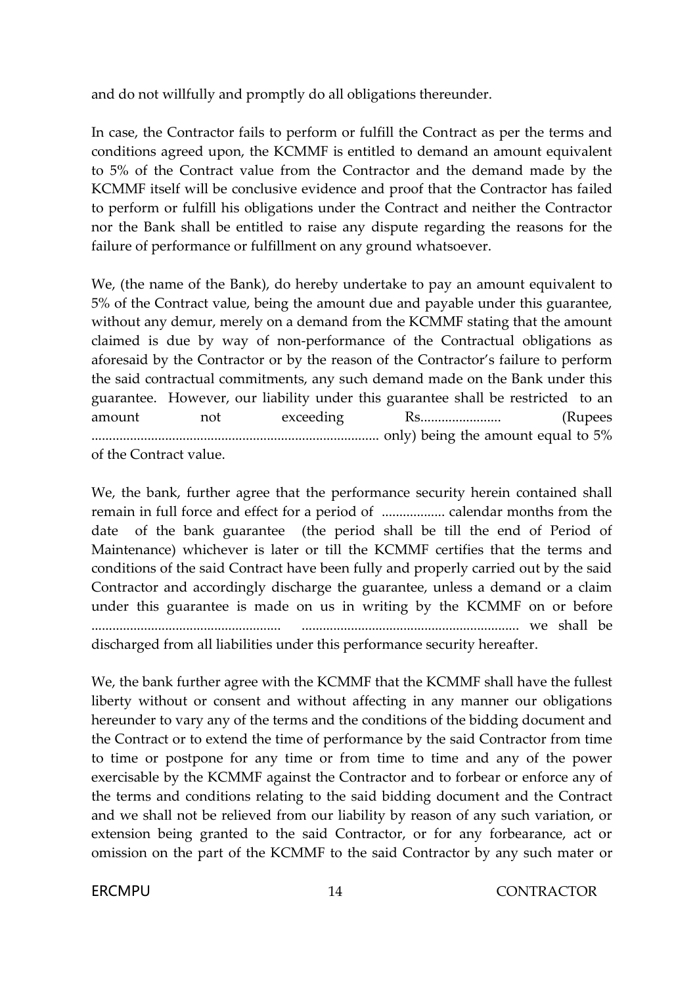and do not willfully and promptly do all obligations thereunder.

In case, the Contractor fails to perform or fulfill the Contract as per the terms and conditions agreed upon, the KCMMF is entitled to demand an amount equivalent to 5% of the Contract value from the Contractor and the demand made by the KCMMF itself will be conclusive evidence and proof that the Contractor has failed to perform or fulfill his obligations under the Contract and neither the Contractor nor the Bank shall be entitled to raise any dispute regarding the reasons for the failure of performance or fulfillment on any ground whatsoever.

We, (the name of the Bank), do hereby undertake to pay an amount equivalent to 5% of the Contract value, being the amount due and payable under this guarantee, without any demur, merely on a demand from the KCMMF stating that the amount claimed is due by way of non-performance of the Contractual obligations as aforesaid by the Contractor or by the reason of the Contractor's failure to perform the said contractual commitments, any such demand made on the Bank under this guarantee. However, our liability under this guarantee shall be restricted to an amount not exceeding Rs....................... (Rupees .................................................................................. only) being the amount equal to 5% of the Contract value.

We, the bank, further agree that the performance security herein contained shall remain in full force and effect for a period of .................. calendar months from the date of the bank guarantee (the period shall be till the end of Period of Maintenance) whichever is later or till the KCMMF certifies that the terms and conditions of the said Contract have been fully and properly carried out by the said Contractor and accordingly discharge the guarantee, unless a demand or a claim under this guarantee is made on us in writing by the KCMMF on or before ...................................................... .............................................................. we shall be discharged from all liabilities under this performance security hereafter.

We, the bank further agree with the KCMMF that the KCMMF shall have the fullest liberty without or consent and without affecting in any manner our obligations hereunder to vary any of the terms and the conditions of the bidding document and the Contract or to extend the time of performance by the said Contractor from time to time or postpone for any time or from time to time and any of the power exercisable by the KCMMF against the Contractor and to forbear or enforce any of the terms and conditions relating to the said bidding document and the Contract and we shall not be relieved from our liability by reason of any such variation, or extension being granted to the said Contractor, or for any forbearance, act or omission on the part of the KCMMF to the said Contractor by any such mater or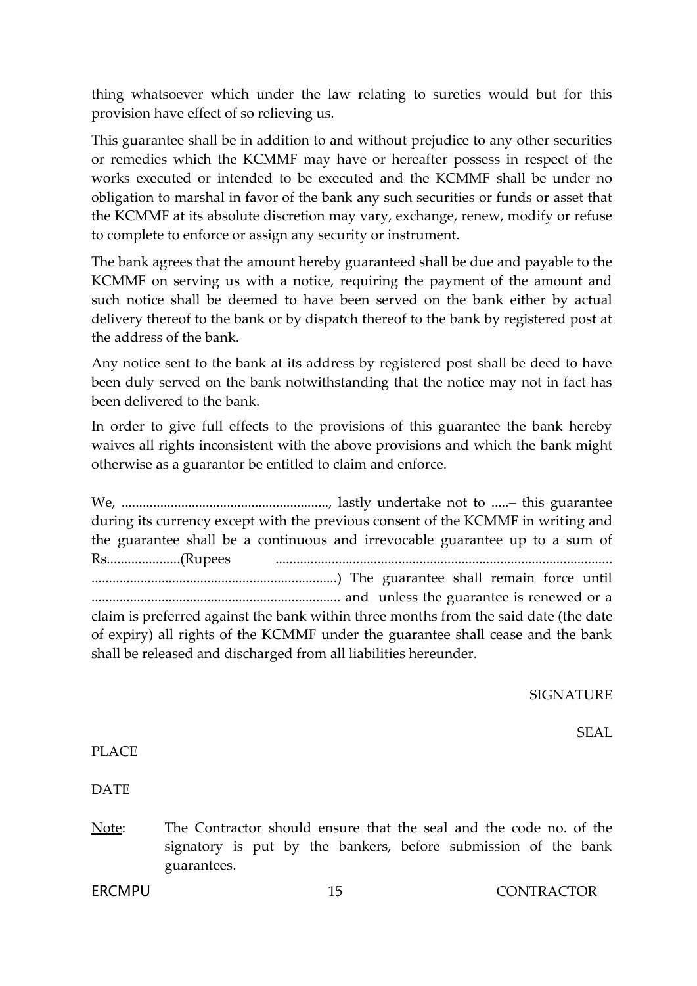thing whatsoever which under the law relating to sureties would but for this provision have effect of so relieving us.

This guarantee shall be in addition to and without prejudice to any other securities or remedies which the KCMMF may have or hereafter possess in respect of the works executed or intended to be executed and the KCMMF shall be under no obligation to marshal in favor of the bank any such securities or funds or asset that the KCMMF at its absolute discretion may vary, exchange, renew, modify or refuse to complete to enforce or assign any security or instrument.

The bank agrees that the amount hereby guaranteed shall be due and payable to the KCMMF on serving us with a notice, requiring the payment of the amount and such notice shall be deemed to have been served on the bank either by actual delivery thereof to the bank or by dispatch thereof to the bank by registered post at the address of the bank.

Any notice sent to the bank at its address by registered post shall be deed to have been duly served on the bank notwithstanding that the notice may not in fact has been delivered to the bank.

In order to give full effects to the provisions of this guarantee the bank hereby waives all rights inconsistent with the above provisions and which the bank might otherwise as a guarantor be entitled to claim and enforce.

We, ..........................................................., lastly undertake not to .....– this guarantee during its currency except with the previous consent of the KCMMF in writing and the guarantee shall be a continuous and irrevocable guarantee up to a sum of Rs.....................(Rupees ................................................................................................ ......................................................................) The guarantee shall remain force until ....................................................................... and unless the guarantee is renewed or a claim is preferred against the bank within three months from the said date (the date of expiry) all rights of the KCMMF under the guarantee shall cease and the bank shall be released and discharged from all liabilities hereunder.

SIGNATURE

SEAL

PLACE

**DATE** 

Note: The Contractor should ensure that the seal and the code no. of the signatory is put by the bankers, before submission of the bank guarantees.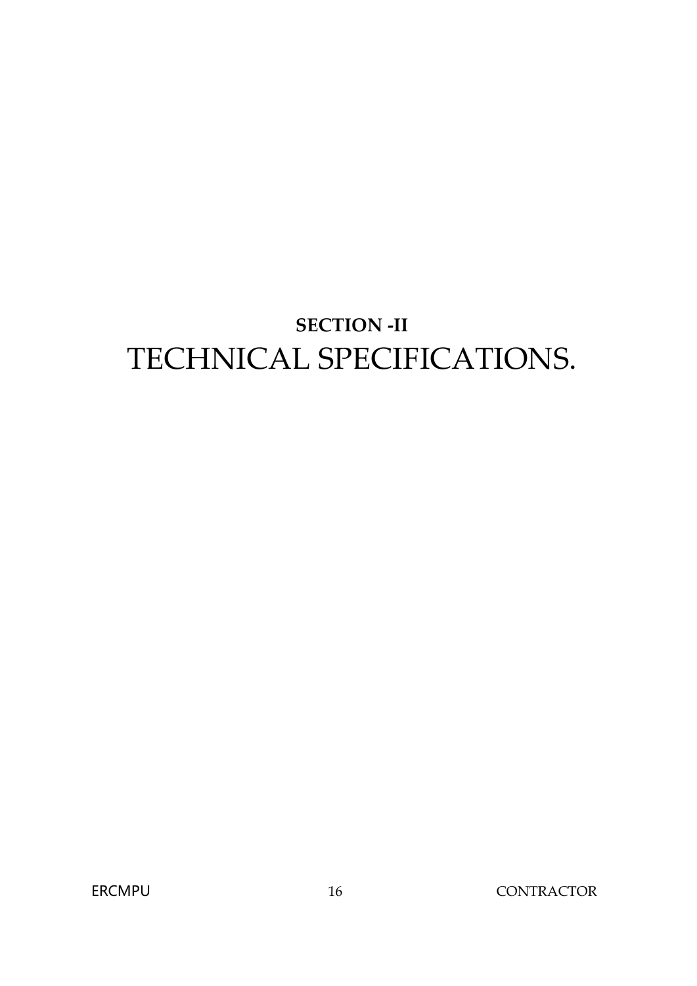# **SECTION -II** TECHNICAL SPECIFICATIONS.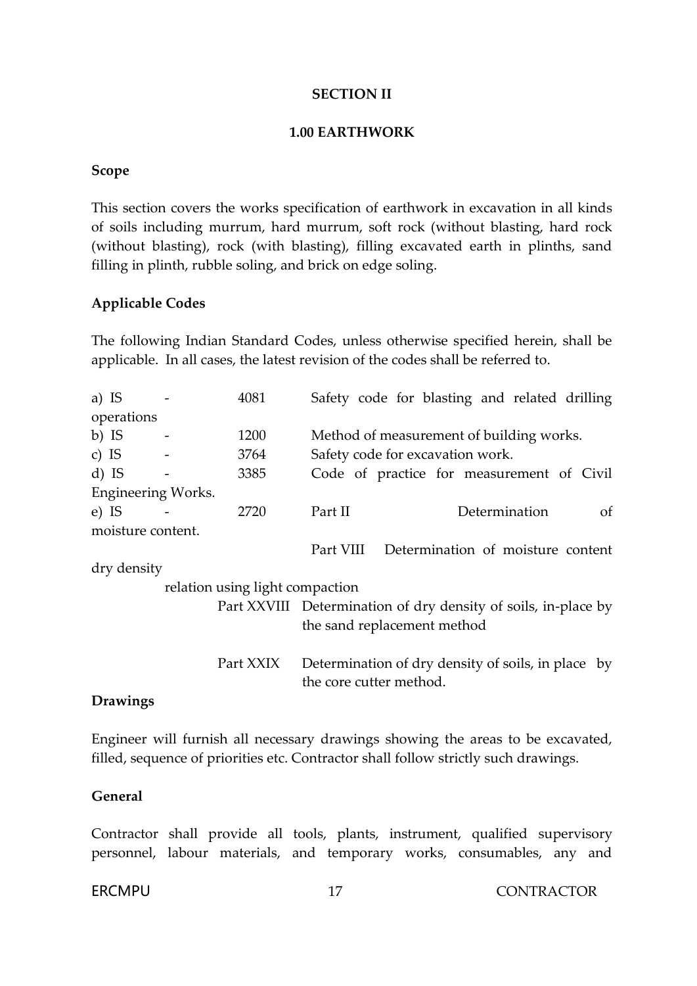#### **SECTION II**

#### **1.00 EARTHWORK**

#### **Scope**

This section covers the works specification of earthwork in excavation in all kinds of soils including murrum, hard murrum, soft rock (without blasting, hard rock (without blasting), rock (with blasting), filling excavated earth in plinths, sand filling in plinth, rubble soling, and brick on edge soling.

#### **Applicable Codes**

The following Indian Standard Codes, unless otherwise specified herein, shall be applicable. In all cases, the latest revision of the codes shall be referred to.

| a) IS      |                          | 4081                            |                         |                                  | Safety code for blasting and related drilling                  |               |
|------------|--------------------------|---------------------------------|-------------------------|----------------------------------|----------------------------------------------------------------|---------------|
| operations |                          |                                 |                         |                                  |                                                                |               |
| b) IS      |                          | 1200                            |                         |                                  | Method of measurement of building works.                       |               |
| c) IS      | $\overline{\phantom{a}}$ | 3764                            |                         | Safety code for excavation work. |                                                                |               |
| $d)$ IS    |                          | 3385                            |                         |                                  | Code of practice for measurement of Civil                      |               |
|            | Engineering Works.       |                                 |                         |                                  |                                                                |               |
| $e$ ) IS   |                          | 2720                            | Part II                 |                                  | Determination                                                  | <sub>Of</sub> |
|            | moisture content.        |                                 |                         |                                  |                                                                |               |
|            |                          |                                 | Part VIII               |                                  | Determination of moisture content                              |               |
|            | dry density              |                                 |                         |                                  |                                                                |               |
|            |                          | relation using light compaction |                         |                                  |                                                                |               |
|            |                          |                                 |                         |                                  | Part XXVIII Determination of dry density of soils, in-place by |               |
|            |                          |                                 |                         | the sand replacement method      |                                                                |               |
|            |                          |                                 |                         |                                  |                                                                |               |
|            |                          | Part XXIX                       |                         |                                  | Determination of dry density of soils, in place by             |               |
|            |                          |                                 | the core cutter method. |                                  |                                                                |               |
|            |                          |                                 |                         |                                  |                                                                |               |

#### **Drawings**

Engineer will furnish all necessary drawings showing the areas to be excavated, filled, sequence of priorities etc. Contractor shall follow strictly such drawings.

#### **General**

Contractor shall provide all tools, plants, instrument, qualified supervisory personnel, labour materials, and temporary works, consumables, any and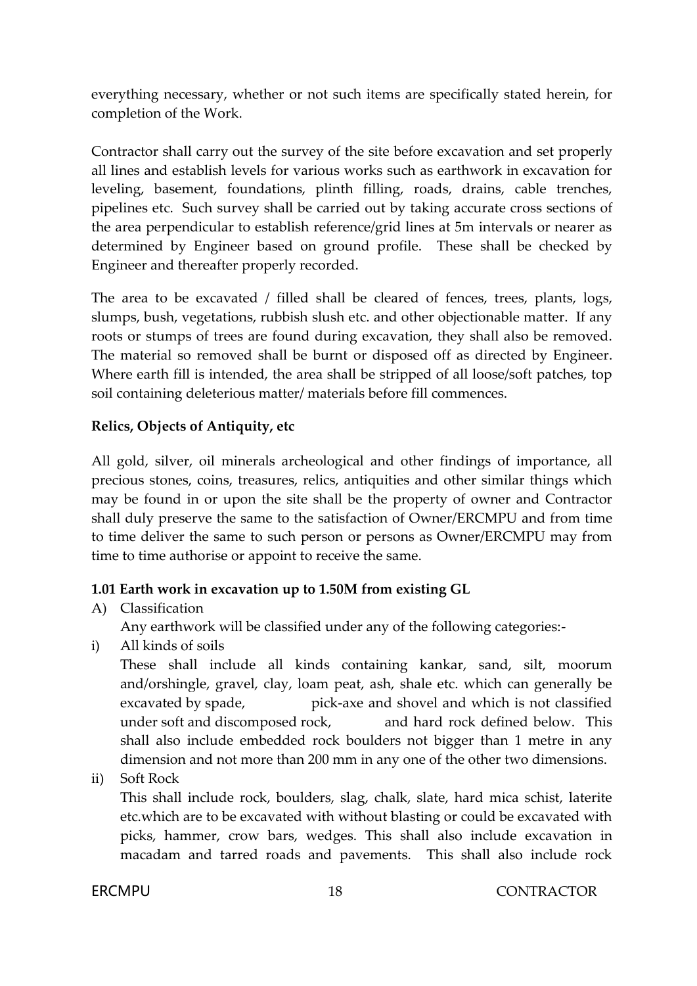everything necessary, whether or not such items are specifically stated herein, for completion of the Work.

Contractor shall carry out the survey of the site before excavation and set properly all lines and establish levels for various works such as earthwork in excavation for leveling, basement, foundations, plinth filling, roads, drains, cable trenches, pipelines etc. Such survey shall be carried out by taking accurate cross sections of the area perpendicular to establish reference/grid lines at 5m intervals or nearer as determined by Engineer based on ground profile. These shall be checked by Engineer and thereafter properly recorded.

The area to be excavated / filled shall be cleared of fences, trees, plants, logs, slumps, bush, vegetations, rubbish slush etc. and other objectionable matter. If any roots or stumps of trees are found during excavation, they shall also be removed. The material so removed shall be burnt or disposed off as directed by Engineer. Where earth fill is intended, the area shall be stripped of all loose/soft patches, top soil containing deleterious matter/ materials before fill commences.

#### **Relics, Objects of Antiquity, etc**

All gold, silver, oil minerals archeological and other findings of importance, all precious stones, coins, treasures, relics, antiquities and other similar things which may be found in or upon the site shall be the property of owner and Contractor shall duly preserve the same to the satisfaction of Owner/ERCMPU and from time to time deliver the same to such person or persons as Owner/ERCMPU may from time to time authorise or appoint to receive the same.

#### **1.01 Earth work in excavation up to 1.50M from existing GL**

A) Classification

Any earthwork will be classified under any of the following categories:-

i) All kinds of soils

These shall include all kinds containing kankar, sand, silt, moorum and/orshingle, gravel, clay, loam peat, ash, shale etc. which can generally be excavated by spade, pick-axe and shovel and which is not classified under soft and discomposed rock, and hard rock defined below. This shall also include embedded rock boulders not bigger than 1 metre in any dimension and not more than 200 mm in any one of the other two dimensions.

ii) Soft Rock

This shall include rock, boulders, slag, chalk, slate, hard mica schist, laterite etc.which are to be excavated with without blasting or could be excavated with picks, hammer, crow bars, wedges. This shall also include excavation in macadam and tarred roads and pavements. This shall also include rock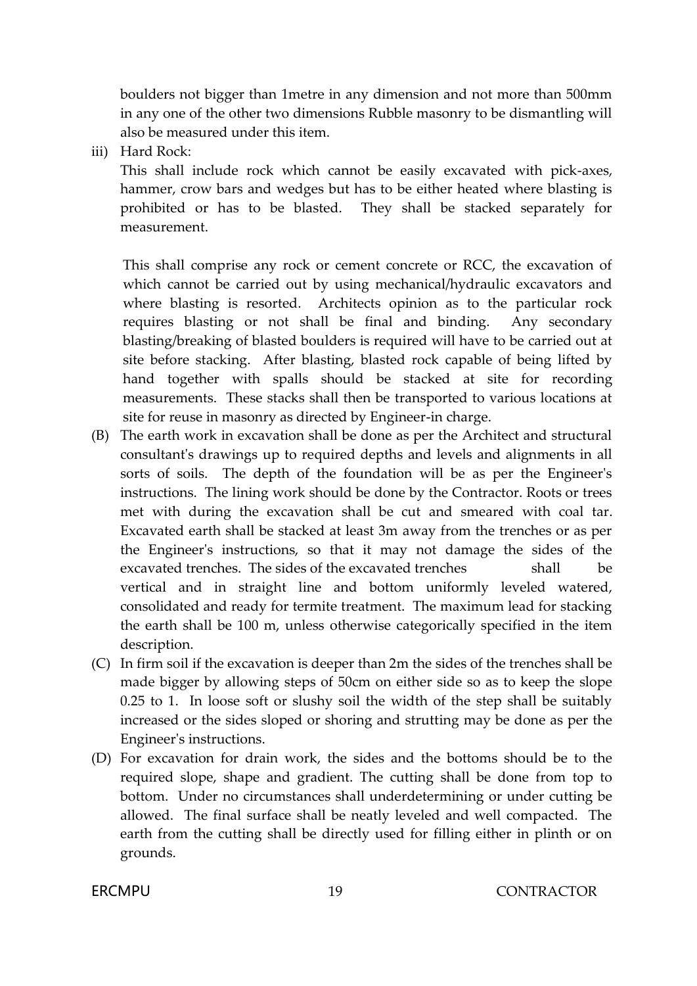boulders not bigger than 1metre in any dimension and not more than 500mm in any one of the other two dimensions Rubble masonry to be dismantling will also be measured under this item.

iii) Hard Rock:

This shall include rock which cannot be easily excavated with pick-axes, hammer, crow bars and wedges but has to be either heated where blasting is prohibited or has to be blasted. They shall be stacked separately for measurement.

This shall comprise any rock or cement concrete or RCC, the excavation of which cannot be carried out by using mechanical/hydraulic excavators and where blasting is resorted. Architects opinion as to the particular rock requires blasting or not shall be final and binding. Any secondary blasting/breaking of blasted boulders is required will have to be carried out at site before stacking. After blasting, blasted rock capable of being lifted by hand together with spalls should be stacked at site for recording measurements. These stacks shall then be transported to various locations at site for reuse in masonry as directed by Engineer-in charge.

- (B) The earth work in excavation shall be done as per the Architect and structural consultant's drawings up to required depths and levels and alignments in all sorts of soils. The depth of the foundation will be as per the Engineer's instructions. The lining work should be done by the Contractor. Roots or trees met with during the excavation shall be cut and smeared with coal tar. Excavated earth shall be stacked at least 3m away from the trenches or as per the Engineer's instructions, so that it may not damage the sides of the excavated trenches. The sides of the excavated trenches shall be vertical and in straight line and bottom uniformly leveled watered, consolidated and ready for termite treatment. The maximum lead for stacking the earth shall be 100 m, unless otherwise categorically specified in the item description.
- (C) In firm soil if the excavation is deeper than 2m the sides of the trenches shall be made bigger by allowing steps of 50cm on either side so as to keep the slope 0.25 to 1. In loose soft or slushy soil the width of the step shall be suitably increased or the sides sloped or shoring and strutting may be done as per the Engineer's instructions.
- (D) For excavation for drain work, the sides and the bottoms should be to the required slope, shape and gradient. The cutting shall be done from top to bottom. Under no circumstances shall underdetermining or under cutting be allowed. The final surface shall be neatly leveled and well compacted. The earth from the cutting shall be directly used for filling either in plinth or on grounds.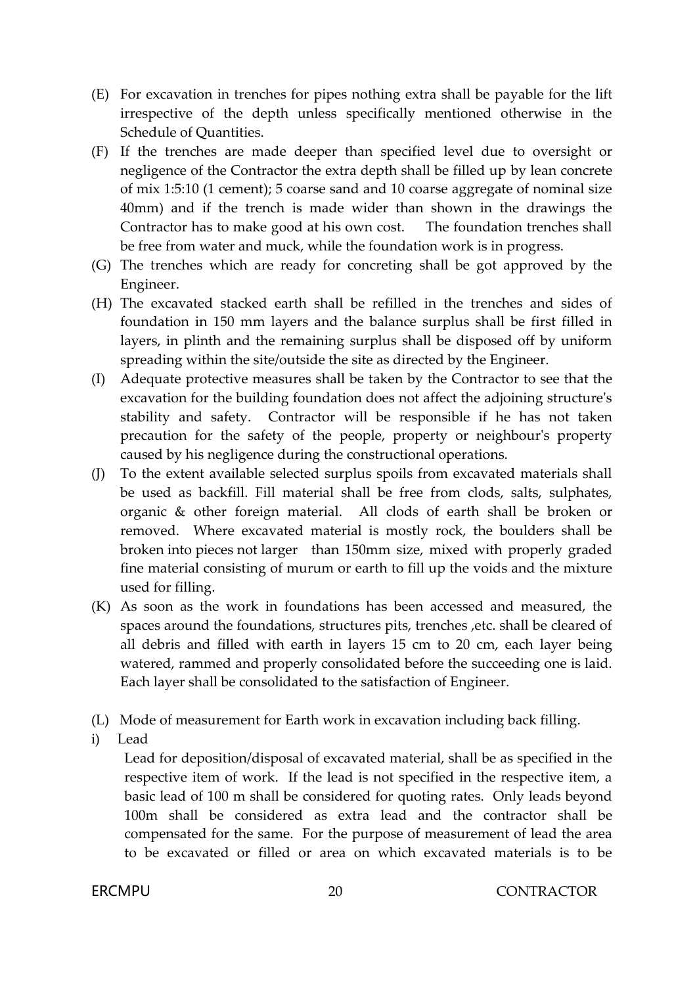- (E) For excavation in trenches for pipes nothing extra shall be payable for the lift irrespective of the depth unless specifically mentioned otherwise in the Schedule of Quantities.
- (F) If the trenches are made deeper than specified level due to oversight or negligence of the Contractor the extra depth shall be filled up by lean concrete of mix 1:5:10 (1 cement); 5 coarse sand and 10 coarse aggregate of nominal size 40mm) and if the trench is made wider than shown in the drawings the Contractor has to make good at his own cost. The foundation trenches shall be free from water and muck, while the foundation work is in progress.
- (G) The trenches which are ready for concreting shall be got approved by the Engineer.
- (H) The excavated stacked earth shall be refilled in the trenches and sides of foundation in 150 mm layers and the balance surplus shall be first filled in layers, in plinth and the remaining surplus shall be disposed off by uniform spreading within the site/outside the site as directed by the Engineer.
- (I) Adequate protective measures shall be taken by the Contractor to see that the excavation for the building foundation does not affect the adjoining structure's stability and safety. Contractor will be responsible if he has not taken precaution for the safety of the people, property or neighbour's property caused by his negligence during the constructional operations.
- (J) To the extent available selected surplus spoils from excavated materials shall be used as backfill. Fill material shall be free from clods, salts, sulphates, organic & other foreign material. All clods of earth shall be broken or removed. Where excavated material is mostly rock, the boulders shall be broken into pieces not larger than 150mm size, mixed with properly graded fine material consisting of murum or earth to fill up the voids and the mixture used for filling.
- (K) As soon as the work in foundations has been accessed and measured, the spaces around the foundations, structures pits, trenches ,etc. shall be cleared of all debris and filled with earth in layers 15 cm to 20 cm, each layer being watered, rammed and properly consolidated before the succeeding one is laid. Each layer shall be consolidated to the satisfaction of Engineer.
- (L) Mode of measurement for Earth work in excavation including back filling.
- i) Lead

Lead for deposition/disposal of excavated material, shall be as specified in the respective item of work. If the lead is not specified in the respective item, a basic lead of 100 m shall be considered for quoting rates. Only leads beyond 100m shall be considered as extra lead and the contractor shall be compensated for the same. For the purpose of measurement of lead the area to be excavated or filled or area on which excavated materials is to be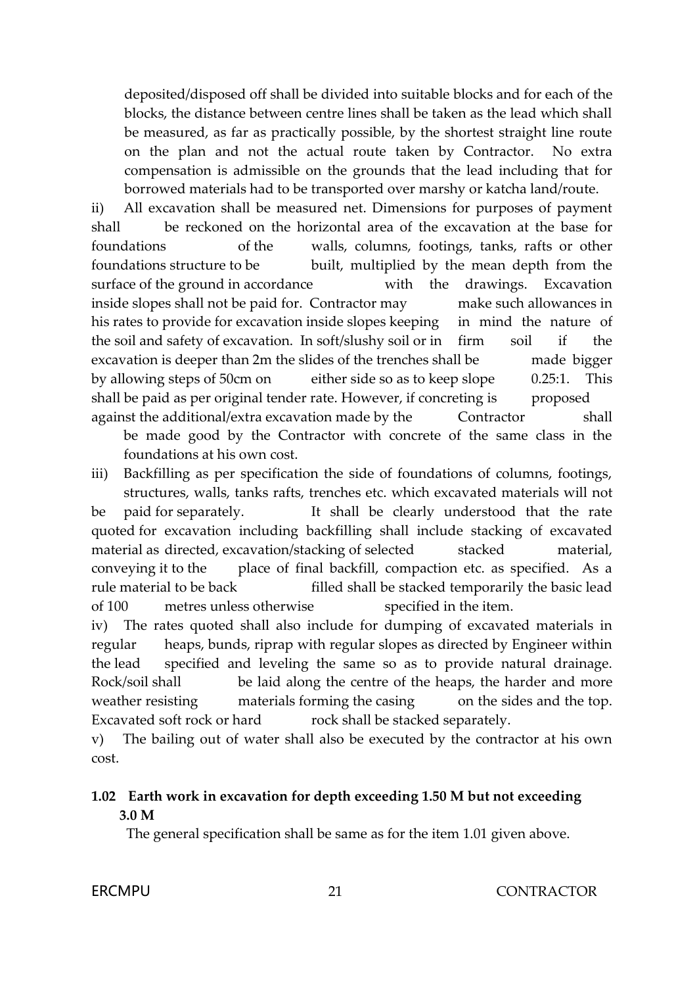deposited/disposed off shall be divided into suitable blocks and for each of the blocks, the distance between centre lines shall be taken as the lead which shall be measured, as far as practically possible, by the shortest straight line route on the plan and not the actual route taken by Contractor. No extra compensation is admissible on the grounds that the lead including that for borrowed materials had to be transported over marshy or katcha land/route.

ii) All excavation shall be measured net. Dimensions for purposes of payment shall be reckoned on the horizontal area of the excavation at the base for foundations of the walls, columns, footings, tanks, rafts or other foundations structure to be built, multiplied by the mean depth from the surface of the ground in accordance with the drawings. Excavation inside slopes shall not be paid for. Contractor may make such allowances in his rates to provide for excavation inside slopes keeping in mind the nature of the soil and safety of excavation. In soft/slushy soil or in firm soil if the excavation is deeper than 2m the slides of the trenches shall be made bigger by allowing steps of 50cm on either side so as to keep slope 0.25:1. This shall be paid as per original tender rate. However, if concreting is proposed against the additional/extra excavation made by the Contractor shall

be made good by the Contractor with concrete of the same class in the foundations at his own cost.

iii) Backfilling as per specification the side of foundations of columns, footings, structures, walls, tanks rafts, trenches etc. which excavated materials will not be paid for separately. It shall be clearly understood that the rate quoted for excavation including backfilling shall include stacking of excavated material as directed, excavation/stacking of selected stacked material, conveying it to the place of final backfill, compaction etc. as specified. As a rule material to be back filled shall be stacked temporarily the basic lead of 100 metres unless otherwise specified in the item.

iv) The rates quoted shall also include for dumping of excavated materials in regular heaps, bunds, riprap with regular slopes as directed by Engineer within the lead specified and leveling the same so as to provide natural drainage. Rock/soil shall be laid along the centre of the heaps, the harder and more weather resisting materials forming the casing on the sides and the top. Excavated soft rock or hard rock shall be stacked separately.

v) The bailing out of water shall also be executed by the contractor at his own cost.

### **1.02 Earth work in excavation for depth exceeding 1.50 M but not exceeding 3.0 M**

The general specification shall be same as for the item 1.01 given above.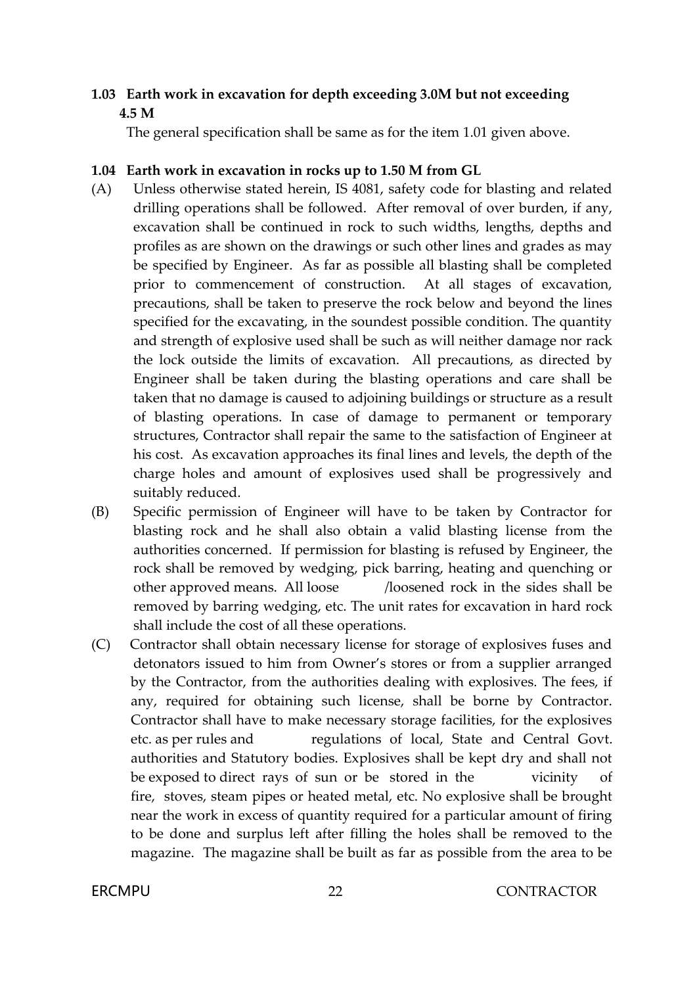### **1.03 Earth work in excavation for depth exceeding 3.0M but not exceeding 4.5 M**

The general specification shall be same as for the item 1.01 given above.

#### **1.04 Earth work in excavation in rocks up to 1.50 M from GL**

- (A) Unless otherwise stated herein, IS 4081, safety code for blasting and related drilling operations shall be followed. After removal of over burden, if any, excavation shall be continued in rock to such widths, lengths, depths and profiles as are shown on the drawings or such other lines and grades as may be specified by Engineer. As far as possible all blasting shall be completed prior to commencement of construction. At all stages of excavation, precautions, shall be taken to preserve the rock below and beyond the lines specified for the excavating, in the soundest possible condition. The quantity and strength of explosive used shall be such as will neither damage nor rack the lock outside the limits of excavation. All precautions, as directed by Engineer shall be taken during the blasting operations and care shall be taken that no damage is caused to adjoining buildings or structure as a result of blasting operations. In case of damage to permanent or temporary structures, Contractor shall repair the same to the satisfaction of Engineer at his cost. As excavation approaches its final lines and levels, the depth of the charge holes and amount of explosives used shall be progressively and suitably reduced.
- (B) Specific permission of Engineer will have to be taken by Contractor for blasting rock and he shall also obtain a valid blasting license from the authorities concerned. If permission for blasting is refused by Engineer, the rock shall be removed by wedging, pick barring, heating and quenching or other approved means. All loose /loosened rock in the sides shall be removed by barring wedging, etc. The unit rates for excavation in hard rock shall include the cost of all these operations.
- (C) Contractor shall obtain necessary license for storage of explosives fuses and detonators issued to him from Owner's stores or from a supplier arranged by the Contractor, from the authorities dealing with explosives. The fees, if any, required for obtaining such license, shall be borne by Contractor. Contractor shall have to make necessary storage facilities, for the explosives etc. as per rules and regulations of local, State and Central Govt. authorities and Statutory bodies. Explosives shall be kept dry and shall not be exposed to direct rays of sun or be stored in the vicinity of fire, stoves, steam pipes or heated metal, etc. No explosive shall be brought near the work in excess of quantity required for a particular amount of firing to be done and surplus left after filling the holes shall be removed to the magazine. The magazine shall be built as far as possible from the area to be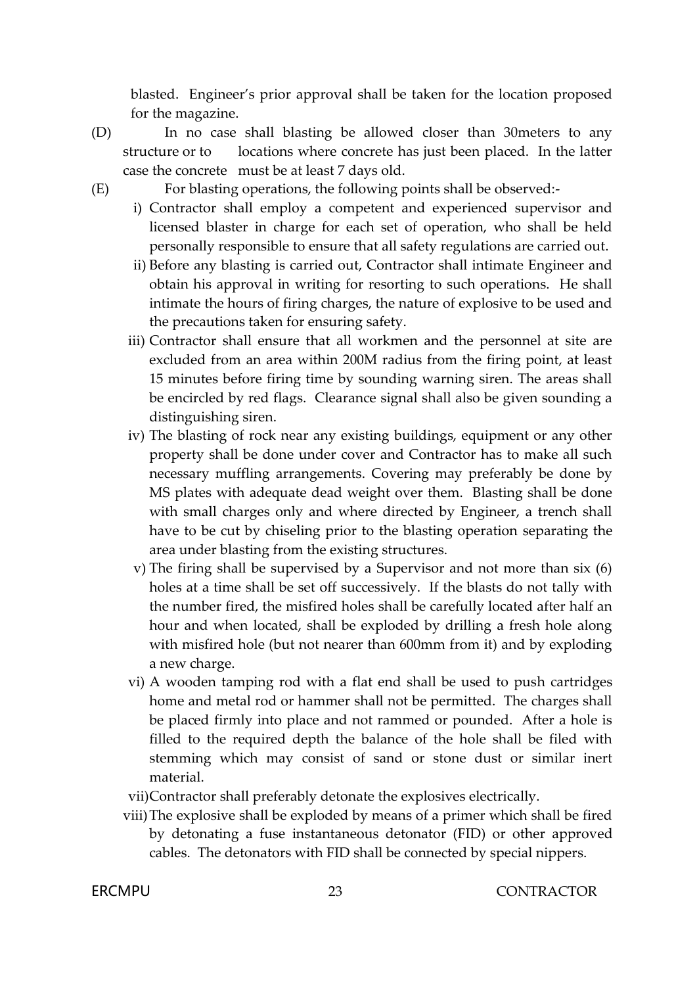blasted. Engineer's prior approval shall be taken for the location proposed for the magazine.

- (D) In no case shall blasting be allowed closer than 30meters to any structure or to locations where concrete has just been placed. In the latter case the concrete must be at least 7 days old.
- 

(E) For blasting operations, the following points shall be observed:-

- i) Contractor shall employ a competent and experienced supervisor and licensed blaster in charge for each set of operation, who shall be held personally responsible to ensure that all safety regulations are carried out.
- ii) Before any blasting is carried out, Contractor shall intimate Engineer and obtain his approval in writing for resorting to such operations. He shall intimate the hours of firing charges, the nature of explosive to be used and the precautions taken for ensuring safety.
- iii) Contractor shall ensure that all workmen and the personnel at site are excluded from an area within 200M radius from the firing point, at least 15 minutes before firing time by sounding warning siren. The areas shall be encircled by red flags. Clearance signal shall also be given sounding a distinguishing siren.
- iv) The blasting of rock near any existing buildings, equipment or any other property shall be done under cover and Contractor has to make all such necessary muffling arrangements. Covering may preferably be done by MS plates with adequate dead weight over them. Blasting shall be done with small charges only and where directed by Engineer, a trench shall have to be cut by chiseling prior to the blasting operation separating the area under blasting from the existing structures.
- v) The firing shall be supervised by a Supervisor and not more than six (6) holes at a time shall be set off successively. If the blasts do not tally with the number fired, the misfired holes shall be carefully located after half an hour and when located, shall be exploded by drilling a fresh hole along with misfired hole (but not nearer than 600mm from it) and by exploding a new charge.
- vi) A wooden tamping rod with a flat end shall be used to push cartridges home and metal rod or hammer shall not be permitted. The charges shall be placed firmly into place and not rammed or pounded. After a hole is filled to the required depth the balance of the hole shall be filed with stemming which may consist of sand or stone dust or similar inert material.
- vii)Contractor shall preferably detonate the explosives electrically.
- viii)The explosive shall be exploded by means of a primer which shall be fired by detonating a fuse instantaneous detonator (FID) or other approved cables. The detonators with FID shall be connected by special nippers.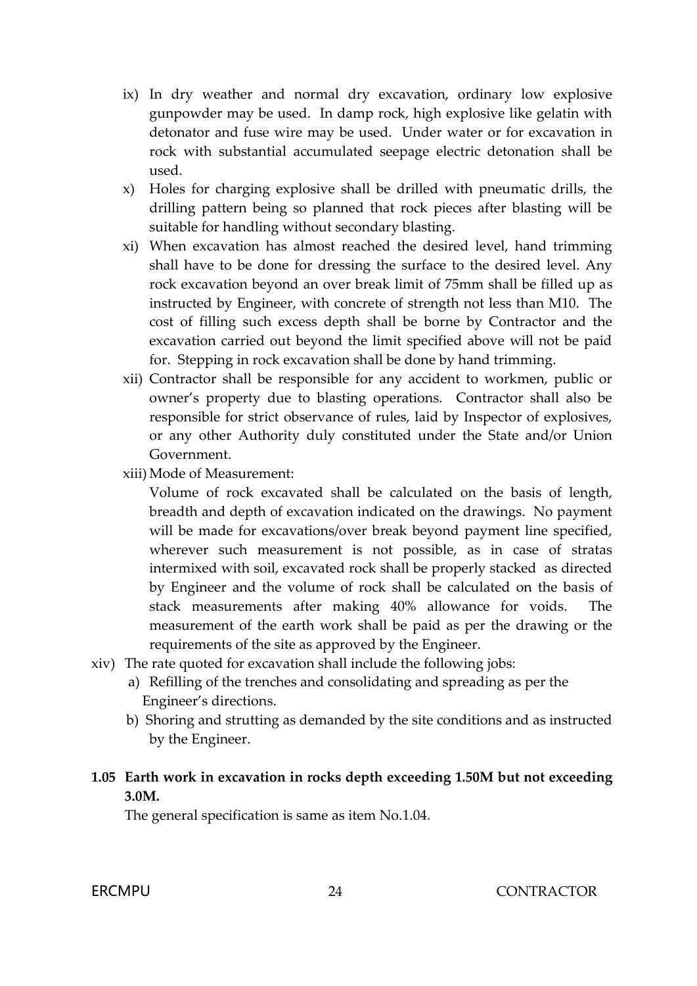- ix) In dry weather and normal dry excavation, ordinary low explosive gunpowder may be used. In damp rock, high explosive like gelatin with detonator and fuse wire may be used. Under water or for excavation in rock with substantial accumulated seepage electric detonation shall be used.
- x) Holes for charging explosive shall be drilled with pneumatic drills, the drilling pattern being so planned that rock pieces after blasting will be suitable for handling without secondary blasting.
- xi) When excavation has almost reached the desired level, hand trimming shall have to be done for dressing the surface to the desired level. Any rock excavation beyond an over break limit of 75mm shall be filled up as instructed by Engineer, with concrete of strength not less than M10. The cost of filling such excess depth shall be borne by Contractor and the excavation carried out beyond the limit specified above will not be paid for. Stepping in rock excavation shall be done by hand trimming.
- xii) Contractor shall be responsible for any accident to workmen, public or owner's property due to blasting operations. Contractor shall also be responsible for strict observance of rules, laid by Inspector of explosives, or any other Authority duly constituted under the State and/or Union Government.
- xiii) Mode of Measurement:

Volume of rock excavated shall be calculated on the basis of length, breadth and depth of excavation indicated on the drawings. No payment will be made for excavations/over break beyond payment line specified, wherever such measurement is not possible, as in case of stratas intermixed with soil, excavated rock shall be properly stacked as directed by Engineer and the volume of rock shall be calculated on the basis of stack measurements after making 40% allowance for voids. The measurement of the earth work shall be paid as per the drawing or the requirements of the site as approved by the Engineer.

- xiv) The rate quoted for excavation shall include the following jobs:
	- a) Refilling of the trenches and consolidating and spreading as per the Engineer's directions.
	- b) Shoring and strutting as demanded by the site conditions and as instructed by the Engineer.

#### **1.05 Earth work in excavation in rocks depth exceeding 1.50M but not exceeding 3.0M.**

The general specification is same as item No.1.04.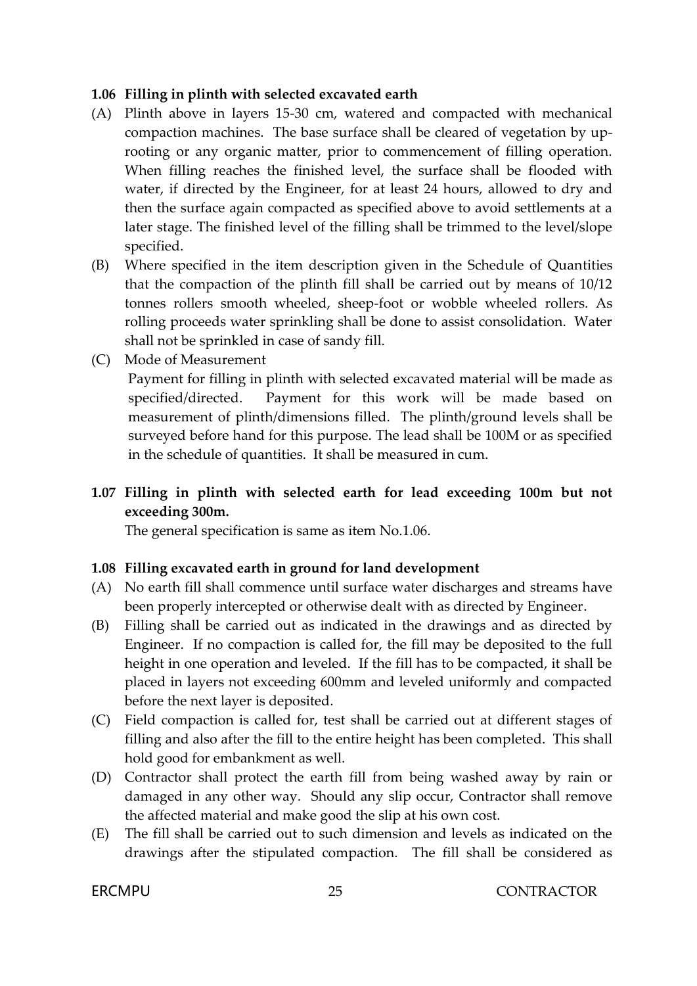#### **1.06 Filling in plinth with selected excavated earth**

- (A) Plinth above in layers 15-30 cm, watered and compacted with mechanical compaction machines. The base surface shall be cleared of vegetation by uprooting or any organic matter, prior to commencement of filling operation. When filling reaches the finished level, the surface shall be flooded with water, if directed by the Engineer, for at least 24 hours, allowed to dry and then the surface again compacted as specified above to avoid settlements at a later stage. The finished level of the filling shall be trimmed to the level/slope specified.
- (B) Where specified in the item description given in the Schedule of Quantities that the compaction of the plinth fill shall be carried out by means of 10/12 tonnes rollers smooth wheeled, sheep-foot or wobble wheeled rollers. As rolling proceeds water sprinkling shall be done to assist consolidation. Water shall not be sprinkled in case of sandy fill.
- (C) Mode of Measurement

Payment for filling in plinth with selected excavated material will be made as specified/directed. Payment for this work will be made based on measurement of plinth/dimensions filled. The plinth/ground levels shall be surveyed before hand for this purpose. The lead shall be 100M or as specified in the schedule of quantities. It shall be measured in cum.

### **1.07 Filling in plinth with selected earth for lead exceeding 100m but not exceeding 300m.**

The general specification is same as item No.1.06.

#### **1.08 Filling excavated earth in ground for land development**

- (A) No earth fill shall commence until surface water discharges and streams have been properly intercepted or otherwise dealt with as directed by Engineer.
- (B) Filling shall be carried out as indicated in the drawings and as directed by Engineer. If no compaction is called for, the fill may be deposited to the full height in one operation and leveled. If the fill has to be compacted, it shall be placed in layers not exceeding 600mm and leveled uniformly and compacted before the next layer is deposited.
- (C) Field compaction is called for, test shall be carried out at different stages of filling and also after the fill to the entire height has been completed. This shall hold good for embankment as well.
- (D) Contractor shall protect the earth fill from being washed away by rain or damaged in any other way. Should any slip occur, Contractor shall remove the affected material and make good the slip at his own cost.
- (E) The fill shall be carried out to such dimension and levels as indicated on the drawings after the stipulated compaction. The fill shall be considered as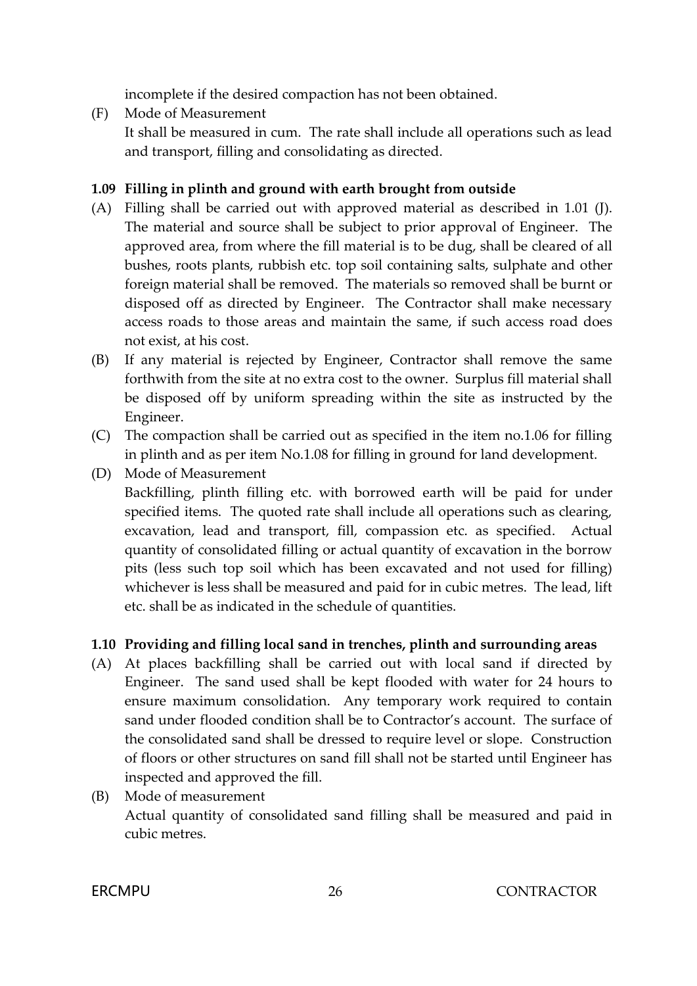incomplete if the desired compaction has not been obtained.

(F) Mode of Measurement

It shall be measured in cum. The rate shall include all operations such as lead and transport, filling and consolidating as directed.

# **1.09 Filling in plinth and ground with earth brought from outside**

- (A) Filling shall be carried out with approved material as described in 1.01 (J). The material and source shall be subject to prior approval of Engineer. The approved area, from where the fill material is to be dug, shall be cleared of all bushes, roots plants, rubbish etc. top soil containing salts, sulphate and other foreign material shall be removed. The materials so removed shall be burnt or disposed off as directed by Engineer. The Contractor shall make necessary access roads to those areas and maintain the same, if such access road does not exist, at his cost.
- (B) If any material is rejected by Engineer, Contractor shall remove the same forthwith from the site at no extra cost to the owner. Surplus fill material shall be disposed off by uniform spreading within the site as instructed by the Engineer.
- (C) The compaction shall be carried out as specified in the item no.1.06 for filling in plinth and as per item No.1.08 for filling in ground for land development.
- (D) Mode of Measurement
	- Backfilling, plinth filling etc. with borrowed earth will be paid for under specified items. The quoted rate shall include all operations such as clearing, excavation, lead and transport, fill, compassion etc. as specified. Actual quantity of consolidated filling or actual quantity of excavation in the borrow pits (less such top soil which has been excavated and not used for filling) whichever is less shall be measured and paid for in cubic metres. The lead, lift etc. shall be as indicated in the schedule of quantities.

# **1.10 Providing and filling local sand in trenches, plinth and surrounding areas**

- (A) At places backfilling shall be carried out with local sand if directed by Engineer. The sand used shall be kept flooded with water for 24 hours to ensure maximum consolidation. Any temporary work required to contain sand under flooded condition shall be to Contractor's account. The surface of the consolidated sand shall be dressed to require level or slope. Construction of floors or other structures on sand fill shall not be started until Engineer has inspected and approved the fill.
- (B) Mode of measurement Actual quantity of consolidated sand filling shall be measured and paid in cubic metres.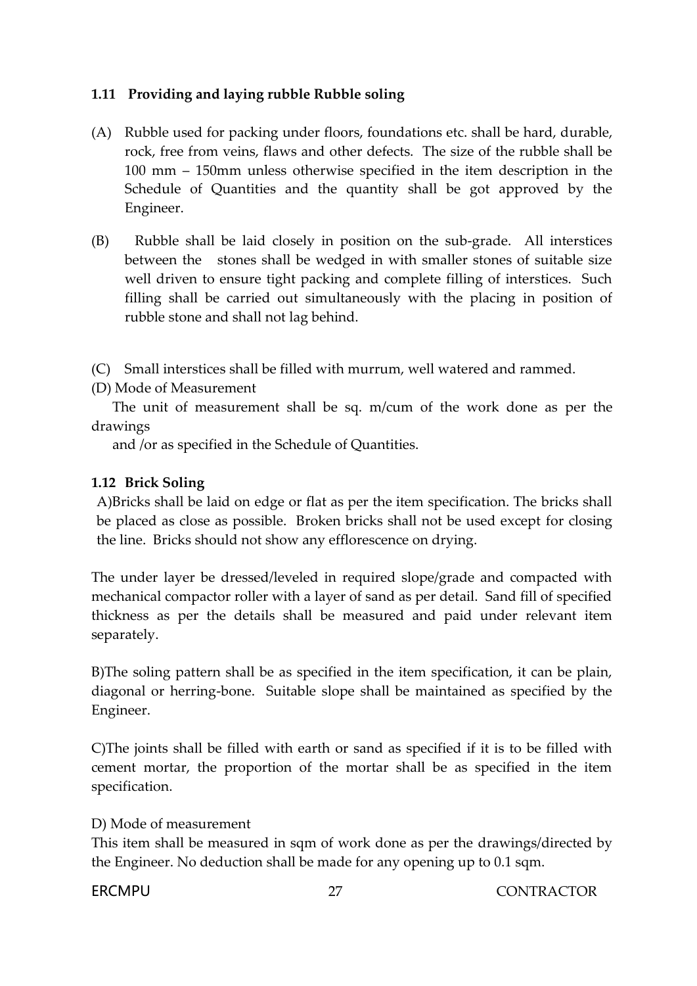#### **1.11 Providing and laying rubble Rubble soling**

- (A) Rubble used for packing under floors, foundations etc. shall be hard, durable, rock, free from veins, flaws and other defects. The size of the rubble shall be 100 mm – 150mm unless otherwise specified in the item description in the Schedule of Quantities and the quantity shall be got approved by the Engineer.
- (B) Rubble shall be laid closely in position on the sub-grade. All interstices between the stones shall be wedged in with smaller stones of suitable size well driven to ensure tight packing and complete filling of interstices. Such filling shall be carried out simultaneously with the placing in position of rubble stone and shall not lag behind.

(C) Small interstices shall be filled with murrum, well watered and rammed.

(D) Mode of Measurement

 The unit of measurement shall be sq. m/cum of the work done as per the drawings

and /or as specified in the Schedule of Quantities.

### **1.12 Brick Soling**

A)Bricks shall be laid on edge or flat as per the item specification. The bricks shall be placed as close as possible. Broken bricks shall not be used except for closing the line. Bricks should not show any efflorescence on drying.

The under layer be dressed/leveled in required slope/grade and compacted with mechanical compactor roller with a layer of sand as per detail. Sand fill of specified thickness as per the details shall be measured and paid under relevant item separately.

B)The soling pattern shall be as specified in the item specification, it can be plain, diagonal or herring-bone. Suitable slope shall be maintained as specified by the Engineer.

C)The joints shall be filled with earth or sand as specified if it is to be filled with cement mortar, the proportion of the mortar shall be as specified in the item specification.

#### D) Mode of measurement

This item shall be measured in sqm of work done as per the drawings/directed by the Engineer. No deduction shall be made for any opening up to 0.1 sqm.

FRCMPU 27 27 CONTRACTOR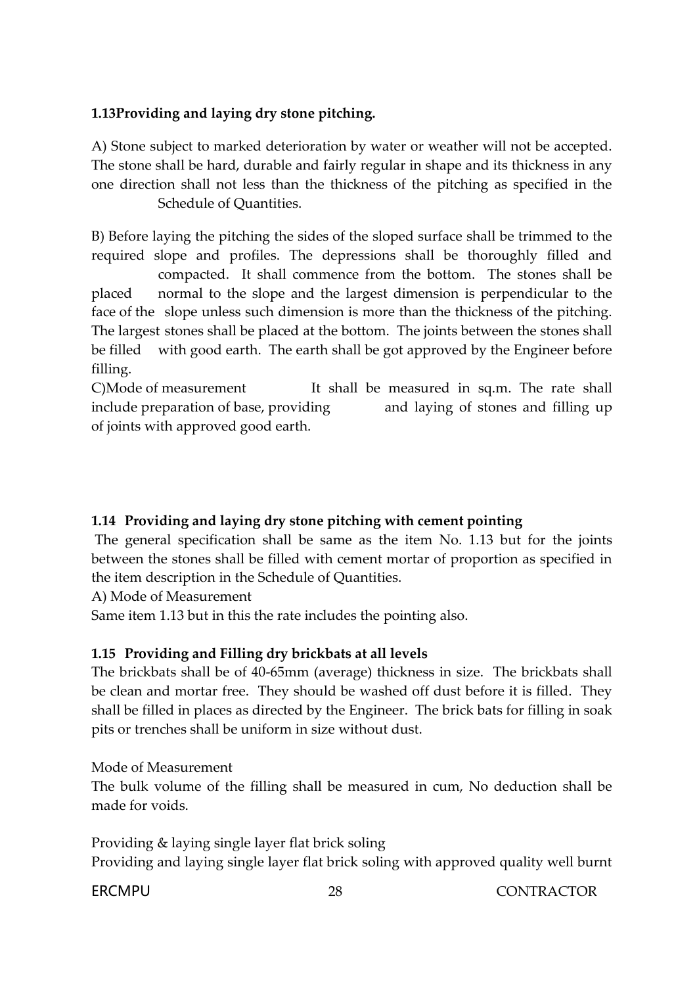## **1.13Providing and laying dry stone pitching.**

A) Stone subject to marked deterioration by water or weather will not be accepted. The stone shall be hard, durable and fairly regular in shape and its thickness in any one direction shall not less than the thickness of the pitching as specified in the Schedule of Quantities.

B) Before laying the pitching the sides of the sloped surface shall be trimmed to the required slope and profiles. The depressions shall be thoroughly filled and compacted. It shall commence from the bottom. The stones shall be placed normal to the slope and the largest dimension is perpendicular to the face of the slope unless such dimension is more than the thickness of the pitching. The largest stones shall be placed at the bottom. The joints between the stones shall be filled with good earth. The earth shall be got approved by the Engineer before filling.

C)Mode of measurement It shall be measured in sq.m. The rate shall include preparation of base, providing and laying of stones and filling up of joints with approved good earth.

### **1.14 Providing and laying dry stone pitching with cement pointing**

The general specification shall be same as the item No. 1.13 but for the joints between the stones shall be filled with cement mortar of proportion as specified in the item description in the Schedule of Quantities.

A) Mode of Measurement

Same item 1.13 but in this the rate includes the pointing also.

### **1.15 Providing and Filling dry brickbats at all levels**

The brickbats shall be of 40-65mm (average) thickness in size. The brickbats shall be clean and mortar free. They should be washed off dust before it is filled. They shall be filled in places as directed by the Engineer. The brick bats for filling in soak pits or trenches shall be uniform in size without dust.

Mode of Measurement

The bulk volume of the filling shall be measured in cum, No deduction shall be made for voids.

Providing & laying single layer flat brick soling Providing and laying single layer flat brick soling with approved quality well burnt

FRCMPU 28 28 CONTRACTOR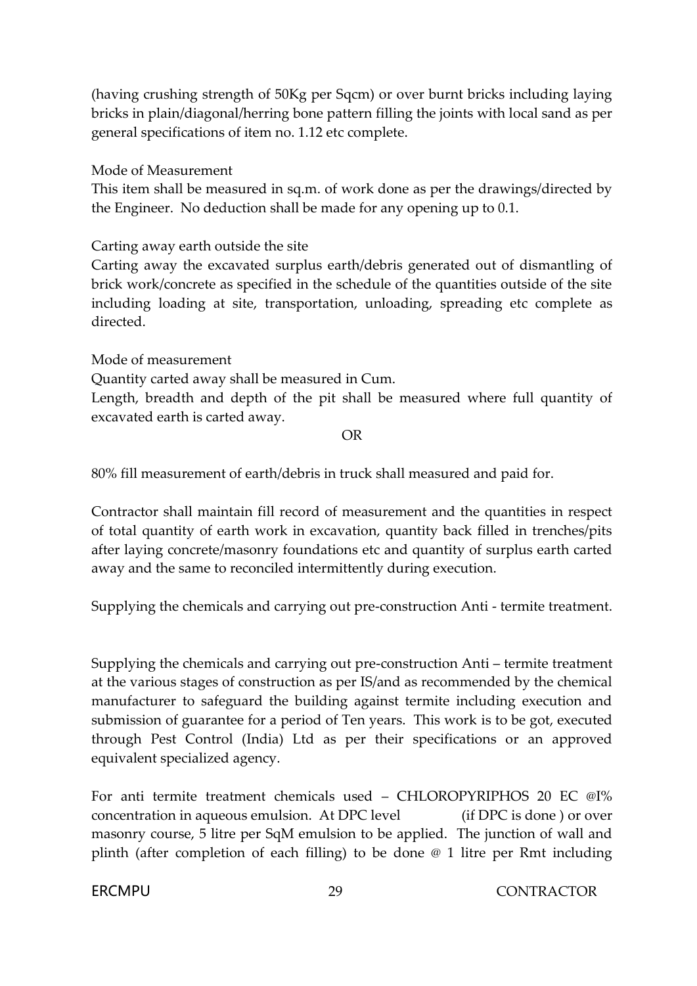(having crushing strength of 50Kg per Sqcm) or over burnt bricks including laying bricks in plain/diagonal/herring bone pattern filling the joints with local sand as per general specifications of item no. 1.12 etc complete.

Mode of Measurement

This item shall be measured in sq.m. of work done as per the drawings/directed by the Engineer. No deduction shall be made for any opening up to 0.1.

Carting away earth outside the site

Carting away the excavated surplus earth/debris generated out of dismantling of brick work/concrete as specified in the schedule of the quantities outside of the site including loading at site, transportation, unloading, spreading etc complete as directed.

Mode of measurement

Quantity carted away shall be measured in Cum.

Length, breadth and depth of the pit shall be measured where full quantity of excavated earth is carted away.

OR

80% fill measurement of earth/debris in truck shall measured and paid for.

Contractor shall maintain fill record of measurement and the quantities in respect of total quantity of earth work in excavation, quantity back filled in trenches/pits after laying concrete/masonry foundations etc and quantity of surplus earth carted away and the same to reconciled intermittently during execution.

Supplying the chemicals and carrying out pre-construction Anti - termite treatment.

Supplying the chemicals and carrying out pre-construction Anti – termite treatment at the various stages of construction as per IS/and as recommended by the chemical manufacturer to safeguard the building against termite including execution and submission of guarantee for a period of Ten years. This work is to be got, executed through Pest Control (India) Ltd as per their specifications or an approved equivalent specialized agency.

For anti termite treatment chemicals used – CHLOROPYRIPHOS 20 EC @I% concentration in aqueous emulsion. At DPC level (if DPC is done ) or over masonry course, 5 litre per SqM emulsion to be applied. The junction of wall and plinth (after completion of each filling) to be done @ 1 litre per Rmt including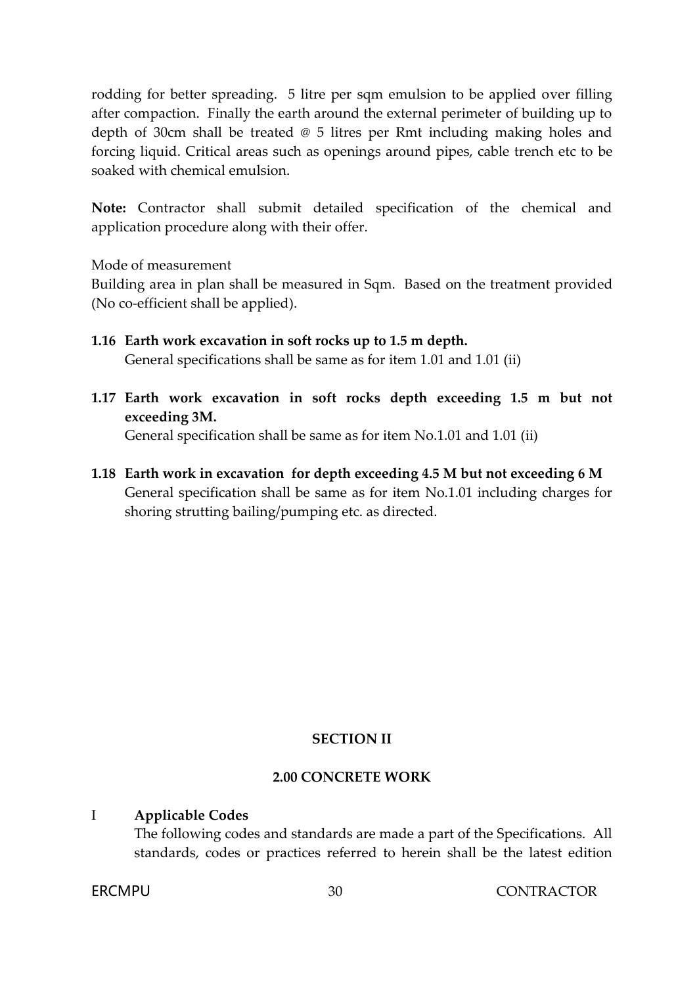rodding for better spreading. 5 litre per sqm emulsion to be applied over filling after compaction. Finally the earth around the external perimeter of building up to depth of 30cm shall be treated @ 5 litres per Rmt including making holes and forcing liquid. Critical areas such as openings around pipes, cable trench etc to be soaked with chemical emulsion.

**Note:** Contractor shall submit detailed specification of the chemical and application procedure along with their offer.

Mode of measurement

Building area in plan shall be measured in Sqm. Based on the treatment provided (No co-efficient shall be applied).

- **1.16 Earth work excavation in soft rocks up to 1.5 m depth.** General specifications shall be same as for item 1.01 and 1.01 (ii)
- **1.17 Earth work excavation in soft rocks depth exceeding 1.5 m but not exceeding 3M.**

General specification shall be same as for item No.1.01 and 1.01 (ii)

**1.18 Earth work in excavation for depth exceeding 4.5 M but not exceeding 6 M**  General specification shall be same as for item No.1.01 including charges for shoring strutting bailing/pumping etc. as directed.

#### **SECTION II**

#### **2.00 CONCRETE WORK**

#### I **Applicable Codes**

The following codes and standards are made a part of the Specifications. All standards, codes or practices referred to herein shall be the latest edition

ERCMPU 30 CONTRACTOR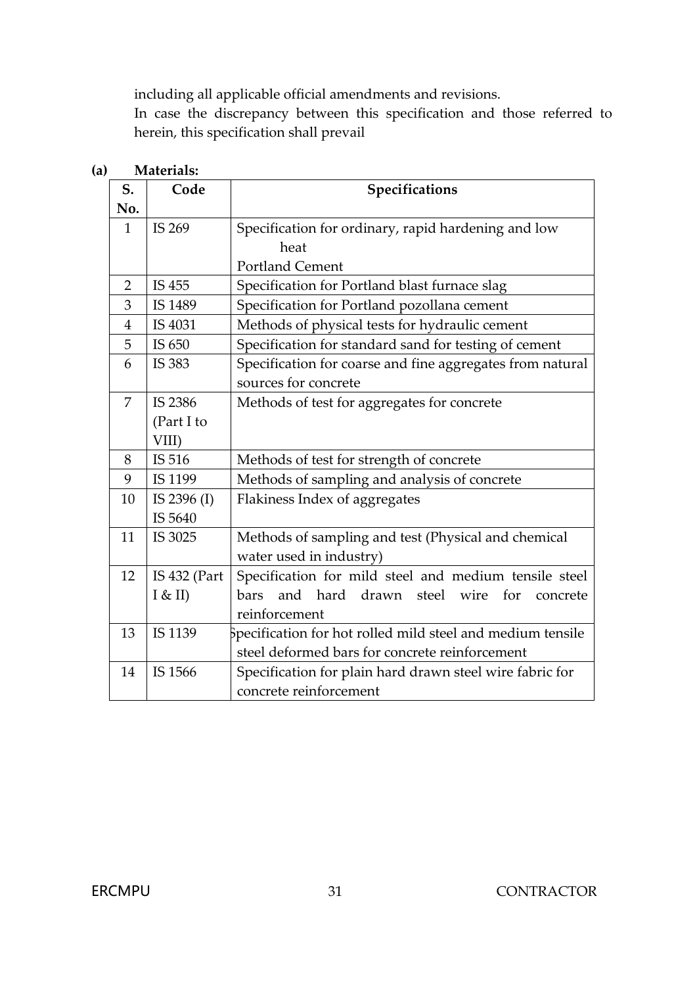including all applicable official amendments and revisions.

In case the discrepancy between this specification and those referred to herein, this specification shall prevail

| S.             | Code           | Specifications                                                    |  |  |
|----------------|----------------|-------------------------------------------------------------------|--|--|
| No.            |                |                                                                   |  |  |
| $\mathbf{1}$   | IS 269         | Specification for ordinary, rapid hardening and low               |  |  |
|                |                | heat                                                              |  |  |
|                |                | <b>Portland Cement</b>                                            |  |  |
| $\overline{2}$ | IS 455         | Specification for Portland blast furnace slag                     |  |  |
| 3              | IS 1489        | Specification for Portland pozollana cement                       |  |  |
| $\overline{4}$ | IS 4031        | Methods of physical tests for hydraulic cement                    |  |  |
| 5              | IS 650         | Specification for standard sand for testing of cement             |  |  |
| 6              | IS 383         | Specification for coarse and fine aggregates from natural         |  |  |
|                |                | sources for concrete                                              |  |  |
| 7              | IS 2386        | Methods of test for aggregates for concrete                       |  |  |
|                | (Part I to     |                                                                   |  |  |
|                | VIII)          |                                                                   |  |  |
| 8              | IS 516         | Methods of test for strength of concrete                          |  |  |
| 9              | IS 1199        | Methods of sampling and analysis of concrete                      |  |  |
| 10             | IS 2396 (I)    | Flakiness Index of aggregates                                     |  |  |
|                | IS 5640        |                                                                   |  |  |
| 11             | IS 3025        | Methods of sampling and test (Physical and chemical               |  |  |
|                |                | water used in industry)                                           |  |  |
| 12             | IS $432$ (Part | Specification for mild steel and medium tensile steel             |  |  |
|                | I & H          | hard<br>and<br>drawn steel wire<br>bars<br>for<br>concrete        |  |  |
|                |                | reinforcement                                                     |  |  |
| 13             | IS 1139        | $\beta$ pecification for hot rolled mild steel and medium tensile |  |  |
|                |                | steel deformed bars for concrete reinforcement                    |  |  |
| 14             | IS 1566        | Specification for plain hard drawn steel wire fabric for          |  |  |
|                |                | concrete reinforcement                                            |  |  |

#### **(a) Materials:**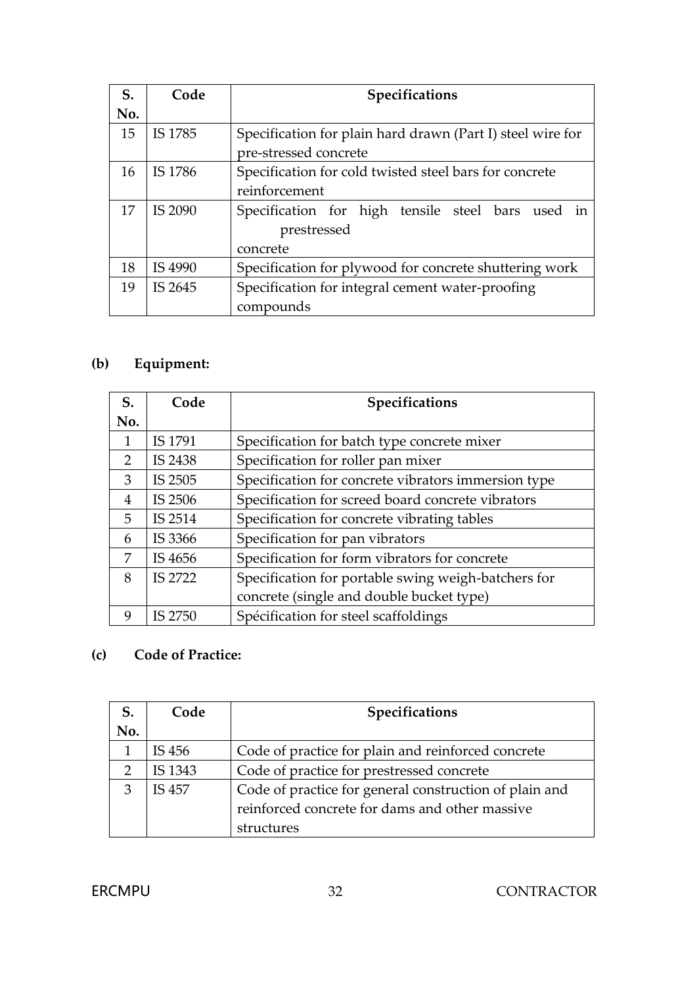| S.  | Code    | Specifications                                             |
|-----|---------|------------------------------------------------------------|
| No. |         |                                                            |
| 15  | IS 1785 | Specification for plain hard drawn (Part I) steel wire for |
|     |         | pre-stressed concrete                                      |
| 16  | IS 1786 | Specification for cold twisted steel bars for concrete     |
|     |         | reinforcement                                              |
| 17  | IS 2090 | Specification for high tensile steel bars used in          |
|     |         | prestressed                                                |
|     |         | concrete                                                   |
| 18  | IS 4990 | Specification for plywood for concrete shuttering work     |
| 19  | IS 2645 | Specification for integral cement water-proofing           |
|     |         | compounds                                                  |

# **(b) Equipment:**

| S.            | Code    | Specifications                                      |  |  |
|---------------|---------|-----------------------------------------------------|--|--|
| No.           |         |                                                     |  |  |
| 1             | IS 1791 | Specification for batch type concrete mixer         |  |  |
| $\mathcal{P}$ | IS 2438 | Specification for roller pan mixer                  |  |  |
| 3             | IS 2505 | Specification for concrete vibrators immersion type |  |  |
| 4             | IS 2506 | Specification for screed board concrete vibrators   |  |  |
| 5             | IS 2514 | Specification for concrete vibrating tables         |  |  |
| 6             | IS 3366 | Specification for pan vibrators                     |  |  |
| 7             | IS 4656 | Specification for form vibrators for concrete       |  |  |
| 8             | IS 2722 | Specification for portable swing weigh-batchers for |  |  |
|               |         | concrete (single and double bucket type)            |  |  |
| 9             | IS 2750 | Spécification for steel scaffoldings                |  |  |

# **(c) Code of Practice:**

| S.  | Code    | Specifications                                         |  |
|-----|---------|--------------------------------------------------------|--|
| No. |         |                                                        |  |
|     | IS 456  | Code of practice for plain and reinforced concrete     |  |
|     | IS 1343 | Code of practice for prestressed concrete              |  |
| 3   | IS 457  | Code of practice for general construction of plain and |  |
|     |         | reinforced concrete for dams and other massive         |  |
|     |         | structures                                             |  |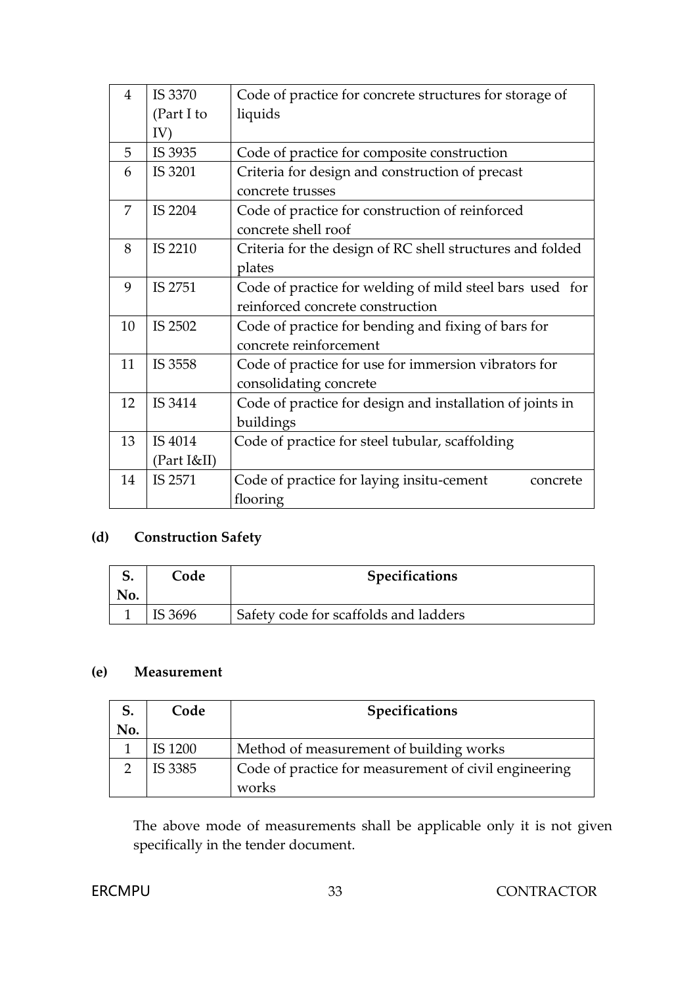| 4  | IS 3370     | Code of practice for concrete structures for storage of   |
|----|-------------|-----------------------------------------------------------|
|    | (Part I to  | liquids                                                   |
|    | IV)         |                                                           |
| 5  | IS 3935     | Code of practice for composite construction               |
| 6  | IS 3201     | Criteria for design and construction of precast           |
|    |             | concrete trusses                                          |
| 7  | IS 2204     | Code of practice for construction of reinforced           |
|    |             | concrete shell roof                                       |
| 8  | IS 2210     | Criteria for the design of RC shell structures and folded |
|    |             | plates                                                    |
| 9  | IS 2751     | Code of practice for welding of mild steel bars used for  |
|    |             | reinforced concrete construction                          |
| 10 | IS 2502     | Code of practice for bending and fixing of bars for       |
|    |             | concrete reinforcement                                    |
| 11 | IS 3558     | Code of practice for use for immersion vibrators for      |
|    |             | consolidating concrete                                    |
| 12 | IS 3414     | Code of practice for design and installation of joints in |
|    |             | buildings                                                 |
| 13 | IS 4014     | Code of practice for steel tubular, scaffolding           |
|    | (Part I&II) |                                                           |
| 14 | IS 2571     | Code of practice for laying insitu-cement<br>concrete     |
|    |             | flooring                                                  |

# **(d) Construction Safety**

| Code    | <b>Specifications</b>                 |
|---------|---------------------------------------|
| IS 3696 | Safety code for scaffolds and ladders |

#### **(e) Measurement**

|     | Code    | <b>Specifications</b>                                          |  |  |
|-----|---------|----------------------------------------------------------------|--|--|
| No. |         |                                                                |  |  |
|     | IS 1200 | Method of measurement of building works                        |  |  |
|     | IS 3385 | Code of practice for measurement of civil engineering<br>works |  |  |

The above mode of measurements shall be applicable only it is not given specifically in the tender document.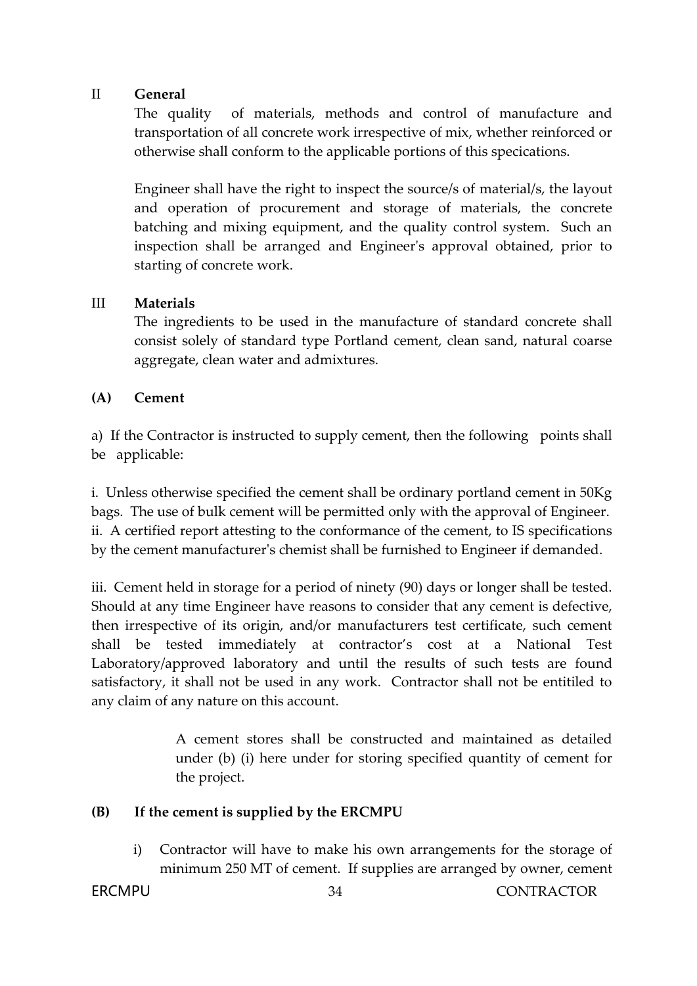#### II **General**

The quality of materials, methods and control of manufacture and transportation of all concrete work irrespective of mix, whether reinforced or otherwise shall conform to the applicable portions of this specications.

Engineer shall have the right to inspect the source/s of material/s, the layout and operation of procurement and storage of materials, the concrete batching and mixing equipment, and the quality control system. Such an inspection shall be arranged and Engineer's approval obtained, prior to starting of concrete work.

#### III **Materials**

The ingredients to be used in the manufacture of standard concrete shall consist solely of standard type Portland cement, clean sand, natural coarse aggregate, clean water and admixtures.

#### **(A) Cement**

a) If the Contractor is instructed to supply cement, then the following points shall be applicable:

i. Unless otherwise specified the cement shall be ordinary portland cement in 50Kg bags. The use of bulk cement will be permitted only with the approval of Engineer. ii. A certified report attesting to the conformance of the cement, to IS specifications by the cement manufacturer's chemist shall be furnished to Engineer if demanded.

iii. Cement held in storage for a period of ninety (90) days or longer shall be tested. Should at any time Engineer have reasons to consider that any cement is defective, then irrespective of its origin, and/or manufacturers test certificate, such cement shall be tested immediately at contractor's cost at a National Test Laboratory/approved laboratory and until the results of such tests are found satisfactory, it shall not be used in any work. Contractor shall not be entitiled to any claim of any nature on this account.

> A cement stores shall be constructed and maintained as detailed under (b) (i) here under for storing specified quantity of cement for the project.

#### **(B) If the cement is supplied by the ERCMPU**

i) Contractor will have to make his own arrangements for the storage of minimum 250 MT of cement. If supplies are arranged by owner, cement

ERCMPU 34 CONTRACTOR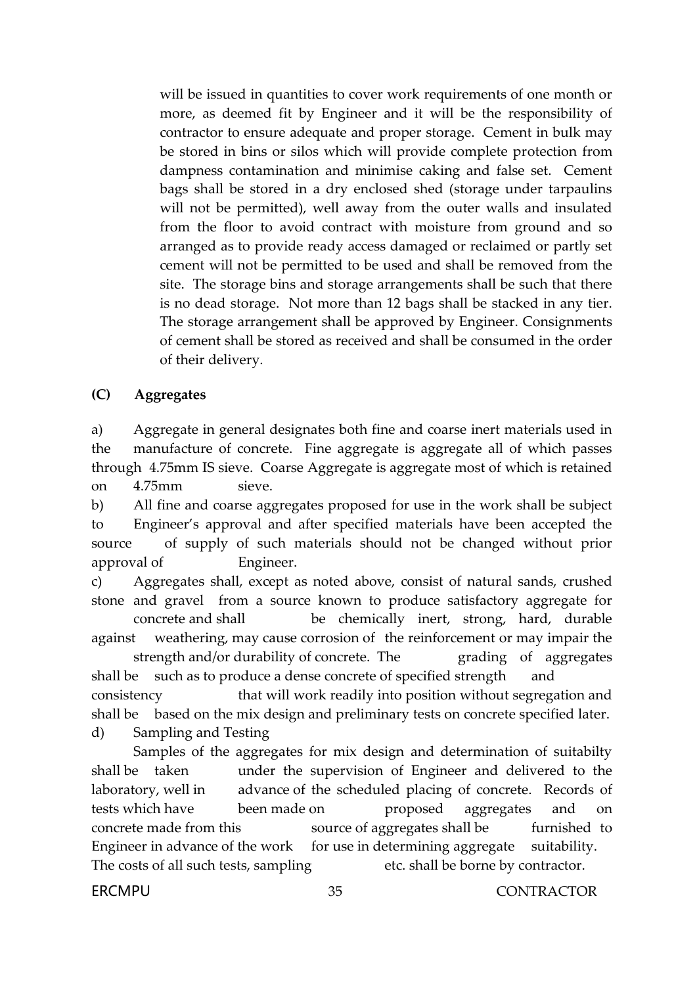will be issued in quantities to cover work requirements of one month or more, as deemed fit by Engineer and it will be the responsibility of contractor to ensure adequate and proper storage. Cement in bulk may be stored in bins or silos which will provide complete protection from dampness contamination and minimise caking and false set. Cement bags shall be stored in a dry enclosed shed (storage under tarpaulins will not be permitted), well away from the outer walls and insulated from the floor to avoid contract with moisture from ground and so arranged as to provide ready access damaged or reclaimed or partly set cement will not be permitted to be used and shall be removed from the site. The storage bins and storage arrangements shall be such that there is no dead storage. Not more than 12 bags shall be stacked in any tier. The storage arrangement shall be approved by Engineer. Consignments of cement shall be stored as received and shall be consumed in the order of their delivery.

#### **(C) Aggregates**

a) Aggregate in general designates both fine and coarse inert materials used in the manufacture of concrete. Fine aggregate is aggregate all of which passes through 4.75mm IS sieve. Coarse Aggregate is aggregate most of which is retained on 4.75mm sieve.

b) All fine and coarse aggregates proposed for use in the work shall be subject to Engineer's approval and after specified materials have been accepted the source of supply of such materials should not be changed without prior approval of Engineer.

c) Aggregates shall, except as noted above, consist of natural sands, crushed stone and gravel from a source known to produce satisfactory aggregate for concrete and shall be chemically inert, strong, hard, durable against weathering, may cause corrosion of the reinforcement or may impair the strength and/or durability of concrete. The grading of aggregates

shall be such as to produce a dense concrete of specified strength and consistency that will work readily into position without segregation and shall be based on the mix design and preliminary tests on concrete specified later. d) Sampling and Testing

Samples of the aggregates for mix design and determination of suitabilty shall be taken under the supervision of Engineer and delivered to the laboratory, well in advance of the scheduled placing of concrete. Records of tests which have been made on proposed aggregates and on concrete made from this source of aggregates shall be furnished to Engineer in advance of the work for use in determining aggregate suitability. The costs of all such tests, sampling etc. shall be borne by contractor.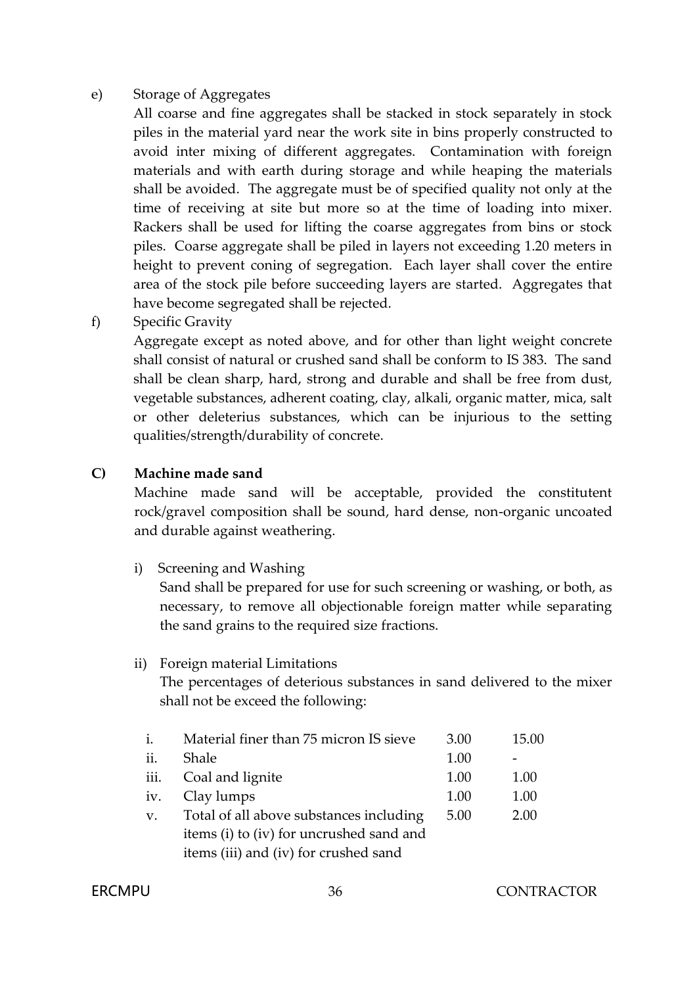#### e) Storage of Aggregates

All coarse and fine aggregates shall be stacked in stock separately in stock piles in the material yard near the work site in bins properly constructed to avoid inter mixing of different aggregates. Contamination with foreign materials and with earth during storage and while heaping the materials shall be avoided. The aggregate must be of specified quality not only at the time of receiving at site but more so at the time of loading into mixer. Rackers shall be used for lifting the coarse aggregates from bins or stock piles. Coarse aggregate shall be piled in layers not exceeding 1.20 meters in height to prevent coning of segregation. Each layer shall cover the entire area of the stock pile before succeeding layers are started. Aggregates that have become segregated shall be rejected.

f) Specific Gravity

Aggregate except as noted above, and for other than light weight concrete shall consist of natural or crushed sand shall be conform to IS 383. The sand shall be clean sharp, hard, strong and durable and shall be free from dust, vegetable substances, adherent coating, clay, alkali, organic matter, mica, salt or other deleterius substances, which can be injurious to the setting qualities/strength/durability of concrete.

#### **C) Machine made sand**

Machine made sand will be acceptable, provided the constitutent rock/gravel composition shall be sound, hard dense, non-organic uncoated and durable against weathering.

i) Screening and Washing

Sand shall be prepared for use for such screening or washing, or both, as necessary, to remove all objectionable foreign matter while separating the sand grains to the required size fractions.

#### ii) Foreign material Limitations

The percentages of deterious substances in sand delivered to the mixer shall not be exceed the following:

| $\mathbf{i}$ . | Material finer than 75 micron IS sieve   | 3.00 | 15.00 |  |  |
|----------------|------------------------------------------|------|-------|--|--|
| ii.            | Shale                                    | 1.00 |       |  |  |
| iii.           | Coal and lignite                         | 1.00 | 1.00  |  |  |
| iv.            | Clay lumps                               | 1.00 | 1.00  |  |  |
| $V_{\rm A}$    | Total of all above substances including  | 5.00 | 2.00  |  |  |
|                | items (i) to (iv) for uncrushed sand and |      |       |  |  |
|                | items (iii) and (iv) for crushed sand    |      |       |  |  |

#### ERCMPU 36 CONTRACTOR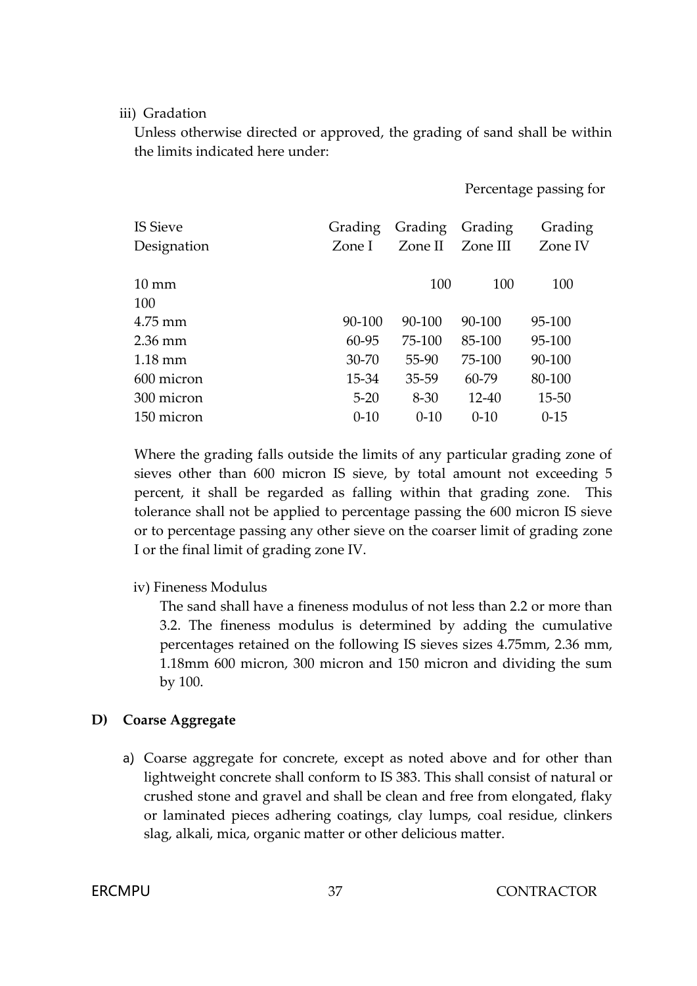#### iii) Gradation

Unless otherwise directed or approved, the grading of sand shall be within the limits indicated here under:

Percentage passing for

| <b>IS Sieve</b>   | Grading   | Grading  | Grading   | Grading   |
|-------------------|-----------|----------|-----------|-----------|
| Designation       | Zone I    | Zone II  | Zone III  | Zone IV   |
|                   |           |          |           |           |
| $10 \text{ mm}$   |           | 100      | 100       | 100       |
| 100               |           |          |           |           |
| $4.75$ mm         | 90-100    | 90-100   | 90-100    | 95-100    |
| $2.36 \text{ mm}$ | 60-95     | 75-100   | 85-100    | 95-100    |
| $1.18 \text{ mm}$ | $30 - 70$ | 55-90    | 75-100    | 90-100    |
| 600 micron        | 15-34     | 35-59    | 60-79     | 80-100    |
| 300 micron        | $5 - 20$  | $8 - 30$ | $12 - 40$ | $15 - 50$ |
| 150 micron        | $0-10$    | $0 - 10$ | $0 - 10$  | $0-15$    |

Where the grading falls outside the limits of any particular grading zone of sieves other than 600 micron IS sieve, by total amount not exceeding 5 percent, it shall be regarded as falling within that grading zone. This tolerance shall not be applied to percentage passing the 600 micron IS sieve or to percentage passing any other sieve on the coarser limit of grading zone I or the final limit of grading zone IV.

iv) Fineness Modulus

The sand shall have a fineness modulus of not less than 2.2 or more than 3.2. The fineness modulus is determined by adding the cumulative percentages retained on the following IS sieves sizes 4.75mm, 2.36 mm, 1.18mm 600 micron, 300 micron and 150 micron and dividing the sum by 100.

#### **D) Coarse Aggregate**

a) Coarse aggregate for concrete, except as noted above and for other than lightweight concrete shall conform to IS 383. This shall consist of natural or crushed stone and gravel and shall be clean and free from elongated, flaky or laminated pieces adhering coatings, clay lumps, coal residue, clinkers slag, alkali, mica, organic matter or other delicious matter.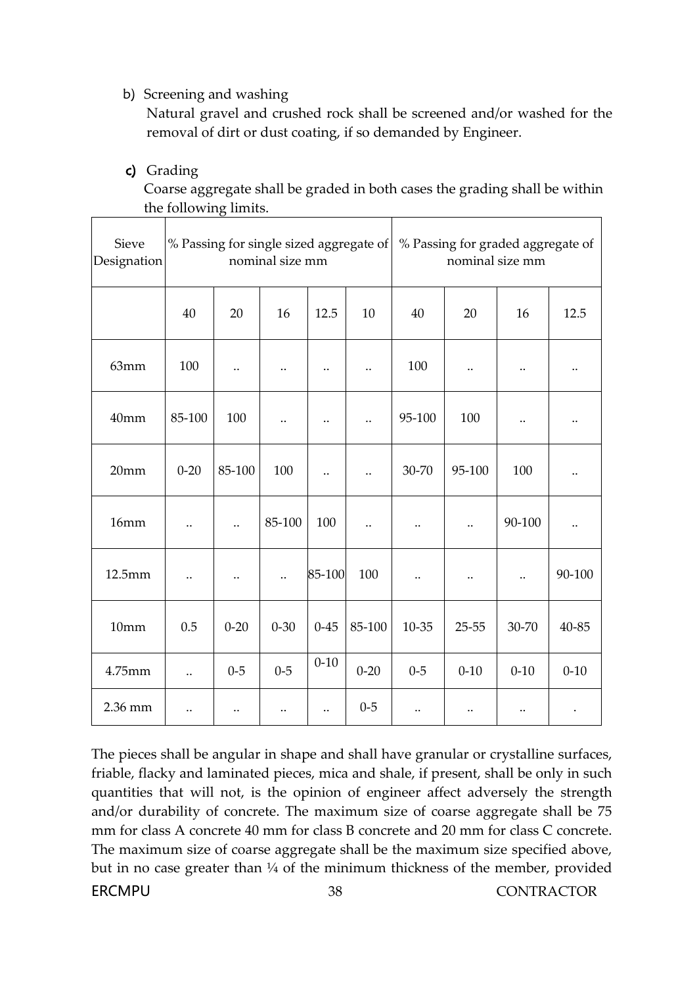## b) Screening and washing

Natural gravel and crushed rock shall be screened and/or washed for the removal of dirt or dust coating, if so demanded by Engineer.

#### c) Grading

Coarse aggregate shall be graded in both cases the grading shall be within the following limits.

| Sieve<br>Designation | % Passing for single sized aggregate of<br>nominal size mm |                      |                      |                      | % Passing for graded aggregate of<br>nominal size mm |           |                      |                      |                      |
|----------------------|------------------------------------------------------------|----------------------|----------------------|----------------------|------------------------------------------------------|-----------|----------------------|----------------------|----------------------|
|                      | 40                                                         | 20                   | 16                   | 12.5                 | 10                                                   | 40        | 20                   | 16                   | 12.5                 |
| 63mm                 | 100                                                        | $\ddot{\phantom{0}}$ |                      | $\ddot{\phantom{0}}$ | $\ddot{\phantom{0}}$                                 | 100       | $\ddot{\phantom{0}}$ |                      | $\ddotsc$            |
| 40mm                 | 85-100                                                     | 100                  | $\ddot{\phantom{0}}$ | $\ddotsc$            | $\ddot{\phantom{0}}\cdot$                            | 95-100    | 100                  | $\ddotsc$            | $\ddotsc$            |
| 20mm                 | $0 - 20$                                                   | 85-100               | 100                  | $\ddot{\phantom{0}}$ | $\ddot{\phantom{0}}$                                 | 30-70     | 95-100               | 100                  |                      |
| 16mm                 | $\ddot{\phantom{0}}$                                       | $\ddot{\phantom{0}}$ | 85-100               | 100                  | $\ddot{\phantom{0}}$                                 |           | $\ddot{\phantom{0}}$ | 90-100               | $\ddot{\phantom{a}}$ |
| 12.5mm               | $\ddot{\phantom{0}}$                                       |                      |                      | 85-100               | 100                                                  |           |                      | $\ddot{\phantom{0}}$ | 90-100               |
| 10mm                 | 0.5                                                        | $0 - 20$             | $0 - 30$             | $0 - 45$             | 85-100                                               | $10 - 35$ | $25 - 55$            | 30-70                | 40-85                |
| 4.75mm               | $\ddot{\phantom{a}}$                                       | $0 - 5$              | $0 - 5$              | $0 - 10$             | $0 - 20$                                             | $0 - 5$   | $0 - 10$             | $0 - 10$             | $0 - 10$             |
| 2.36 mm              | $\ddot{\phantom{0}}$                                       | $\ddot{\phantom{0}}$ |                      | $\ddot{\phantom{0}}$ | $0 - 5$                                              |           |                      |                      |                      |

ERCMPU 38 CONTRACTOR The pieces shall be angular in shape and shall have granular or crystalline surfaces, friable, flacky and laminated pieces, mica and shale, if present, shall be only in such quantities that will not, is the opinion of engineer affect adversely the strength and/or durability of concrete. The maximum size of coarse aggregate shall be 75 mm for class A concrete 40 mm for class B concrete and 20 mm for class C concrete. The maximum size of coarse aggregate shall be the maximum size specified above, but in no case greater than 1/4 of the minimum thickness of the member, provided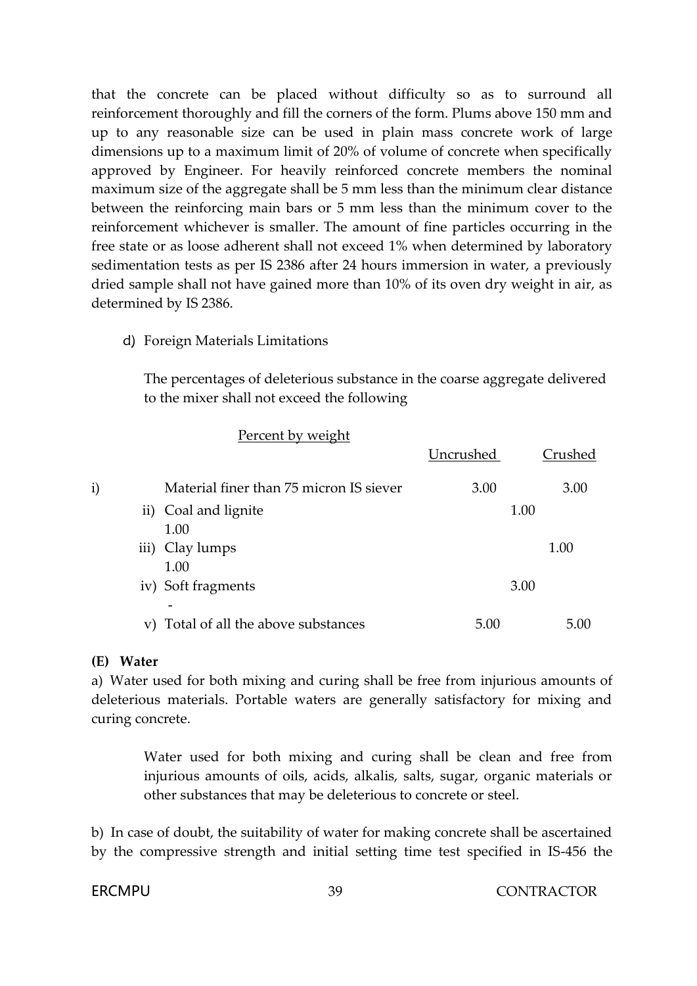that the concrete can be placed without difficulty so as to surround all reinforcement thoroughly and fill the corners of the form. Plums above 150 mm and up to any reasonable size can be used in plain mass concrete work of large dimensions up to a maximum limit of 20% of volume of concrete when specifically approved by Engineer. For heavily reinforced concrete members the nominal maximum size of the aggregate shall be 5 mm less than the minimum clear distance between the reinforcing main bars or 5 mm less than the minimum cover to the reinforcement whichever is smaller. The amount of fine particles occurring in the free state or as loose adherent shall not exceed 1% when determined by laboratory sedimentation tests as per IS 2386 after 24 hours immersion in water, a previously dried sample shall not have gained more than 10% of its oven dry weight in air, as determined by IS 2386.

d) Foreign Materials Limitations

The percentages of deleterious substance in the coarse aggregate delivered to the mixer shall not exceed the following

|    |                                         | Uncrushed | Crushed |
|----|-----------------------------------------|-----------|---------|
| i) | Material finer than 75 micron IS siever | 3.00      | 3.00    |
|    | ii) Coal and lignite<br>1.00            |           | 1.00    |
|    | iii) Clay lumps<br>1.00                 |           | 1.00    |
|    | iv) Soft fragments                      |           | 3.00    |
| V) | Total of all the above substances       | 5.00      | 5(00)   |

Percent by weight

#### **(E) Water**

a) Water used for both mixing and curing shall be free from injurious amounts of deleterious materials. Portable waters are generally satisfactory for mixing and curing concrete.

> Water used for both mixing and curing shall be clean and free from injurious amounts of oils, acids, alkalis, salts, sugar, organic materials or other substances that may be deleterious to concrete or steel.

b) In case of doubt, the suitability of water for making concrete shall be ascertained by the compressive strength and initial setting time test specified in IS-456 the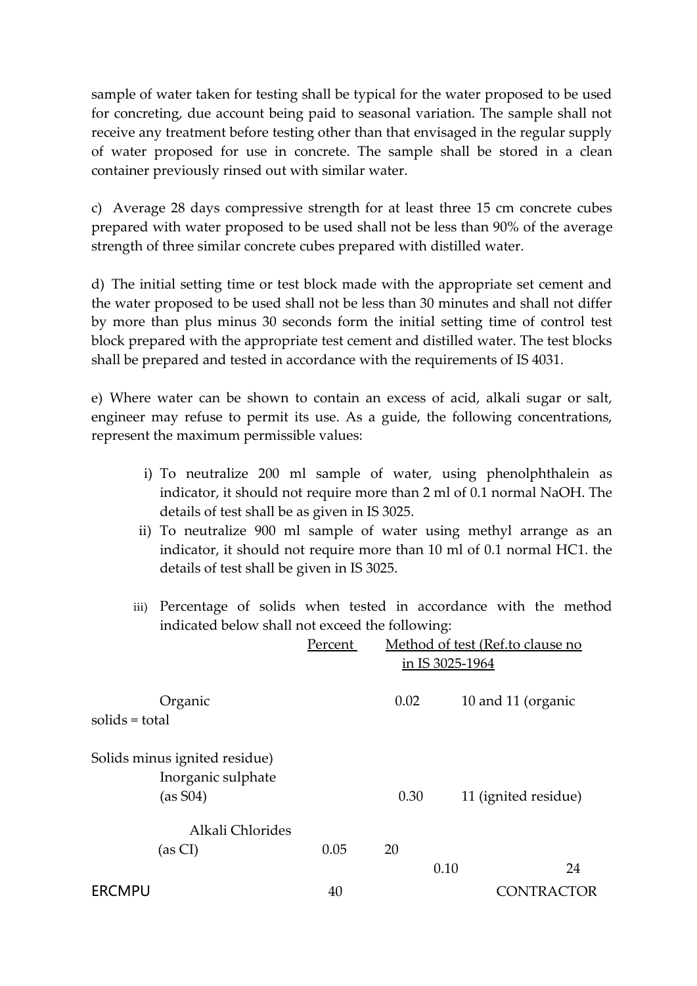sample of water taken for testing shall be typical for the water proposed to be used for concreting, due account being paid to seasonal variation. The sample shall not receive any treatment before testing other than that envisaged in the regular supply of water proposed for use in concrete. The sample shall be stored in a clean container previously rinsed out with similar water.

c) Average 28 days compressive strength for at least three 15 cm concrete cubes prepared with water proposed to be used shall not be less than 90% of the average strength of three similar concrete cubes prepared with distilled water.

d) The initial setting time or test block made with the appropriate set cement and the water proposed to be used shall not be less than 30 minutes and shall not differ by more than plus minus 30 seconds form the initial setting time of control test block prepared with the appropriate test cement and distilled water. The test blocks shall be prepared and tested in accordance with the requirements of IS 4031.

e) Where water can be shown to contain an excess of acid, alkali sugar or salt, engineer may refuse to permit its use. As a guide, the following concentrations, represent the maximum permissible values:

- i) To neutralize 200 ml sample of water, using phenolphthalein as indicator, it should not require more than 2 ml of 0.1 normal NaOH. The details of test shall be as given in IS 3025.
- ii) To neutralize 900 ml sample of water using methyl arrange as an indicator, it should not require more than 10 ml of 0.1 normal HC1. the details of test shall be given in IS 3025.
- iii) Percentage of solids when tested in accordance with the method indicated below shall not exceed the following:

|                                                                 | Percent | Method of test (Ref.to clause no<br>in IS 3025-1964 |                      |  |
|-----------------------------------------------------------------|---------|-----------------------------------------------------|----------------------|--|
| Organic<br>solids = total                                       |         | 0.02                                                | 10 and 11 (organic   |  |
| Solids minus ignited residue)<br>Inorganic sulphate<br>(as S04) |         | 0.30                                                | 11 (ignited residue) |  |
| Alkali Chlorides<br>(as CI)                                     | 0.05    | 20                                                  |                      |  |
|                                                                 |         |                                                     | 0.10<br>24           |  |
| <b>ERCMPU</b>                                                   | 40      |                                                     | vikactor             |  |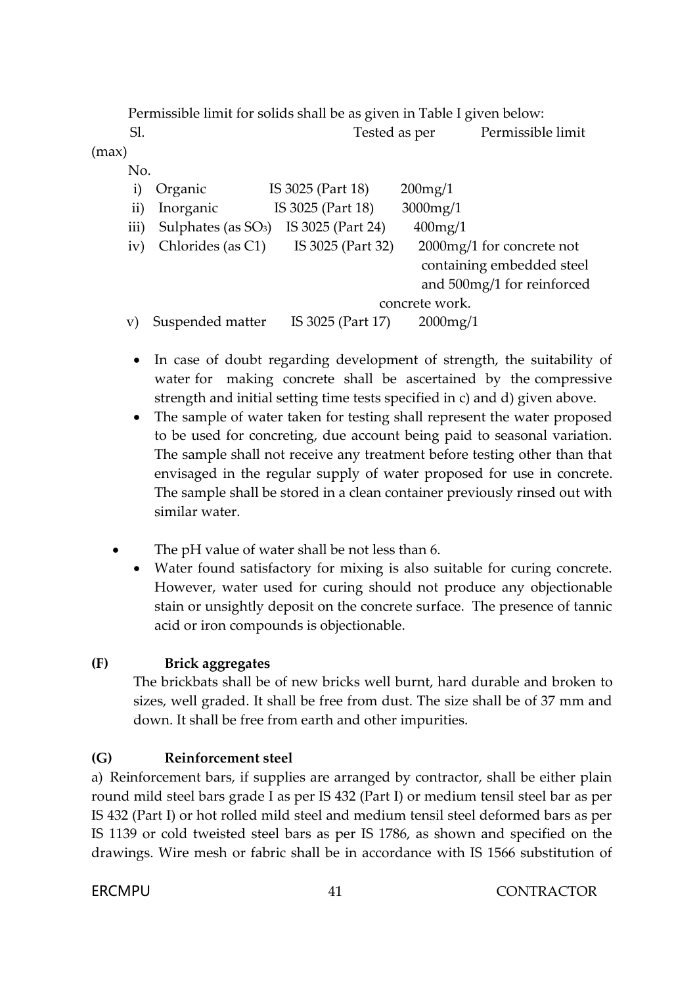Permissible limit for solids shall be as given in Table I given below:

Sl. Tested as per Permissible limit (max) No. i) Organic IS 3025 (Part 18) 200mg/1 ii) Inorganic IS 3025 (Part 18) 3000mg/1 iii) Sulphates (as  $SO_3$ ) IS 3025 (Part 24) 400mg/1 iv) Chlorides (as C1) IS 3025 (Part 32) 2000mg/1 for concrete not containing embedded steel and 500mg/1 for reinforced concrete work.

v) Suspended matter IS 3025 (Part 17) 2000mg/1

- In case of doubt regarding development of strength, the suitability of water for making concrete shall be ascertained by the compressive strength and initial setting time tests specified in c) and d) given above.
- The sample of water taken for testing shall represent the water proposed to be used for concreting, due account being paid to seasonal variation. The sample shall not receive any treatment before testing other than that envisaged in the regular supply of water proposed for use in concrete. The sample shall be stored in a clean container previously rinsed out with similar water.
- The pH value of water shall be not less than 6.
	- Water found satisfactory for mixing is also suitable for curing concrete. However, water used for curing should not produce any objectionable stain or unsightly deposit on the concrete surface. The presence of tannic acid or iron compounds is objectionable.

## **(F) Brick aggregates**

The brickbats shall be of new bricks well burnt, hard durable and broken to sizes, well graded. It shall be free from dust. The size shall be of 37 mm and down. It shall be free from earth and other impurities.

## **(G) Reinforcement steel**

a) Reinforcement bars, if supplies are arranged by contractor, shall be either plain round mild steel bars grade I as per IS 432 (Part I) or medium tensil steel bar as per IS 432 (Part I) or hot rolled mild steel and medium tensil steel deformed bars as per IS 1139 or cold tweisted steel bars as per IS 1786, as shown and specified on the drawings. Wire mesh or fabric shall be in accordance with IS 1566 substitution of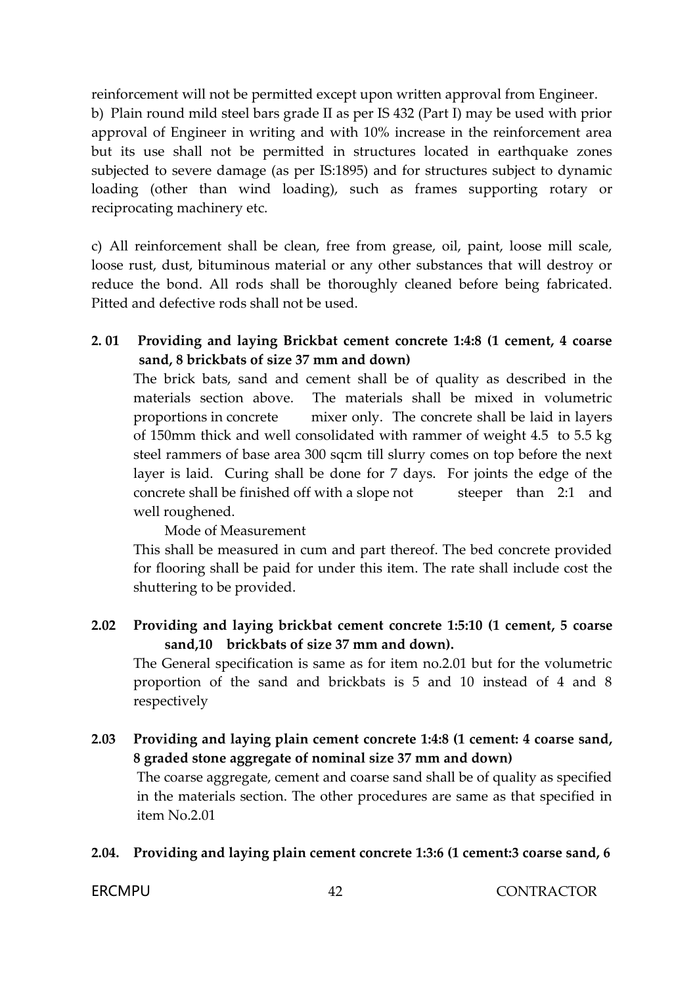reinforcement will not be permitted except upon written approval from Engineer.

b) Plain round mild steel bars grade II as per IS 432 (Part I) may be used with prior approval of Engineer in writing and with 10% increase in the reinforcement area but its use shall not be permitted in structures located in earthquake zones subjected to severe damage (as per IS:1895) and for structures subject to dynamic loading (other than wind loading), such as frames supporting rotary or reciprocating machinery etc.

c) All reinforcement shall be clean, free from grease, oil, paint, loose mill scale, loose rust, dust, bituminous material or any other substances that will destroy or reduce the bond. All rods shall be thoroughly cleaned before being fabricated. Pitted and defective rods shall not be used.

## **2. 01 Providing and laying Brickbat cement concrete 1:4:8 (1 cement, 4 coarse sand, 8 brickbats of size 37 mm and down)**

The brick bats, sand and cement shall be of quality as described in the materials section above. The materials shall be mixed in volumetric proportions in concrete mixer only. The concrete shall be laid in layers of 150mm thick and well consolidated with rammer of weight 4.5 to 5.5 kg steel rammers of base area 300 sqcm till slurry comes on top before the next layer is laid. Curing shall be done for 7 days. For joints the edge of the concrete shall be finished off with a slope not steeper than 2:1 and well roughened.

#### Mode of Measurement

This shall be measured in cum and part thereof. The bed concrete provided for flooring shall be paid for under this item. The rate shall include cost the shuttering to be provided.

## **2.02 Providing and laying brickbat cement concrete 1:5:10 (1 cement, 5 coarse sand,10 brickbats of size 37 mm and down).**

The General specification is same as for item no.2.01 but for the volumetric proportion of the sand and brickbats is 5 and 10 instead of 4 and 8 respectively

**2.03 Providing and laying plain cement concrete 1:4:8 (1 cement: 4 coarse sand, 8 graded stone aggregate of nominal size 37 mm and down)**

The coarse aggregate, cement and coarse sand shall be of quality as specified in the materials section. The other procedures are same as that specified in item No.2.01

## **2.04. Providing and laying plain cement concrete 1:3:6 (1 cement:3 coarse sand, 6**

#### ERCMPU 42 CONTRACTOR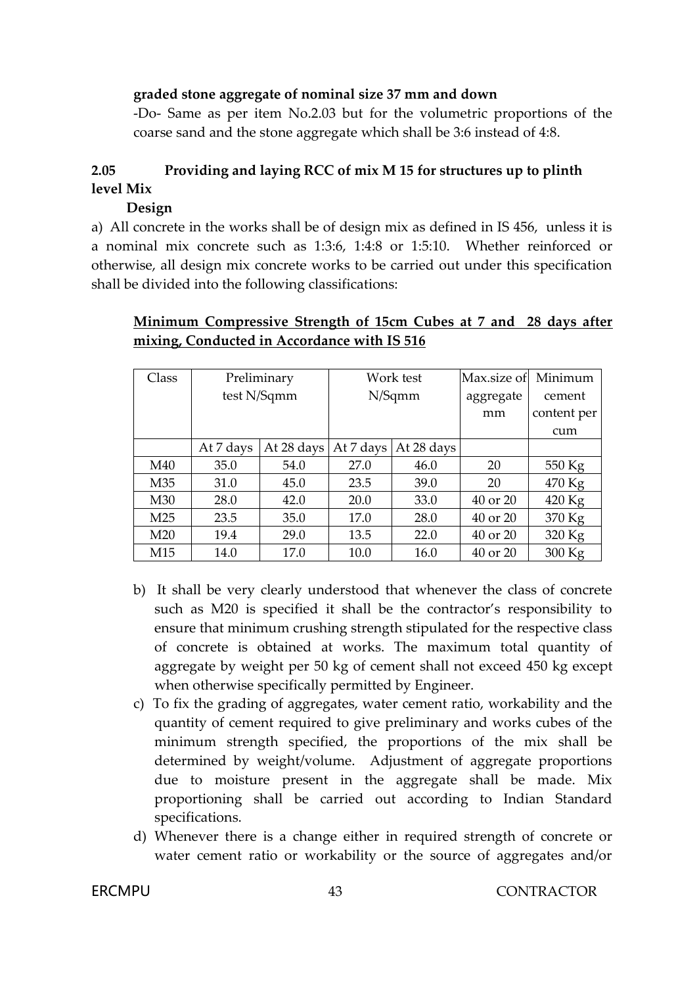#### **graded stone aggregate of nominal size 37 mm and down**

-Do- Same as per item No.2.03 but for the volumetric proportions of the coarse sand and the stone aggregate which shall be 3:6 instead of 4:8.

# **2.05 Providing and laying RCC of mix M 15 for structures up to plinth level Mix**

## **Design**

a) All concrete in the works shall be of design mix as defined in IS 456, unless it is a nominal mix concrete such as 1:3:6, 1:4:8 or 1:5:10. Whether reinforced or otherwise, all design mix concrete works to be carried out under this specification shall be divided into the following classifications:

# **Minimum Compressive Strength of 15cm Cubes at 7 and 28 days after mixing, Conducted in Accordance with IS 516**

| Class           | Preliminary |            | Work test |            | Max.size of  | Minimum     |
|-----------------|-------------|------------|-----------|------------|--------------|-------------|
|                 | test N/Sqmm |            | N/Sqmm    |            | aggregate    | cement      |
|                 |             |            |           |            | mm           | content per |
|                 |             |            |           |            |              | cum         |
|                 | At 7 days   | At 28 days | At 7 days | At 28 days |              |             |
| M40             | 35.0        | 54.0       | 27.0      | 46.0       | 20           | 550 Kg      |
| M35             | 31.0        | 45.0       | 23.5      | 39.0       | 20           | 470 Kg      |
| M30             | 28.0        | 42.0       | 20.0      | 33.0       | $40$ or $20$ | $420$ Kg    |
| M <sub>25</sub> | 23.5        | 35.0       | 17.0      | 28.0       | 40 or 20     | 370 Kg      |
| M <sub>20</sub> | 19.4        | 29.0       | 13.5      | 22.0       | 40 or 20     | 320 Kg      |
| M <sub>15</sub> | 14.0        | 17.0       | 10.0      | 16.0       | 40 or 20     | 300 Kg      |

- b) It shall be very clearly understood that whenever the class of concrete such as M20 is specified it shall be the contractor's responsibility to ensure that minimum crushing strength stipulated for the respective class of concrete is obtained at works. The maximum total quantity of aggregate by weight per 50 kg of cement shall not exceed 450 kg except when otherwise specifically permitted by Engineer.
- c) To fix the grading of aggregates, water cement ratio, workability and the quantity of cement required to give preliminary and works cubes of the minimum strength specified, the proportions of the mix shall be determined by weight/volume. Adjustment of aggregate proportions due to moisture present in the aggregate shall be made. Mix proportioning shall be carried out according to Indian Standard specifications.
- d) Whenever there is a change either in required strength of concrete or water cement ratio or workability or the source of aggregates and/or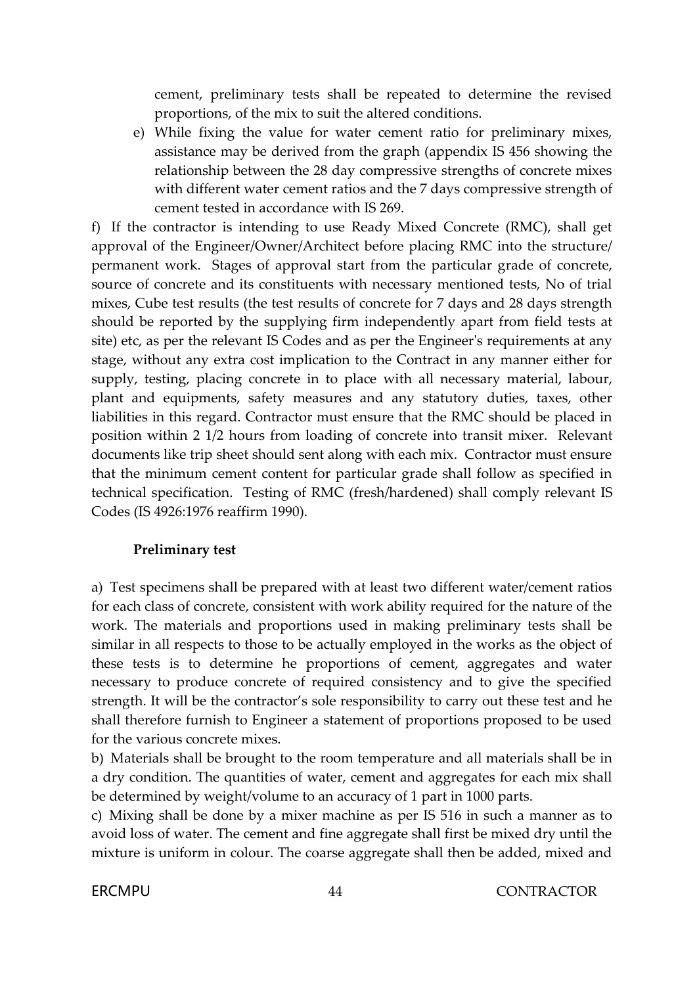cement, preliminary tests shall be repeated to determine the revised proportions, of the mix to suit the altered conditions.

e) While fixing the value for water cement ratio for preliminary mixes, assistance may be derived from the graph (appendix IS 456 showing the relationship between the 28 day compressive strengths of concrete mixes with different water cement ratios and the 7 days compressive strength of cement tested in accordance with IS 269.

f) If the contractor is intending to use Ready Mixed Concrete (RMC), shall get approval of the Engineer/Owner/Architect before placing RMC into the structure/ permanent work. Stages of approval start from the particular grade of concrete, source of concrete and its constituents with necessary mentioned tests, No of trial mixes, Cube test results (the test results of concrete for 7 days and 28 days strength should be reported by the supplying firm independently apart from field tests at site) etc, as per the relevant IS Codes and as per the Engineer's requirements at any stage, without any extra cost implication to the Contract in any manner either for supply, testing, placing concrete in to place with all necessary material, labour, plant and equipments, safety measures and any statutory duties, taxes, other liabilities in this regard. Contractor must ensure that the RMC should be placed in position within 2 1/2 hours from loading of concrete into transit mixer. Relevant documents like trip sheet should sent along with each mix. Contractor must ensure that the minimum cement content for particular grade shall follow as specified in technical specification. Testing of RMC (fresh/hardened) shall comply relevant IS Codes (IS 4926:1976 reaffirm 1990).

#### **Preliminary test**

a) Test specimens shall be prepared with at least two different water/cement ratios for each class of concrete, consistent with work ability required for the nature of the work. The materials and proportions used in making preliminary tests shall be similar in all respects to those to be actually employed in the works as the object of these tests is to determine he proportions of cement, aggregates and water necessary to produce concrete of required consistency and to give the specified strength. It will be the contractor's sole responsibility to carry out these test and he shall therefore furnish to Engineer a statement of proportions proposed to be used for the various concrete mixes.

b) Materials shall be brought to the room temperature and all materials shall be in a dry condition. The quantities of water, cement and aggregates for each mix shall be determined by weight/volume to an accuracy of 1 part in 1000 parts.

c) Mixing shall be done by a mixer machine as per IS 516 in such a manner as to avoid loss of water. The cement and fine aggregate shall first be mixed dry until the mixture is uniform in colour. The coarse aggregate shall then be added, mixed and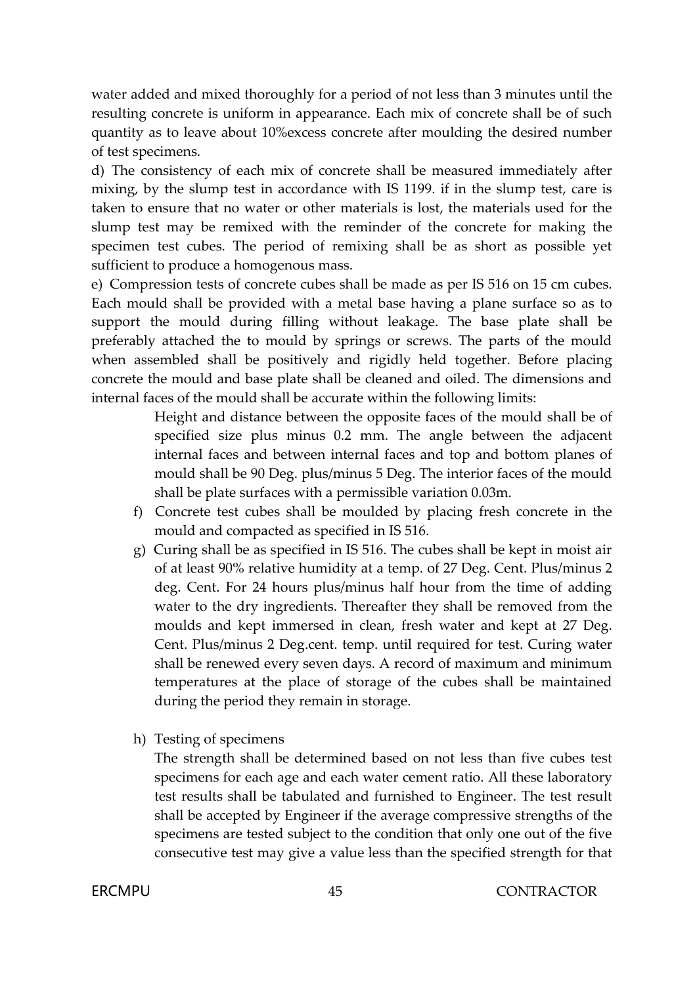water added and mixed thoroughly for a period of not less than 3 minutes until the resulting concrete is uniform in appearance. Each mix of concrete shall be of such quantity as to leave about 10%excess concrete after moulding the desired number of test specimens.

d) The consistency of each mix of concrete shall be measured immediately after mixing, by the slump test in accordance with IS 1199. if in the slump test, care is taken to ensure that no water or other materials is lost, the materials used for the slump test may be remixed with the reminder of the concrete for making the specimen test cubes. The period of remixing shall be as short as possible yet sufficient to produce a homogenous mass.

e) Compression tests of concrete cubes shall be made as per IS 516 on 15 cm cubes. Each mould shall be provided with a metal base having a plane surface so as to support the mould during filling without leakage. The base plate shall be preferably attached the to mould by springs or screws. The parts of the mould when assembled shall be positively and rigidly held together. Before placing concrete the mould and base plate shall be cleaned and oiled. The dimensions and internal faces of the mould shall be accurate within the following limits:

> Height and distance between the opposite faces of the mould shall be of specified size plus minus 0.2 mm. The angle between the adjacent internal faces and between internal faces and top and bottom planes of mould shall be 90 Deg. plus/minus 5 Deg. The interior faces of the mould shall be plate surfaces with a permissible variation 0.03m.

- f) Concrete test cubes shall be moulded by placing fresh concrete in the mould and compacted as specified in IS 516.
- g) Curing shall be as specified in IS 516. The cubes shall be kept in moist air of at least 90% relative humidity at a temp. of 27 Deg. Cent. Plus/minus 2 deg. Cent. For 24 hours plus/minus half hour from the time of adding water to the dry ingredients. Thereafter they shall be removed from the moulds and kept immersed in clean, fresh water and kept at 27 Deg. Cent. Plus/minus 2 Deg.cent. temp. until required for test. Curing water shall be renewed every seven days. A record of maximum and minimum temperatures at the place of storage of the cubes shall be maintained during the period they remain in storage.
- h) Testing of specimens

The strength shall be determined based on not less than five cubes test specimens for each age and each water cement ratio. All these laboratory test results shall be tabulated and furnished to Engineer. The test result shall be accepted by Engineer if the average compressive strengths of the specimens are tested subject to the condition that only one out of the five consecutive test may give a value less than the specified strength for that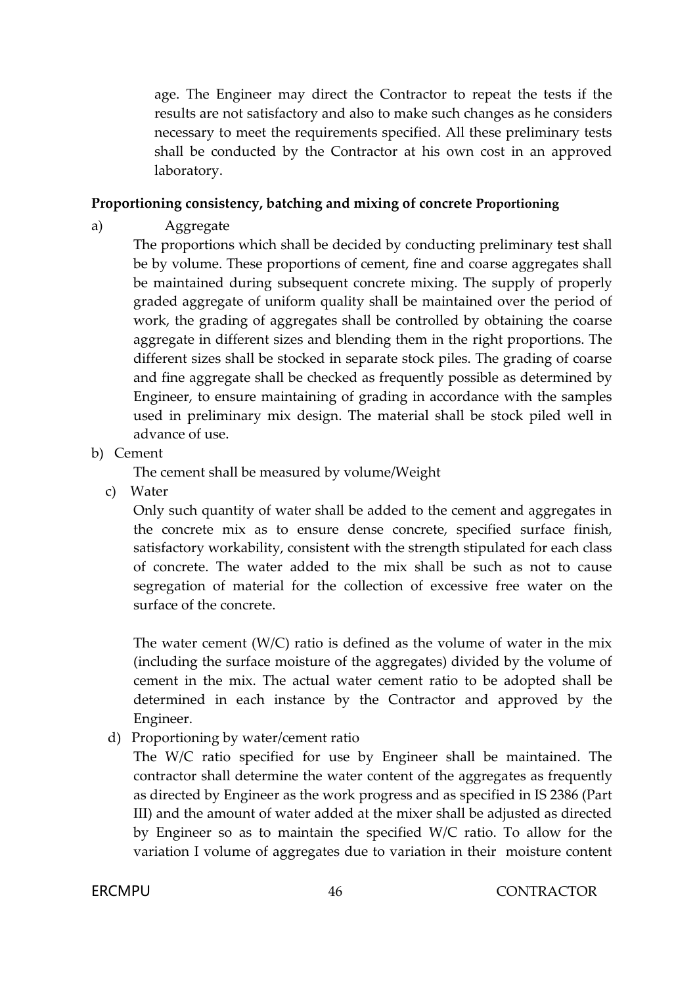age. The Engineer may direct the Contractor to repeat the tests if the results are not satisfactory and also to make such changes as he considers necessary to meet the requirements specified. All these preliminary tests shall be conducted by the Contractor at his own cost in an approved laboratory.

#### **Proportioning consistency, batching and mixing of concrete Proportioning**

a) Aggregate

The proportions which shall be decided by conducting preliminary test shall be by volume. These proportions of cement, fine and coarse aggregates shall be maintained during subsequent concrete mixing. The supply of properly graded aggregate of uniform quality shall be maintained over the period of work, the grading of aggregates shall be controlled by obtaining the coarse aggregate in different sizes and blending them in the right proportions. The different sizes shall be stocked in separate stock piles. The grading of coarse and fine aggregate shall be checked as frequently possible as determined by Engineer, to ensure maintaining of grading in accordance with the samples used in preliminary mix design. The material shall be stock piled well in advance of use.

b) Cement

The cement shall be measured by volume/Weight

c) Water

Only such quantity of water shall be added to the cement and aggregates in the concrete mix as to ensure dense concrete, specified surface finish, satisfactory workability, consistent with the strength stipulated for each class of concrete. The water added to the mix shall be such as not to cause segregation of material for the collection of excessive free water on the surface of the concrete.

The water cement  $(W/C)$  ratio is defined as the volume of water in the mix (including the surface moisture of the aggregates) divided by the volume of cement in the mix. The actual water cement ratio to be adopted shall be determined in each instance by the Contractor and approved by the Engineer.

d) Proportioning by water/cement ratio

The W/C ratio specified for use by Engineer shall be maintained. The contractor shall determine the water content of the aggregates as frequently as directed by Engineer as the work progress and as specified in IS 2386 (Part III) and the amount of water added at the mixer shall be adjusted as directed by Engineer so as to maintain the specified W/C ratio. To allow for the variation I volume of aggregates due to variation in their moisture content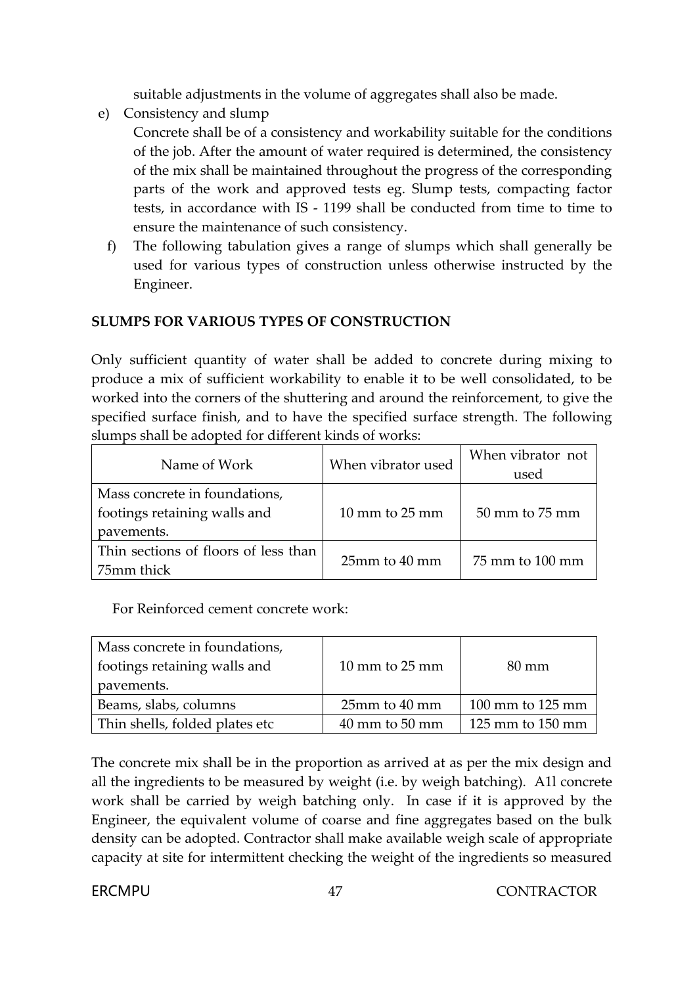suitable adjustments in the volume of aggregates shall also be made.

e) Consistency and slump

Concrete shall be of a consistency and workability suitable for the conditions of the job. After the amount of water required is determined, the consistency of the mix shall be maintained throughout the progress of the corresponding parts of the work and approved tests eg. Slump tests, compacting factor tests, in accordance with IS - 1199 shall be conducted from time to time to ensure the maintenance of such consistency.

f) The following tabulation gives a range of slumps which shall generally be used for various types of construction unless otherwise instructed by the Engineer.

## **SLUMPS FOR VARIOUS TYPES OF CONSTRUCTION**

Only sufficient quantity of water shall be added to concrete during mixing to produce a mix of sufficient workability to enable it to be well consolidated, to be worked into the corners of the shuttering and around the reinforcement, to give the specified surface finish, and to have the specified surface strength. The following slumps shall be adopted for different kinds of works:

| Name of Work                                                                | When vibrator used                 | When vibrator not<br>used |  |
|-----------------------------------------------------------------------------|------------------------------------|---------------------------|--|
| Mass concrete in foundations,<br>footings retaining walls and<br>pavements. | $10 \text{ mm}$ to $25 \text{ mm}$ | 50 mm to 75 mm            |  |
| Thin sections of floors of less than<br>75mm thick                          | $25$ mm to $40$ mm                 | $75$ mm to $100$ mm       |  |

For Reinforced cement concrete work:

| Mass concrete in foundations,<br>footings retaining walls and<br>pavements. | $10 \text{ mm}$ to $25 \text{ mm}$ | $80 \text{ mm}$                      |
|-----------------------------------------------------------------------------|------------------------------------|--------------------------------------|
| Beams, slabs, columns                                                       | $25mm$ to $40~mm$                  | $100 \text{ mm}$ to $125 \text{ mm}$ |
| Thin shells, folded plates etc                                              | $40 \text{ mm}$ to $50 \text{ mm}$ | $125$ mm to $150$ mm                 |

The concrete mix shall be in the proportion as arrived at as per the mix design and all the ingredients to be measured by weight (i.e. by weigh batching). A1l concrete work shall be carried by weigh batching only. In case if it is approved by the Engineer, the equivalent volume of coarse and fine aggregates based on the bulk density can be adopted. Contractor shall make available weigh scale of appropriate capacity at site for intermittent checking the weight of the ingredients so measured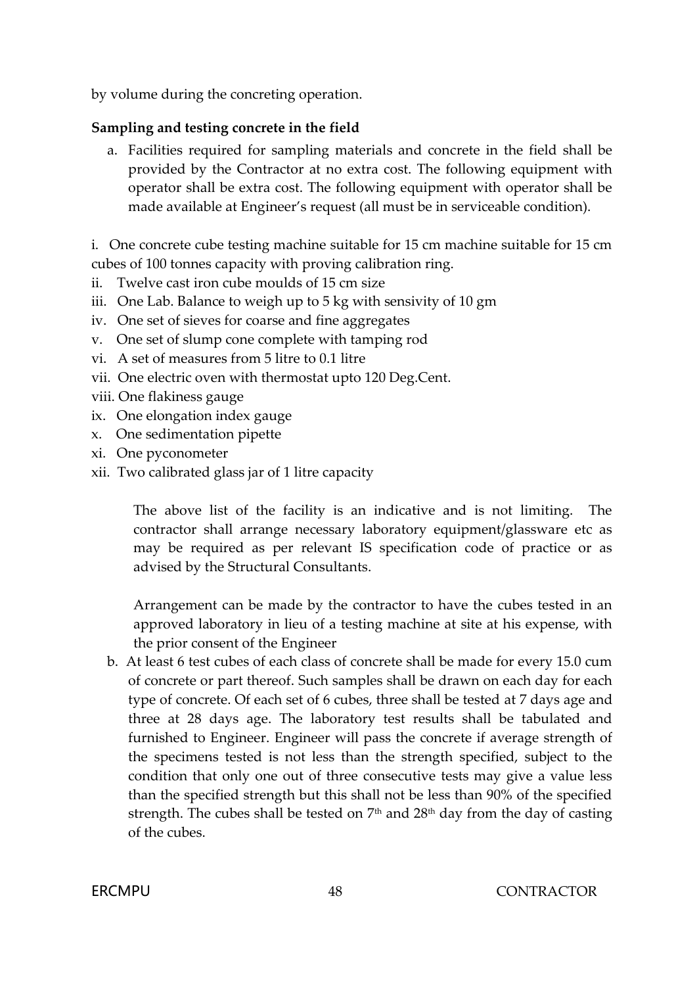by volume during the concreting operation.

## **Sampling and testing concrete in the field**

a. Facilities required for sampling materials and concrete in the field shall be provided by the Contractor at no extra cost. The following equipment with operator shall be extra cost. The following equipment with operator shall be made available at Engineer's request (all must be in serviceable condition).

i. One concrete cube testing machine suitable for 15 cm machine suitable for 15 cm cubes of 100 tonnes capacity with proving calibration ring.

- ii. Twelve cast iron cube moulds of 15 cm size
- iii. One Lab. Balance to weigh up to 5 kg with sensivity of 10 gm
- iv. One set of sieves for coarse and fine aggregates
- v. One set of slump cone complete with tamping rod
- vi. A set of measures from 5 litre to 0.1 litre
- vii. One electric oven with thermostat upto 120 Deg.Cent.
- viii. One flakiness gauge
- ix. One elongation index gauge
- x. One sedimentation pipette
- xi. One pyconometer
- xii. Two calibrated glass jar of 1 litre capacity

The above list of the facility is an indicative and is not limiting. The contractor shall arrange necessary laboratory equipment/glassware etc as may be required as per relevant IS specification code of practice or as advised by the Structural Consultants.

Arrangement can be made by the contractor to have the cubes tested in an approved laboratory in lieu of a testing machine at site at his expense, with the prior consent of the Engineer

b. At least 6 test cubes of each class of concrete shall be made for every 15.0 cum of concrete or part thereof. Such samples shall be drawn on each day for each type of concrete. Of each set of 6 cubes, three shall be tested at 7 days age and three at 28 days age. The laboratory test results shall be tabulated and furnished to Engineer. Engineer will pass the concrete if average strength of the specimens tested is not less than the strength specified, subject to the condition that only one out of three consecutive tests may give a value less than the specified strength but this shall not be less than 90% of the specified strength. The cubes shall be tested on  $7<sup>th</sup>$  and  $28<sup>th</sup>$  day from the day of casting of the cubes.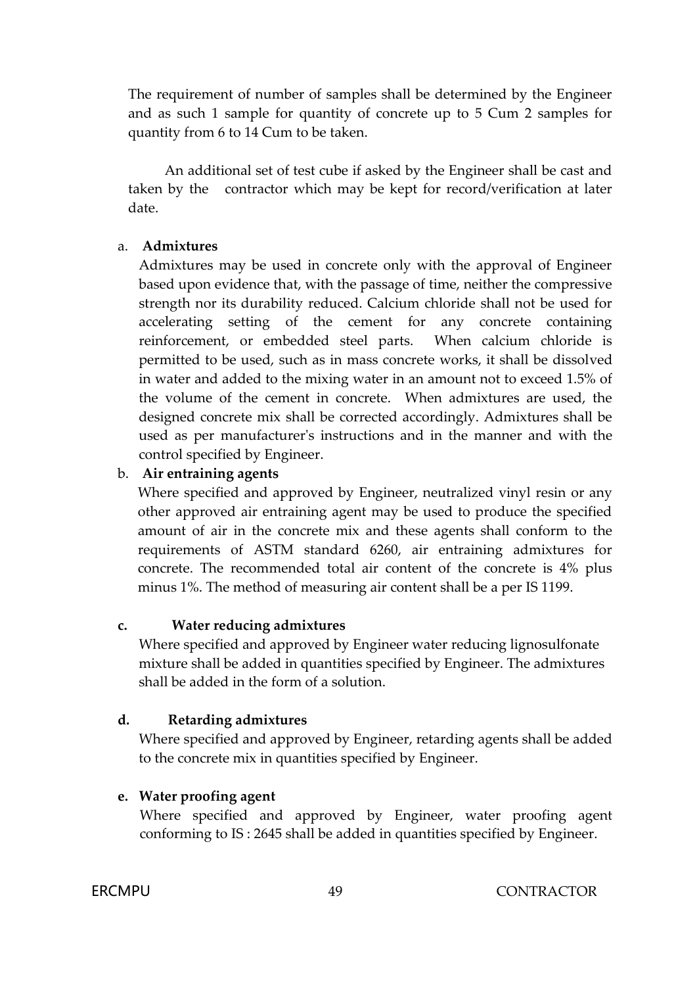The requirement of number of samples shall be determined by the Engineer and as such 1 sample for quantity of concrete up to 5 Cum 2 samples for quantity from 6 to 14 Cum to be taken.

An additional set of test cube if asked by the Engineer shall be cast and taken by the contractor which may be kept for record/verification at later date.

#### a. **Admixtures**

Admixtures may be used in concrete only with the approval of Engineer based upon evidence that, with the passage of time, neither the compressive strength nor its durability reduced. Calcium chloride shall not be used for accelerating setting of the cement for any concrete containing reinforcement, or embedded steel parts. When calcium chloride is permitted to be used, such as in mass concrete works, it shall be dissolved in water and added to the mixing water in an amount not to exceed 1.5% of the volume of the cement in concrete. When admixtures are used, the designed concrete mix shall be corrected accordingly. Admixtures shall be used as per manufacturer's instructions and in the manner and with the control specified by Engineer.

#### b. **Air entraining agents**

Where specified and approved by Engineer, neutralized vinyl resin or any other approved air entraining agent may be used to produce the specified amount of air in the concrete mix and these agents shall conform to the requirements of ASTM standard 6260, air entraining admixtures for concrete. The recommended total air content of the concrete is 4% plus minus 1%. The method of measuring air content shall be a per IS 1199.

#### **c. Water reducing admixtures**

Where specified and approved by Engineer water reducing lignosulfonate mixture shall be added in quantities specified by Engineer. The admixtures shall be added in the form of a solution.

#### **d. Retarding admixtures**

Where specified and approved by Engineer, retarding agents shall be added to the concrete mix in quantities specified by Engineer.

## **e. Water proofing agent**

Where specified and approved by Engineer, water proofing agent conforming to IS : 2645 shall be added in quantities specified by Engineer.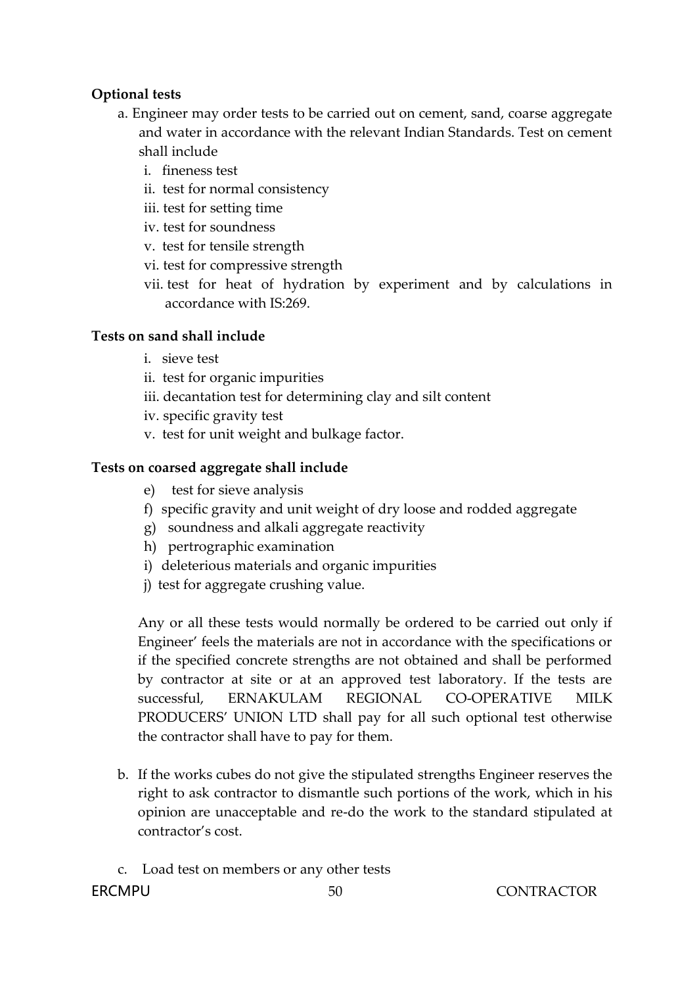## **Optional tests**

- a. Engineer may order tests to be carried out on cement, sand, coarse aggregate and water in accordance with the relevant Indian Standards. Test on cement shall include
	- i. fineness test
	- ii. test for normal consistency
	- iii. test for setting time
	- iv. test for soundness
	- v. test for tensile strength
	- vi. test for compressive strength
	- vii. test for heat of hydration by experiment and by calculations in accordance with IS:269.

## **Tests on sand shall include**

- i. sieve test
- ii. test for organic impurities
- iii. decantation test for determining clay and silt content
- iv. specific gravity test
- v. test for unit weight and bulkage factor.

## **Tests on coarsed aggregate shall include**

- e) test for sieve analysis
- f) specific gravity and unit weight of dry loose and rodded aggregate
- g) soundness and alkali aggregate reactivity
- h) pertrographic examination
- i) deleterious materials and organic impurities
- j) test for aggregate crushing value.

Any or all these tests would normally be ordered to be carried out only if Engineer' feels the materials are not in accordance with the specifications or if the specified concrete strengths are not obtained and shall be performed by contractor at site or at an approved test laboratory. If the tests are successful, ERNAKULAM REGIONAL CO-OPERATIVE MILK PRODUCERS' UNION LTD shall pay for all such optional test otherwise the contractor shall have to pay for them.

- b. If the works cubes do not give the stipulated strengths Engineer reserves the right to ask contractor to dismantle such portions of the work, which in his opinion are unacceptable and re-do the work to the standard stipulated at contractor's cost.
- c. Load test on members or any other tests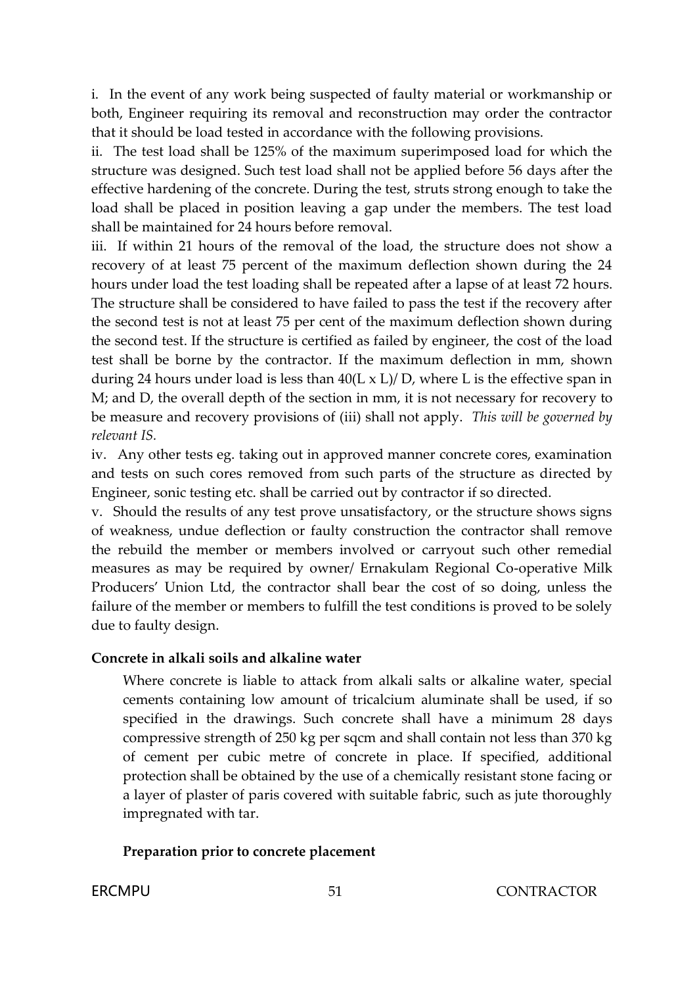i. In the event of any work being suspected of faulty material or workmanship or both, Engineer requiring its removal and reconstruction may order the contractor that it should be load tested in accordance with the following provisions.

ii. The test load shall be 125% of the maximum superimposed load for which the structure was designed. Such test load shall not be applied before 56 days after the effective hardening of the concrete. During the test, struts strong enough to take the load shall be placed in position leaving a gap under the members. The test load shall be maintained for 24 hours before removal.

iii. If within 21 hours of the removal of the load, the structure does not show a recovery of at least 75 percent of the maximum deflection shown during the 24 hours under load the test loading shall be repeated after a lapse of at least 72 hours. The structure shall be considered to have failed to pass the test if the recovery after the second test is not at least 75 per cent of the maximum deflection shown during the second test. If the structure is certified as failed by engineer, the cost of the load test shall be borne by the contractor. If the maximum deflection in mm, shown during 24 hours under load is less than  $40(L \times L)/D$ , where L is the effective span in M; and D, the overall depth of the section in mm, it is not necessary for recovery to be measure and recovery provisions of (iii) shall not apply. *This will be governed by relevant IS.*

iv. Any other tests eg. taking out in approved manner concrete cores, examination and tests on such cores removed from such parts of the structure as directed by Engineer, sonic testing etc. shall be carried out by contractor if so directed.

v. Should the results of any test prove unsatisfactory, or the structure shows signs of weakness, undue deflection or faulty construction the contractor shall remove the rebuild the member or members involved or carryout such other remedial measures as may be required by owner/ Ernakulam Regional Co-operative Milk Producers' Union Ltd, the contractor shall bear the cost of so doing, unless the failure of the member or members to fulfill the test conditions is proved to be solely due to faulty design.

#### **Concrete in alkali soils and alkaline water**

Where concrete is liable to attack from alkali salts or alkaline water, special cements containing low amount of tricalcium aluminate shall be used, if so specified in the drawings. Such concrete shall have a minimum 28 days compressive strength of 250 kg per sqcm and shall contain not less than 370 kg of cement per cubic metre of concrete in place. If specified, additional protection shall be obtained by the use of a chemically resistant stone facing or a layer of plaster of paris covered with suitable fabric, such as jute thoroughly impregnated with tar.

## **Preparation prior to concrete placement**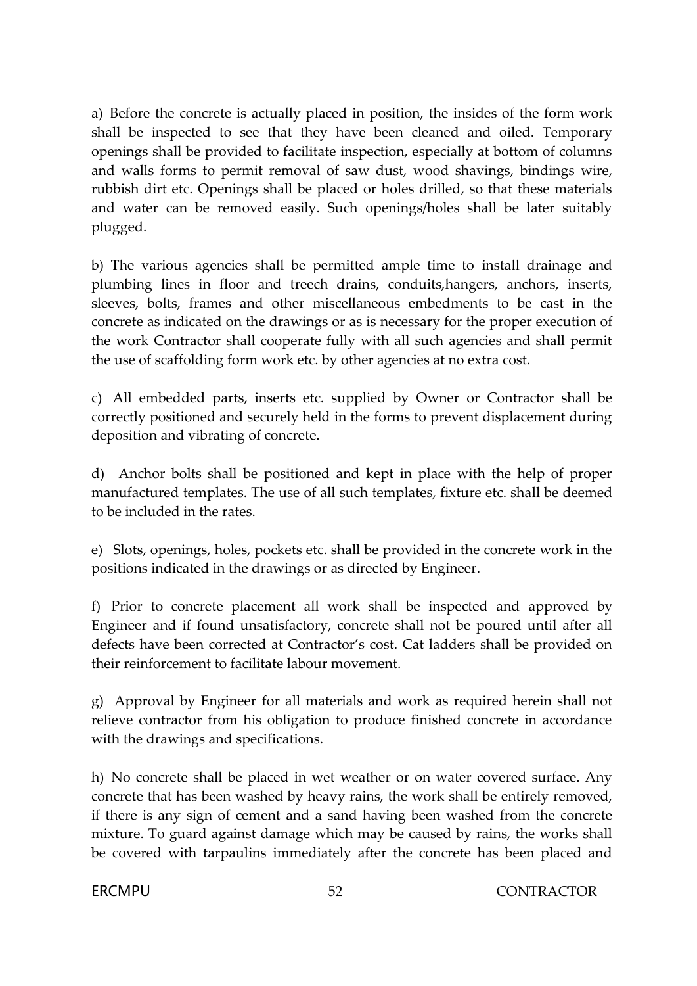a) Before the concrete is actually placed in position, the insides of the form work shall be inspected to see that they have been cleaned and oiled. Temporary openings shall be provided to facilitate inspection, especially at bottom of columns and walls forms to permit removal of saw dust, wood shavings, bindings wire, rubbish dirt etc. Openings shall be placed or holes drilled, so that these materials and water can be removed easily. Such openings/holes shall be later suitably plugged.

b) The various agencies shall be permitted ample time to install drainage and plumbing lines in floor and treech drains, conduits,hangers, anchors, inserts, sleeves, bolts, frames and other miscellaneous embedments to be cast in the concrete as indicated on the drawings or as is necessary for the proper execution of the work Contractor shall cooperate fully with all such agencies and shall permit the use of scaffolding form work etc. by other agencies at no extra cost.

c) All embedded parts, inserts etc. supplied by Owner or Contractor shall be correctly positioned and securely held in the forms to prevent displacement during deposition and vibrating of concrete.

d) Anchor bolts shall be positioned and kept in place with the help of proper manufactured templates. The use of all such templates, fixture etc. shall be deemed to be included in the rates.

e) Slots, openings, holes, pockets etc. shall be provided in the concrete work in the positions indicated in the drawings or as directed by Engineer.

f) Prior to concrete placement all work shall be inspected and approved by Engineer and if found unsatisfactory, concrete shall not be poured until after all defects have been corrected at Contractor's cost. Cat ladders shall be provided on their reinforcement to facilitate labour movement.

g) Approval by Engineer for all materials and work as required herein shall not relieve contractor from his obligation to produce finished concrete in accordance with the drawings and specifications.

h) No concrete shall be placed in wet weather or on water covered surface. Any concrete that has been washed by heavy rains, the work shall be entirely removed, if there is any sign of cement and a sand having been washed from the concrete mixture. To guard against damage which may be caused by rains, the works shall be covered with tarpaulins immediately after the concrete has been placed and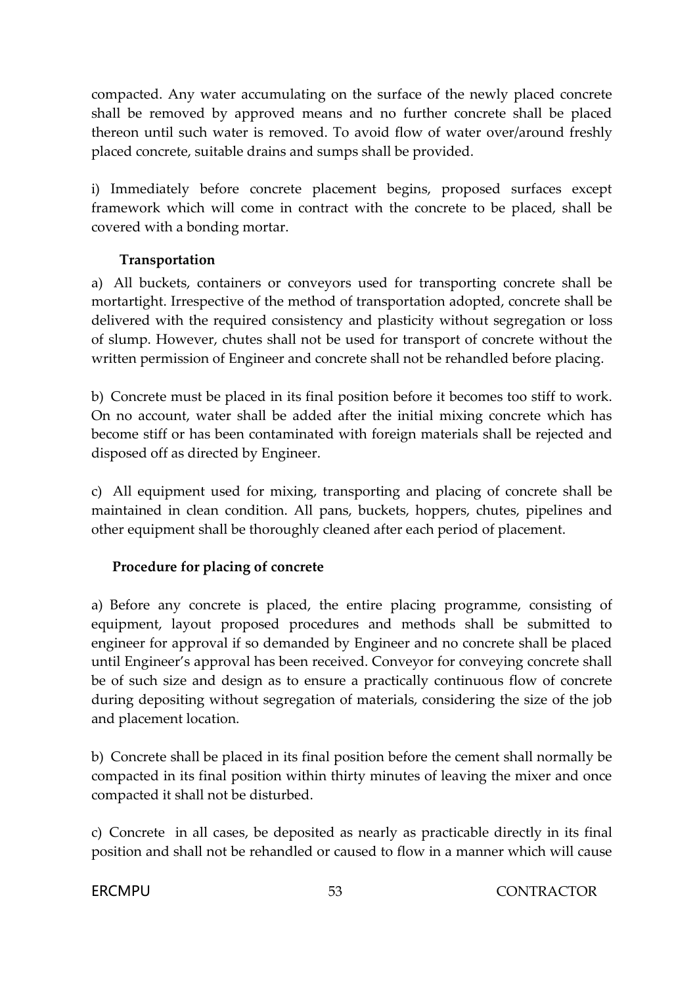compacted. Any water accumulating on the surface of the newly placed concrete shall be removed by approved means and no further concrete shall be placed thereon until such water is removed. To avoid flow of water over/around freshly placed concrete, suitable drains and sumps shall be provided.

i) Immediately before concrete placement begins, proposed surfaces except framework which will come in contract with the concrete to be placed, shall be covered with a bonding mortar.

## **Transportation**

a) All buckets, containers or conveyors used for transporting concrete shall be mortartight. Irrespective of the method of transportation adopted, concrete shall be delivered with the required consistency and plasticity without segregation or loss of slump. However, chutes shall not be used for transport of concrete without the written permission of Engineer and concrete shall not be rehandled before placing.

b) Concrete must be placed in its final position before it becomes too stiff to work. On no account, water shall be added after the initial mixing concrete which has become stiff or has been contaminated with foreign materials shall be rejected and disposed off as directed by Engineer.

c) All equipment used for mixing, transporting and placing of concrete shall be maintained in clean condition. All pans, buckets, hoppers, chutes, pipelines and other equipment shall be thoroughly cleaned after each period of placement.

## **Procedure for placing of concrete**

a) Before any concrete is placed, the entire placing programme, consisting of equipment, layout proposed procedures and methods shall be submitted to engineer for approval if so demanded by Engineer and no concrete shall be placed until Engineer's approval has been received. Conveyor for conveying concrete shall be of such size and design as to ensure a practically continuous flow of concrete during depositing without segregation of materials, considering the size of the job and placement location.

b) Concrete shall be placed in its final position before the cement shall normally be compacted in its final position within thirty minutes of leaving the mixer and once compacted it shall not be disturbed.

c) Concrete in all cases, be deposited as nearly as practicable directly in its final position and shall not be rehandled or caused to flow in a manner which will cause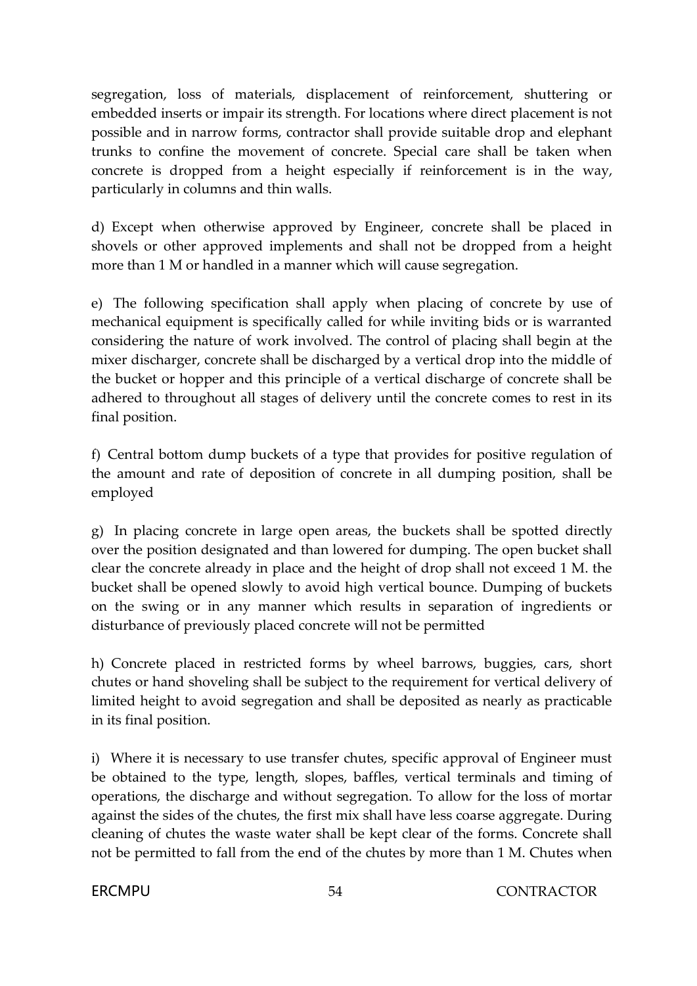segregation, loss of materials, displacement of reinforcement, shuttering or embedded inserts or impair its strength. For locations where direct placement is not possible and in narrow forms, contractor shall provide suitable drop and elephant trunks to confine the movement of concrete. Special care shall be taken when concrete is dropped from a height especially if reinforcement is in the way, particularly in columns and thin walls.

d) Except when otherwise approved by Engineer, concrete shall be placed in shovels or other approved implements and shall not be dropped from a height more than 1 M or handled in a manner which will cause segregation.

e) The following specification shall apply when placing of concrete by use of mechanical equipment is specifically called for while inviting bids or is warranted considering the nature of work involved. The control of placing shall begin at the mixer discharger, concrete shall be discharged by a vertical drop into the middle of the bucket or hopper and this principle of a vertical discharge of concrete shall be adhered to throughout all stages of delivery until the concrete comes to rest in its final position.

f) Central bottom dump buckets of a type that provides for positive regulation of the amount and rate of deposition of concrete in all dumping position, shall be employed

g) In placing concrete in large open areas, the buckets shall be spotted directly over the position designated and than lowered for dumping. The open bucket shall clear the concrete already in place and the height of drop shall not exceed 1 M. the bucket shall be opened slowly to avoid high vertical bounce. Dumping of buckets on the swing or in any manner which results in separation of ingredients or disturbance of previously placed concrete will not be permitted

h) Concrete placed in restricted forms by wheel barrows, buggies, cars, short chutes or hand shoveling shall be subject to the requirement for vertical delivery of limited height to avoid segregation and shall be deposited as nearly as practicable in its final position.

i) Where it is necessary to use transfer chutes, specific approval of Engineer must be obtained to the type, length, slopes, baffles, vertical terminals and timing of operations, the discharge and without segregation. To allow for the loss of mortar against the sides of the chutes, the first mix shall have less coarse aggregate. During cleaning of chutes the waste water shall be kept clear of the forms. Concrete shall not be permitted to fall from the end of the chutes by more than 1 M. Chutes when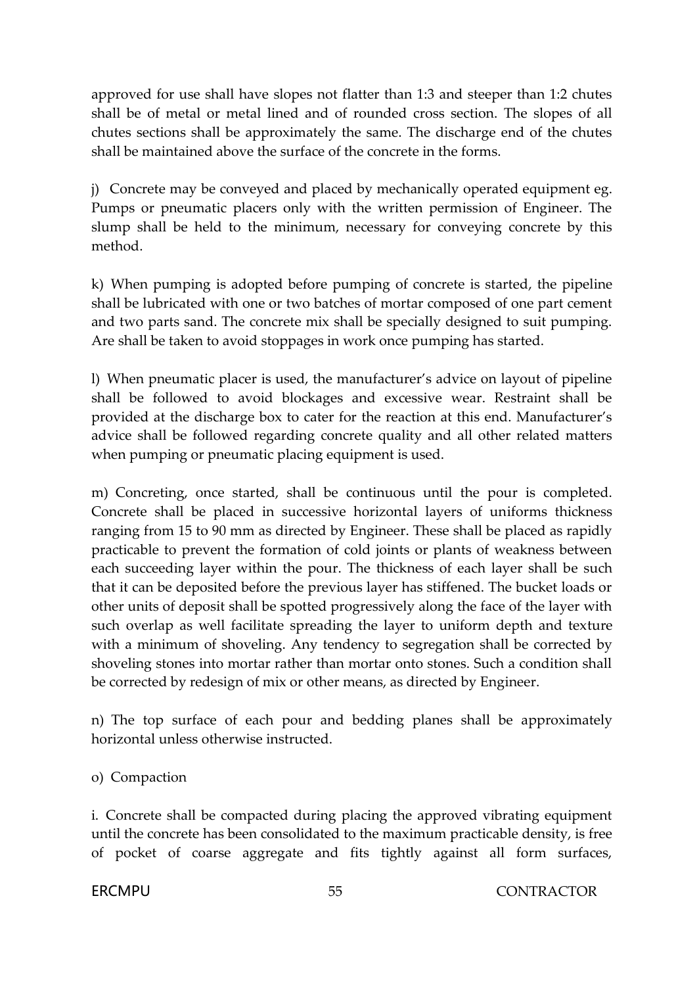approved for use shall have slopes not flatter than 1:3 and steeper than 1:2 chutes shall be of metal or metal lined and of rounded cross section. The slopes of all chutes sections shall be approximately the same. The discharge end of the chutes shall be maintained above the surface of the concrete in the forms.

j) Concrete may be conveyed and placed by mechanically operated equipment eg. Pumps or pneumatic placers only with the written permission of Engineer. The slump shall be held to the minimum, necessary for conveying concrete by this method.

k) When pumping is adopted before pumping of concrete is started, the pipeline shall be lubricated with one or two batches of mortar composed of one part cement and two parts sand. The concrete mix shall be specially designed to suit pumping. Are shall be taken to avoid stoppages in work once pumping has started.

l) When pneumatic placer is used, the manufacturer's advice on layout of pipeline shall be followed to avoid blockages and excessive wear. Restraint shall be provided at the discharge box to cater for the reaction at this end. Manufacturer's advice shall be followed regarding concrete quality and all other related matters when pumping or pneumatic placing equipment is used.

m) Concreting, once started, shall be continuous until the pour is completed. Concrete shall be placed in successive horizontal layers of uniforms thickness ranging from 15 to 90 mm as directed by Engineer. These shall be placed as rapidly practicable to prevent the formation of cold joints or plants of weakness between each succeeding layer within the pour. The thickness of each layer shall be such that it can be deposited before the previous layer has stiffened. The bucket loads or other units of deposit shall be spotted progressively along the face of the layer with such overlap as well facilitate spreading the layer to uniform depth and texture with a minimum of shoveling. Any tendency to segregation shall be corrected by shoveling stones into mortar rather than mortar onto stones. Such a condition shall be corrected by redesign of mix or other means, as directed by Engineer.

n) The top surface of each pour and bedding planes shall be approximately horizontal unless otherwise instructed.

o) Compaction

i. Concrete shall be compacted during placing the approved vibrating equipment until the concrete has been consolidated to the maximum practicable density, is free of pocket of coarse aggregate and fits tightly against all form surfaces,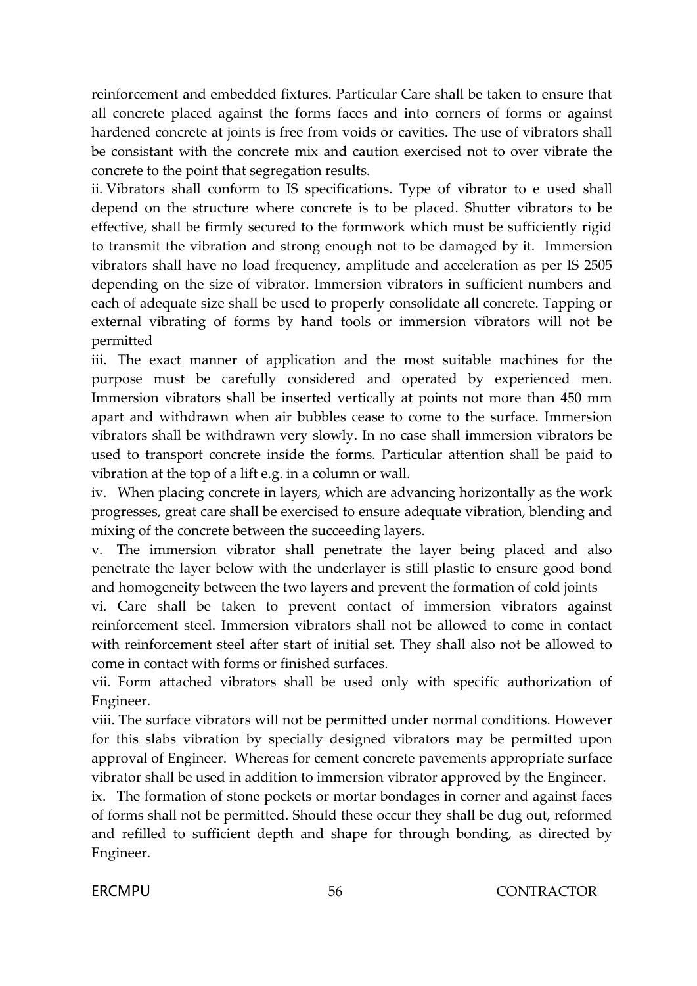reinforcement and embedded fixtures. Particular Care shall be taken to ensure that all concrete placed against the forms faces and into corners of forms or against hardened concrete at joints is free from voids or cavities. The use of vibrators shall be consistant with the concrete mix and caution exercised not to over vibrate the concrete to the point that segregation results.

ii. Vibrators shall conform to IS specifications. Type of vibrator to e used shall depend on the structure where concrete is to be placed. Shutter vibrators to be effective, shall be firmly secured to the formwork which must be sufficiently rigid to transmit the vibration and strong enough not to be damaged by it. Immersion vibrators shall have no load frequency, amplitude and acceleration as per IS 2505 depending on the size of vibrator. Immersion vibrators in sufficient numbers and each of adequate size shall be used to properly consolidate all concrete. Tapping or external vibrating of forms by hand tools or immersion vibrators will not be permitted

iii. The exact manner of application and the most suitable machines for the purpose must be carefully considered and operated by experienced men. Immersion vibrators shall be inserted vertically at points not more than 450 mm apart and withdrawn when air bubbles cease to come to the surface. Immersion vibrators shall be withdrawn very slowly. In no case shall immersion vibrators be used to transport concrete inside the forms. Particular attention shall be paid to vibration at the top of a lift e.g. in a column or wall.

iv. When placing concrete in layers, which are advancing horizontally as the work progresses, great care shall be exercised to ensure adequate vibration, blending and mixing of the concrete between the succeeding layers.

v. The immersion vibrator shall penetrate the layer being placed and also penetrate the layer below with the underlayer is still plastic to ensure good bond and homogeneity between the two layers and prevent the formation of cold joints

vi. Care shall be taken to prevent contact of immersion vibrators against reinforcement steel. Immersion vibrators shall not be allowed to come in contact with reinforcement steel after start of initial set. They shall also not be allowed to come in contact with forms or finished surfaces.

vii. Form attached vibrators shall be used only with specific authorization of Engineer.

viii. The surface vibrators will not be permitted under normal conditions. However for this slabs vibration by specially designed vibrators may be permitted upon approval of Engineer. Whereas for cement concrete pavements appropriate surface vibrator shall be used in addition to immersion vibrator approved by the Engineer.

ix. The formation of stone pockets or mortar bondages in corner and against faces of forms shall not be permitted. Should these occur they shall be dug out, reformed and refilled to sufficient depth and shape for through bonding, as directed by Engineer.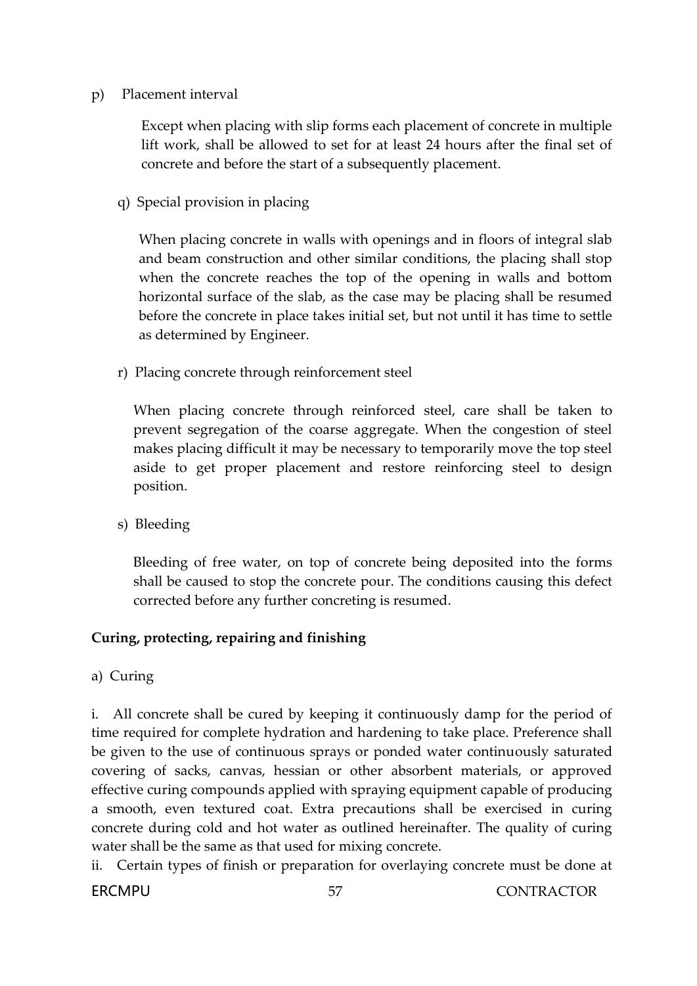#### p) Placement interval

Except when placing with slip forms each placement of concrete in multiple lift work, shall be allowed to set for at least 24 hours after the final set of concrete and before the start of a subsequently placement.

q) Special provision in placing

When placing concrete in walls with openings and in floors of integral slab and beam construction and other similar conditions, the placing shall stop when the concrete reaches the top of the opening in walls and bottom horizontal surface of the slab, as the case may be placing shall be resumed before the concrete in place takes initial set, but not until it has time to settle as determined by Engineer.

r) Placing concrete through reinforcement steel

When placing concrete through reinforced steel, care shall be taken to prevent segregation of the coarse aggregate. When the congestion of steel makes placing difficult it may be necessary to temporarily move the top steel aside to get proper placement and restore reinforcing steel to design position.

s) Bleeding

Bleeding of free water, on top of concrete being deposited into the forms shall be caused to stop the concrete pour. The conditions causing this defect corrected before any further concreting is resumed.

## **Curing, protecting, repairing and finishing**

a) Curing

i. All concrete shall be cured by keeping it continuously damp for the period of time required for complete hydration and hardening to take place. Preference shall be given to the use of continuous sprays or ponded water continuously saturated covering of sacks, canvas, hessian or other absorbent materials, or approved effective curing compounds applied with spraying equipment capable of producing a smooth, even textured coat. Extra precautions shall be exercised in curing concrete during cold and hot water as outlined hereinafter. The quality of curing water shall be the same as that used for mixing concrete.

ii. Certain types of finish or preparation for overlaying concrete must be done at

**ERCMPU** 57 CONTRACTOR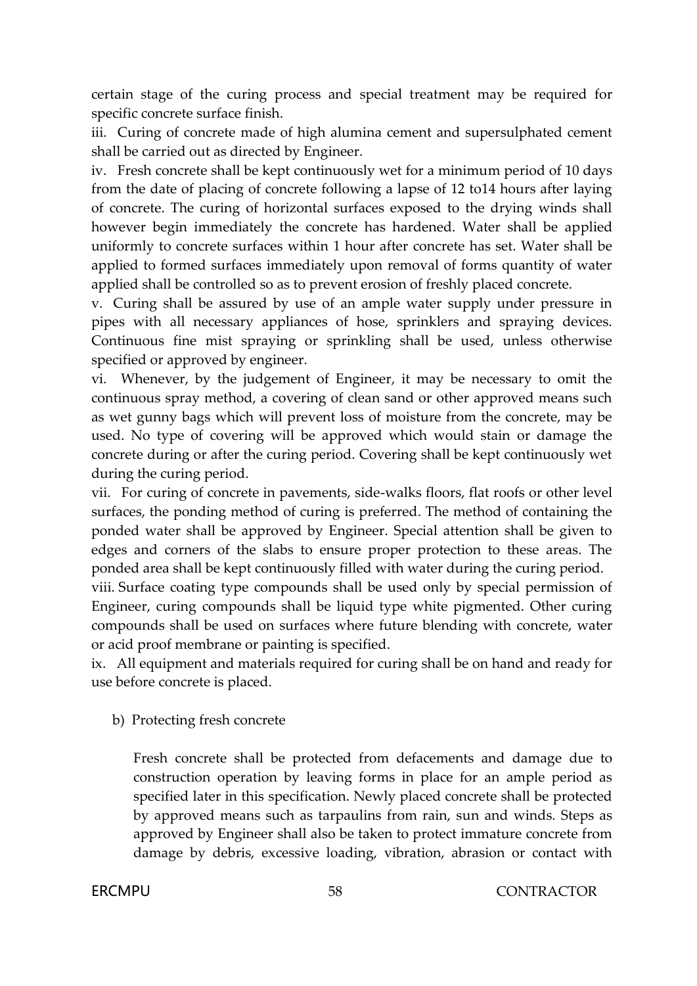certain stage of the curing process and special treatment may be required for specific concrete surface finish.

iii. Curing of concrete made of high alumina cement and supersulphated cement shall be carried out as directed by Engineer.

iv. Fresh concrete shall be kept continuously wet for a minimum period of 10 days from the date of placing of concrete following a lapse of 12 to14 hours after laying of concrete. The curing of horizontal surfaces exposed to the drying winds shall however begin immediately the concrete has hardened. Water shall be applied uniformly to concrete surfaces within 1 hour after concrete has set. Water shall be applied to formed surfaces immediately upon removal of forms quantity of water applied shall be controlled so as to prevent erosion of freshly placed concrete.

v. Curing shall be assured by use of an ample water supply under pressure in pipes with all necessary appliances of hose, sprinklers and spraying devices. Continuous fine mist spraying or sprinkling shall be used, unless otherwise specified or approved by engineer.

vi. Whenever, by the judgement of Engineer, it may be necessary to omit the continuous spray method, a covering of clean sand or other approved means such as wet gunny bags which will prevent loss of moisture from the concrete, may be used. No type of covering will be approved which would stain or damage the concrete during or after the curing period. Covering shall be kept continuously wet during the curing period.

vii. For curing of concrete in pavements, side-walks floors, flat roofs or other level surfaces, the ponding method of curing is preferred. The method of containing the ponded water shall be approved by Engineer. Special attention shall be given to edges and corners of the slabs to ensure proper protection to these areas. The ponded area shall be kept continuously filled with water during the curing period.

viii. Surface coating type compounds shall be used only by special permission of Engineer, curing compounds shall be liquid type white pigmented. Other curing compounds shall be used on surfaces where future blending with concrete, water or acid proof membrane or painting is specified.

ix. All equipment and materials required for curing shall be on hand and ready for use before concrete is placed.

## b) Protecting fresh concrete

Fresh concrete shall be protected from defacements and damage due to construction operation by leaving forms in place for an ample period as specified later in this specification. Newly placed concrete shall be protected by approved means such as tarpaulins from rain, sun and winds. Steps as approved by Engineer shall also be taken to protect immature concrete from damage by debris, excessive loading, vibration, abrasion or contact with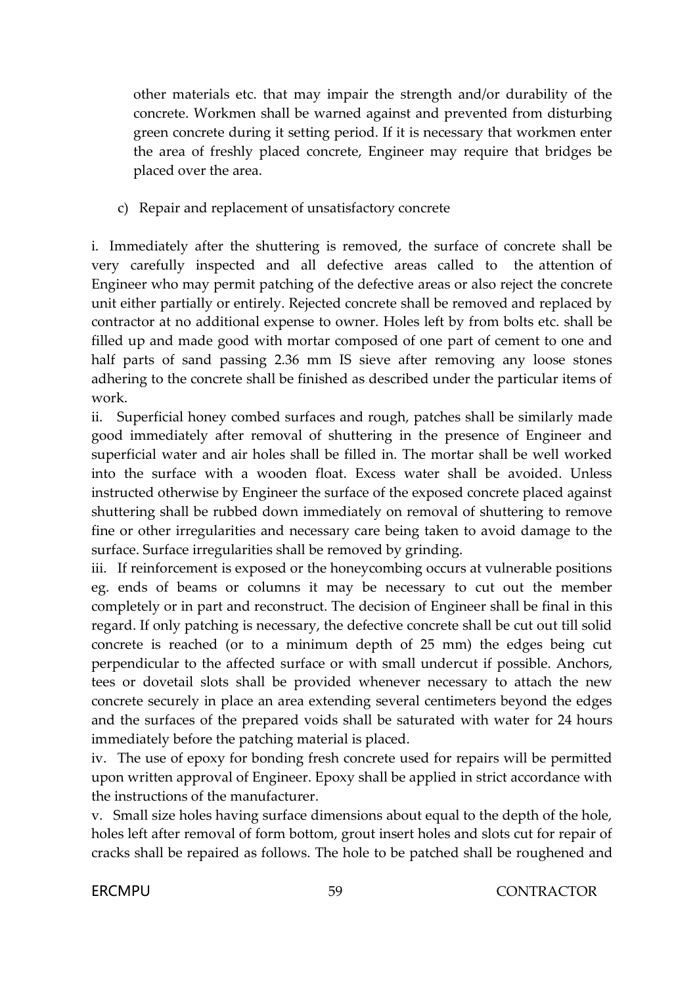other materials etc. that may impair the strength and/or durability of the concrete. Workmen shall be warned against and prevented from disturbing green concrete during it setting period. If it is necessary that workmen enter the area of freshly placed concrete, Engineer may require that bridges be placed over the area.

c) Repair and replacement of unsatisfactory concrete

i. Immediately after the shuttering is removed, the surface of concrete shall be very carefully inspected and all defective areas called to the attention of Engineer who may permit patching of the defective areas or also reject the concrete unit either partially or entirely. Rejected concrete shall be removed and replaced by contractor at no additional expense to owner. Holes left by from bolts etc. shall be filled up and made good with mortar composed of one part of cement to one and half parts of sand passing 2.36 mm IS sieve after removing any loose stones adhering to the concrete shall be finished as described under the particular items of work.

ii. Superficial honey combed surfaces and rough, patches shall be similarly made good immediately after removal of shuttering in the presence of Engineer and superficial water and air holes shall be filled in. The mortar shall be well worked into the surface with a wooden float. Excess water shall be avoided. Unless instructed otherwise by Engineer the surface of the exposed concrete placed against shuttering shall be rubbed down immediately on removal of shuttering to remove fine or other irregularities and necessary care being taken to avoid damage to the surface. Surface irregularities shall be removed by grinding.

iii. If reinforcement is exposed or the honeycombing occurs at vulnerable positions eg. ends of beams or columns it may be necessary to cut out the member completely or in part and reconstruct. The decision of Engineer shall be final in this regard. If only patching is necessary, the defective concrete shall be cut out till solid concrete is reached (or to a minimum depth of 25 mm) the edges being cut perpendicular to the affected surface or with small undercut if possible. Anchors, tees or dovetail slots shall be provided whenever necessary to attach the new concrete securely in place an area extending several centimeters beyond the edges and the surfaces of the prepared voids shall be saturated with water for 24 hours immediately before the patching material is placed.

iv. The use of epoxy for bonding fresh concrete used for repairs will be permitted upon written approval of Engineer. Epoxy shall be applied in strict accordance with the instructions of the manufacturer.

v. Small size holes having surface dimensions about equal to the depth of the hole, holes left after removal of form bottom, grout insert holes and slots cut for repair of cracks shall be repaired as follows. The hole to be patched shall be roughened and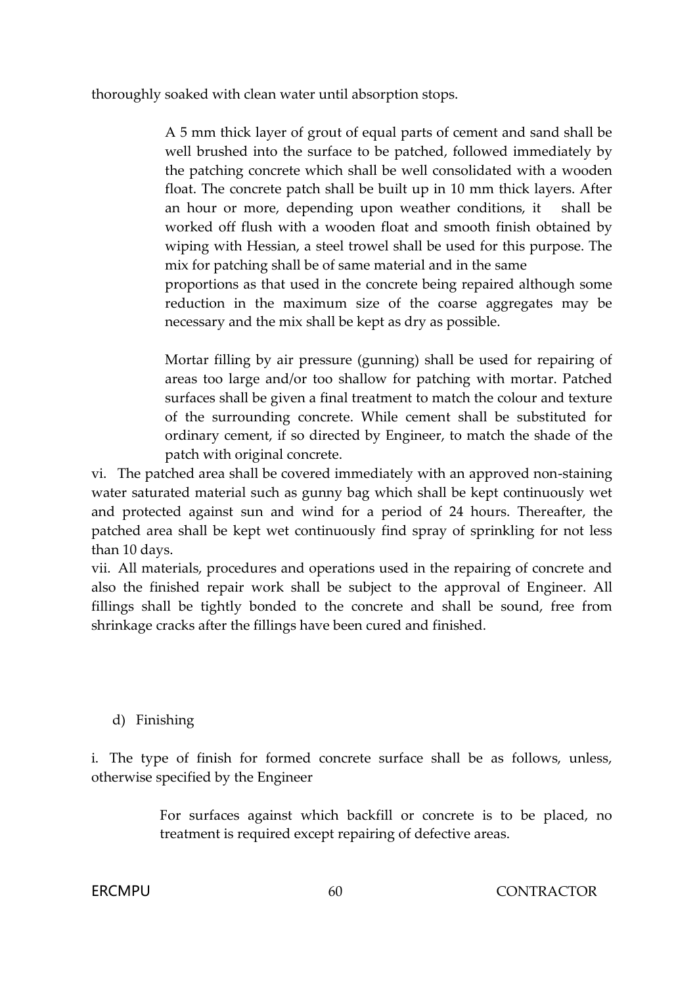thoroughly soaked with clean water until absorption stops.

A 5 mm thick layer of grout of equal parts of cement and sand shall be well brushed into the surface to be patched, followed immediately by the patching concrete which shall be well consolidated with a wooden float. The concrete patch shall be built up in 10 mm thick layers. After an hour or more, depending upon weather conditions, it shall be worked off flush with a wooden float and smooth finish obtained by wiping with Hessian, a steel trowel shall be used for this purpose. The mix for patching shall be of same material and in the same

proportions as that used in the concrete being repaired although some reduction in the maximum size of the coarse aggregates may be necessary and the mix shall be kept as dry as possible.

Mortar filling by air pressure (gunning) shall be used for repairing of areas too large and/or too shallow for patching with mortar. Patched surfaces shall be given a final treatment to match the colour and texture of the surrounding concrete. While cement shall be substituted for ordinary cement, if so directed by Engineer, to match the shade of the patch with original concrete.

vi. The patched area shall be covered immediately with an approved non-staining water saturated material such as gunny bag which shall be kept continuously wet and protected against sun and wind for a period of 24 hours. Thereafter, the patched area shall be kept wet continuously find spray of sprinkling for not less than 10 days.

vii. All materials, procedures and operations used in the repairing of concrete and also the finished repair work shall be subject to the approval of Engineer. All fillings shall be tightly bonded to the concrete and shall be sound, free from shrinkage cracks after the fillings have been cured and finished.

## d) Finishing

i. The type of finish for formed concrete surface shall be as follows, unless, otherwise specified by the Engineer

> For surfaces against which backfill or concrete is to be placed, no treatment is required except repairing of defective areas.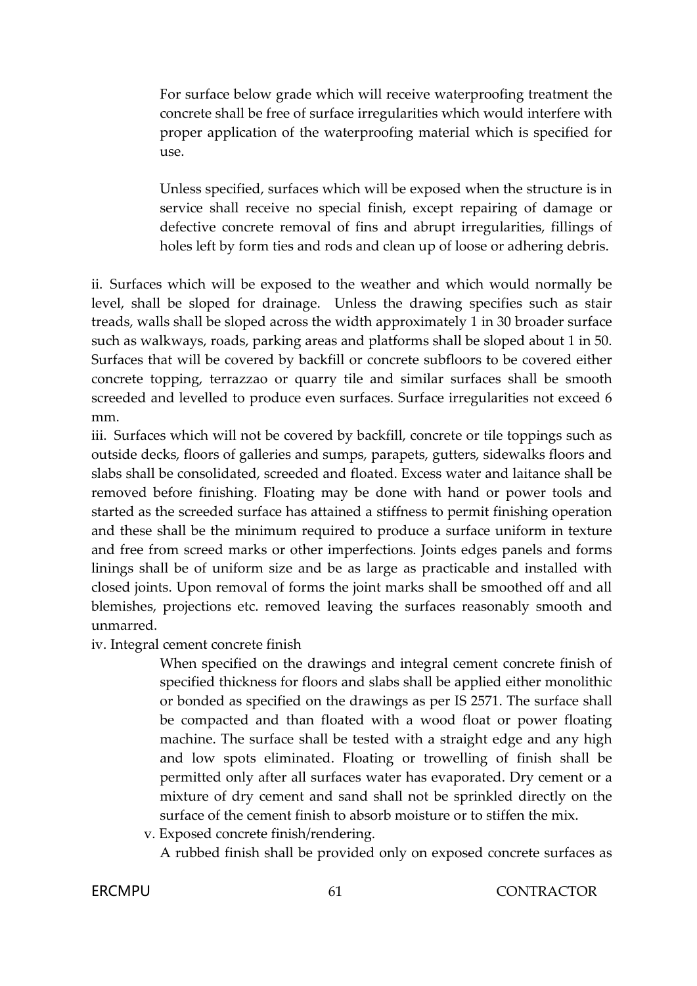For surface below grade which will receive waterproofing treatment the concrete shall be free of surface irregularities which would interfere with proper application of the waterproofing material which is specified for use.

Unless specified, surfaces which will be exposed when the structure is in service shall receive no special finish, except repairing of damage or defective concrete removal of fins and abrupt irregularities, fillings of holes left by form ties and rods and clean up of loose or adhering debris.

ii. Surfaces which will be exposed to the weather and which would normally be level, shall be sloped for drainage. Unless the drawing specifies such as stair treads, walls shall be sloped across the width approximately 1 in 30 broader surface such as walkways, roads, parking areas and platforms shall be sloped about 1 in 50. Surfaces that will be covered by backfill or concrete subfloors to be covered either concrete topping, terrazzao or quarry tile and similar surfaces shall be smooth screeded and levelled to produce even surfaces. Surface irregularities not exceed 6 mm.

iii. Surfaces which will not be covered by backfill, concrete or tile toppings such as outside decks, floors of galleries and sumps, parapets, gutters, sidewalks floors and slabs shall be consolidated, screeded and floated. Excess water and laitance shall be removed before finishing. Floating may be done with hand or power tools and started as the screeded surface has attained a stiffness to permit finishing operation and these shall be the minimum required to produce a surface uniform in texture and free from screed marks or other imperfections. Joints edges panels and forms linings shall be of uniform size and be as large as practicable and installed with closed joints. Upon removal of forms the joint marks shall be smoothed off and all blemishes, projections etc. removed leaving the surfaces reasonably smooth and unmarred.

iv. Integral cement concrete finish

When specified on the drawings and integral cement concrete finish of specified thickness for floors and slabs shall be applied either monolithic or bonded as specified on the drawings as per IS 2571. The surface shall be compacted and than floated with a wood float or power floating machine. The surface shall be tested with a straight edge and any high and low spots eliminated. Floating or trowelling of finish shall be permitted only after all surfaces water has evaporated. Dry cement or a mixture of dry cement and sand shall not be sprinkled directly on the surface of the cement finish to absorb moisture or to stiffen the mix.

v. Exposed concrete finish/rendering.

A rubbed finish shall be provided only on exposed concrete surfaces as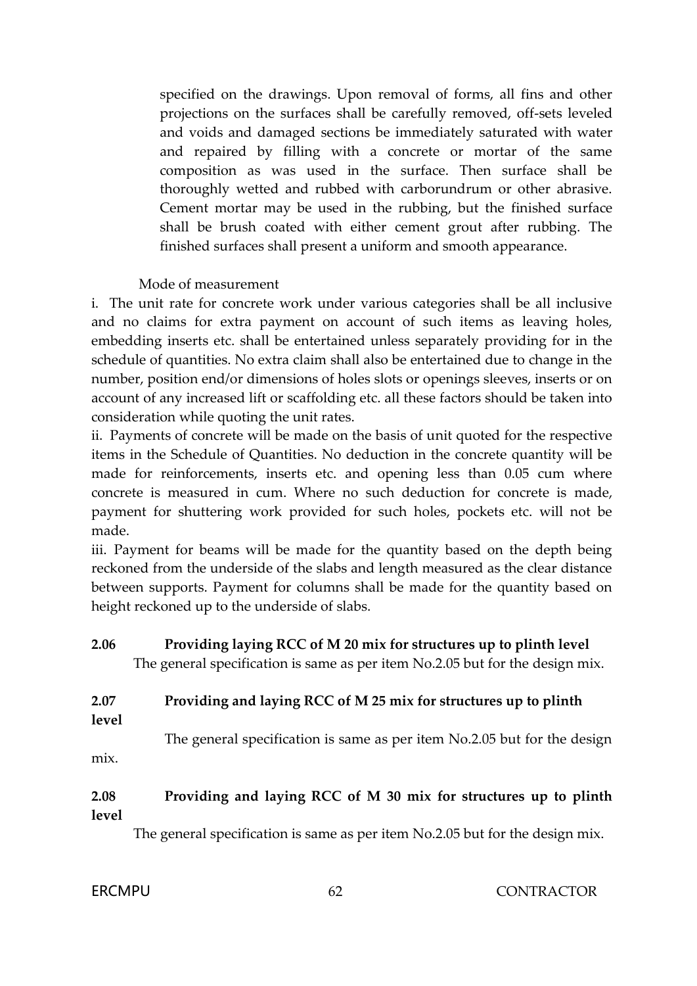specified on the drawings. Upon removal of forms, all fins and other projections on the surfaces shall be carefully removed, off-sets leveled and voids and damaged sections be immediately saturated with water and repaired by filling with a concrete or mortar of the same composition as was used in the surface. Then surface shall be thoroughly wetted and rubbed with carborundrum or other abrasive. Cement mortar may be used in the rubbing, but the finished surface shall be brush coated with either cement grout after rubbing. The finished surfaces shall present a uniform and smooth appearance.

#### Mode of measurement

i. The unit rate for concrete work under various categories shall be all inclusive and no claims for extra payment on account of such items as leaving holes, embedding inserts etc. shall be entertained unless separately providing for in the schedule of quantities. No extra claim shall also be entertained due to change in the number, position end/or dimensions of holes slots or openings sleeves, inserts or on account of any increased lift or scaffolding etc. all these factors should be taken into consideration while quoting the unit rates.

ii. Payments of concrete will be made on the basis of unit quoted for the respective items in the Schedule of Quantities. No deduction in the concrete quantity will be made for reinforcements, inserts etc. and opening less than 0.05 cum where concrete is measured in cum. Where no such deduction for concrete is made, payment for shuttering work provided for such holes, pockets etc. will not be made.

iii. Payment for beams will be made for the quantity based on the depth being reckoned from the underside of the slabs and length measured as the clear distance between supports. Payment for columns shall be made for the quantity based on height reckoned up to the underside of slabs.

## **2.06 Providing laying RCC of M 20 mix for structures up to plinth level** The general specification is same as per item No.2.05 but for the design mix.

# **2.07 Providing and laying RCC of M 25 mix for structures up to plinth**

**level**

The general specification is same as per item No.2.05 but for the design mix.

#### **2.08 Providing and laying RCC of M 30 mix for structures up to plinth level**

The general specification is same as per item No.2.05 but for the design mix.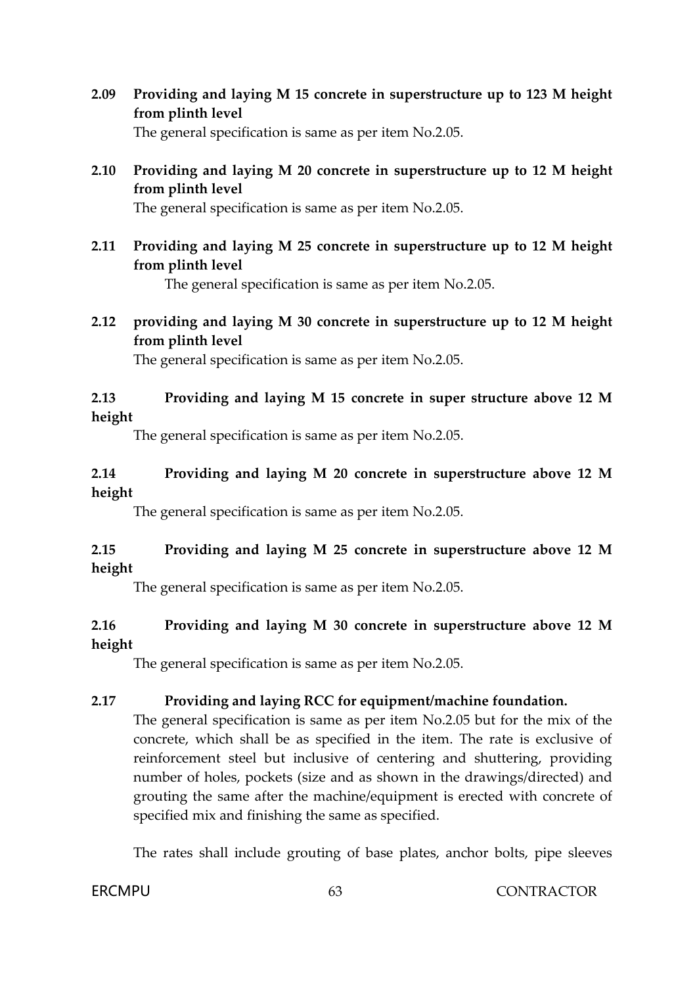- **2.09 Providing and laying M 15 concrete in superstructure up to 123 M height from plinth level** The general specification is same as per item No.2.05.
- **2.10 Providing and laying M 20 concrete in superstructure up to 12 M height from plinth level**

The general specification is same as per item No.2.05.

**2.11 Providing and laying M 25 concrete in superstructure up to 12 M height from plinth level**

The general specification is same as per item No.2.05.

**2.12 providing and laying M 30 concrete in superstructure up to 12 M height from plinth level**

The general specification is same as per item No.2.05.

## **2.13 Providing and laying M 15 concrete in super structure above 12 M height**

The general specification is same as per item No.2.05.

#### **2.14 Providing and laying M 20 concrete in superstructure above 12 M height**

The general specification is same as per item No.2.05.

## **2.15 Providing and laying M 25 concrete in superstructure above 12 M height**

The general specification is same as per item No.2.05.

## **2.16 Providing and laying M 30 concrete in superstructure above 12 M height**

The general specification is same as per item No.2.05.

#### **2.17 Providing and laying RCC for equipment/machine foundation.**

The general specification is same as per item No.2.05 but for the mix of the concrete, which shall be as specified in the item. The rate is exclusive of reinforcement steel but inclusive of centering and shuttering, providing number of holes, pockets (size and as shown in the drawings/directed) and grouting the same after the machine/equipment is erected with concrete of specified mix and finishing the same as specified.

The rates shall include grouting of base plates, anchor bolts, pipe sleeves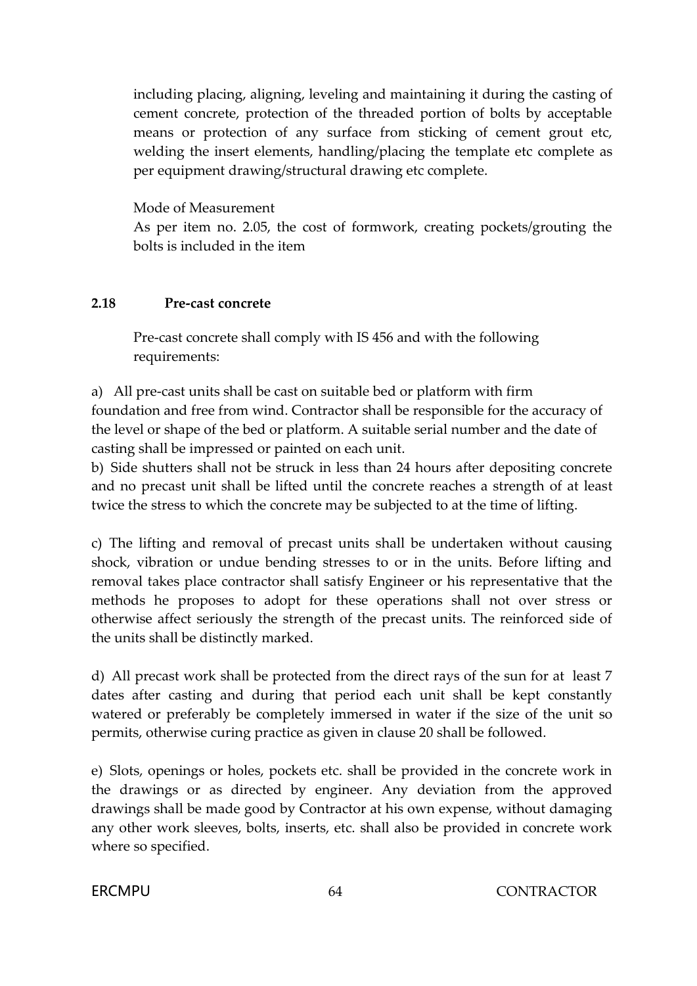including placing, aligning, leveling and maintaining it during the casting of cement concrete, protection of the threaded portion of bolts by acceptable means or protection of any surface from sticking of cement grout etc, welding the insert elements, handling/placing the template etc complete as per equipment drawing/structural drawing etc complete.

Mode of Measurement

As per item no. 2.05, the cost of formwork, creating pockets/grouting the bolts is included in the item

## **2.18 Pre-cast concrete**

Pre-cast concrete shall comply with IS 456 and with the following requirements:

a) All pre-cast units shall be cast on suitable bed or platform with firm foundation and free from wind. Contractor shall be responsible for the accuracy of the level or shape of the bed or platform. A suitable serial number and the date of casting shall be impressed or painted on each unit.

b) Side shutters shall not be struck in less than 24 hours after depositing concrete and no precast unit shall be lifted until the concrete reaches a strength of at least twice the stress to which the concrete may be subjected to at the time of lifting.

c) The lifting and removal of precast units shall be undertaken without causing shock, vibration or undue bending stresses to or in the units. Before lifting and removal takes place contractor shall satisfy Engineer or his representative that the methods he proposes to adopt for these operations shall not over stress or otherwise affect seriously the strength of the precast units. The reinforced side of the units shall be distinctly marked.

d) All precast work shall be protected from the direct rays of the sun for at least 7 dates after casting and during that period each unit shall be kept constantly watered or preferably be completely immersed in water if the size of the unit so permits, otherwise curing practice as given in clause 20 shall be followed.

e) Slots, openings or holes, pockets etc. shall be provided in the concrete work in the drawings or as directed by engineer. Any deviation from the approved drawings shall be made good by Contractor at his own expense, without damaging any other work sleeves, bolts, inserts, etc. shall also be provided in concrete work where so specified.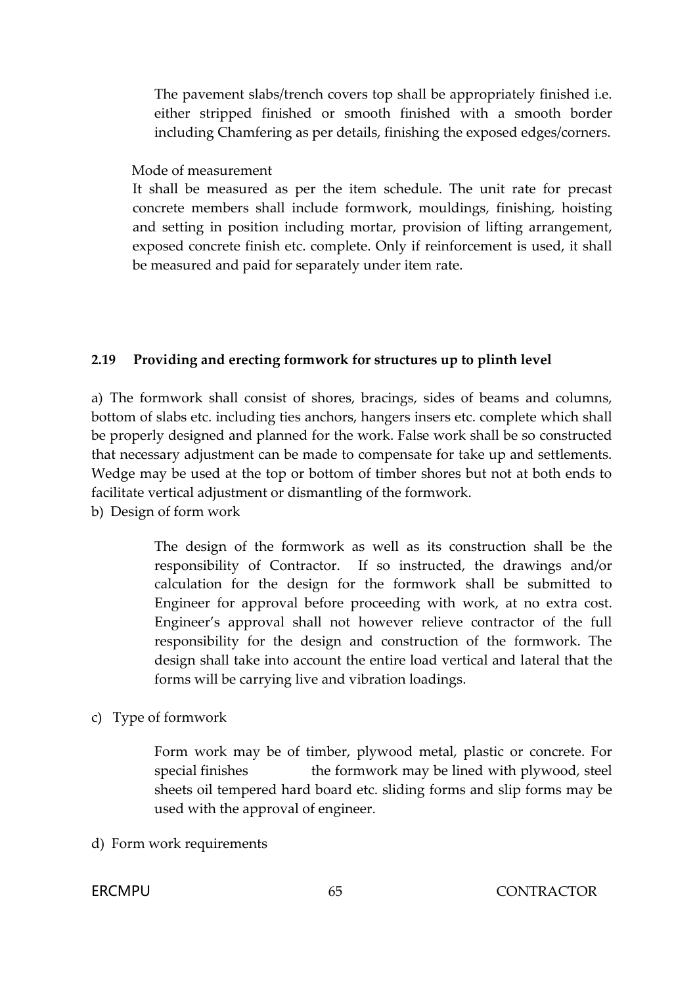The pavement slabs/trench covers top shall be appropriately finished i.e. either stripped finished or smooth finished with a smooth border including Chamfering as per details, finishing the exposed edges/corners.

Mode of measurement

It shall be measured as per the item schedule. The unit rate for precast concrete members shall include formwork, mouldings, finishing, hoisting and setting in position including mortar, provision of lifting arrangement, exposed concrete finish etc. complete. Only if reinforcement is used, it shall be measured and paid for separately under item rate.

#### **2.19 Providing and erecting formwork for structures up to plinth level**

a) The formwork shall consist of shores, bracings, sides of beams and columns, bottom of slabs etc. including ties anchors, hangers insers etc. complete which shall be properly designed and planned for the work. False work shall be so constructed that necessary adjustment can be made to compensate for take up and settlements. Wedge may be used at the top or bottom of timber shores but not at both ends to facilitate vertical adjustment or dismantling of the formwork.

b) Design of form work

The design of the formwork as well as its construction shall be the responsibility of Contractor. If so instructed, the drawings and/or calculation for the design for the formwork shall be submitted to Engineer for approval before proceeding with work, at no extra cost. Engineer's approval shall not however relieve contractor of the full responsibility for the design and construction of the formwork. The design shall take into account the entire load vertical and lateral that the forms will be carrying live and vibration loadings.

c) Type of formwork

Form work may be of timber, plywood metal, plastic or concrete. For special finishes the formwork may be lined with plywood, steel sheets oil tempered hard board etc. sliding forms and slip forms may be used with the approval of engineer.

d) Form work requirements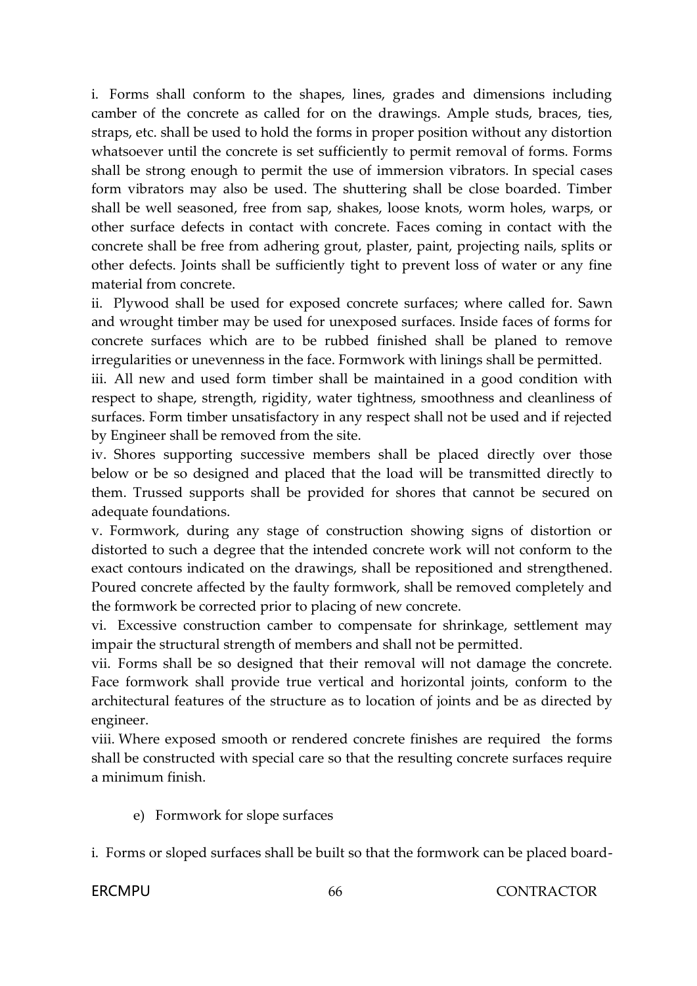i. Forms shall conform to the shapes, lines, grades and dimensions including camber of the concrete as called for on the drawings. Ample studs, braces, ties, straps, etc. shall be used to hold the forms in proper position without any distortion whatsoever until the concrete is set sufficiently to permit removal of forms. Forms shall be strong enough to permit the use of immersion vibrators. In special cases form vibrators may also be used. The shuttering shall be close boarded. Timber shall be well seasoned, free from sap, shakes, loose knots, worm holes, warps, or other surface defects in contact with concrete. Faces coming in contact with the concrete shall be free from adhering grout, plaster, paint, projecting nails, splits or other defects. Joints shall be sufficiently tight to prevent loss of water or any fine material from concrete.

ii. Plywood shall be used for exposed concrete surfaces; where called for. Sawn and wrought timber may be used for unexposed surfaces. Inside faces of forms for concrete surfaces which are to be rubbed finished shall be planed to remove irregularities or unevenness in the face. Formwork with linings shall be permitted.

iii. All new and used form timber shall be maintained in a good condition with respect to shape, strength, rigidity, water tightness, smoothness and cleanliness of surfaces. Form timber unsatisfactory in any respect shall not be used and if rejected by Engineer shall be removed from the site.

iv. Shores supporting successive members shall be placed directly over those below or be so designed and placed that the load will be transmitted directly to them. Trussed supports shall be provided for shores that cannot be secured on adequate foundations.

v. Formwork, during any stage of construction showing signs of distortion or distorted to such a degree that the intended concrete work will not conform to the exact contours indicated on the drawings, shall be repositioned and strengthened. Poured concrete affected by the faulty formwork, shall be removed completely and the formwork be corrected prior to placing of new concrete.

vi. Excessive construction camber to compensate for shrinkage, settlement may impair the structural strength of members and shall not be permitted.

vii. Forms shall be so designed that their removal will not damage the concrete. Face formwork shall provide true vertical and horizontal joints, conform to the architectural features of the structure as to location of joints and be as directed by engineer.

viii. Where exposed smooth or rendered concrete finishes are required the forms shall be constructed with special care so that the resulting concrete surfaces require a minimum finish.

e) Formwork for slope surfaces

i. Forms or sloped surfaces shall be built so that the formwork can be placed board-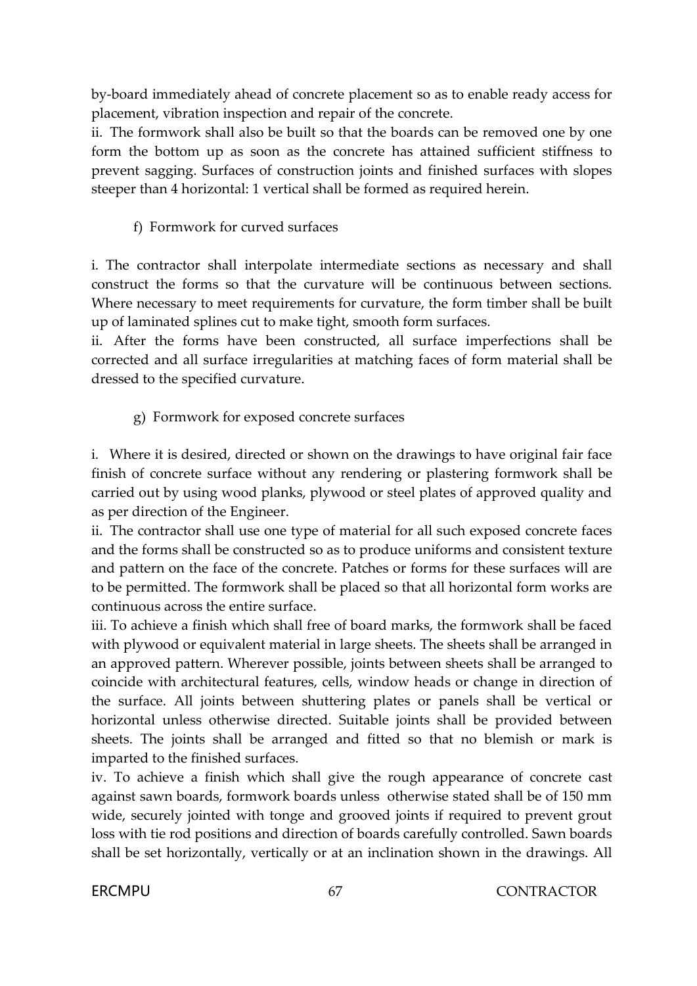by-board immediately ahead of concrete placement so as to enable ready access for placement, vibration inspection and repair of the concrete.

ii. The formwork shall also be built so that the boards can be removed one by one form the bottom up as soon as the concrete has attained sufficient stiffness to prevent sagging. Surfaces of construction joints and finished surfaces with slopes steeper than 4 horizontal: 1 vertical shall be formed as required herein.

## f) Formwork for curved surfaces

i. The contractor shall interpolate intermediate sections as necessary and shall construct the forms so that the curvature will be continuous between sections. Where necessary to meet requirements for curvature, the form timber shall be built up of laminated splines cut to make tight, smooth form surfaces.

ii. After the forms have been constructed, all surface imperfections shall be corrected and all surface irregularities at matching faces of form material shall be dressed to the specified curvature.

g) Formwork for exposed concrete surfaces

i. Where it is desired, directed or shown on the drawings to have original fair face finish of concrete surface without any rendering or plastering formwork shall be carried out by using wood planks, plywood or steel plates of approved quality and as per direction of the Engineer.

ii. The contractor shall use one type of material for all such exposed concrete faces and the forms shall be constructed so as to produce uniforms and consistent texture and pattern on the face of the concrete. Patches or forms for these surfaces will are to be permitted. The formwork shall be placed so that all horizontal form works are continuous across the entire surface.

iii. To achieve a finish which shall free of board marks, the formwork shall be faced with plywood or equivalent material in large sheets. The sheets shall be arranged in an approved pattern. Wherever possible, joints between sheets shall be arranged to coincide with architectural features, cells, window heads or change in direction of the surface. All joints between shuttering plates or panels shall be vertical or horizontal unless otherwise directed. Suitable joints shall be provided between sheets. The joints shall be arranged and fitted so that no blemish or mark is imparted to the finished surfaces.

iv. To achieve a finish which shall give the rough appearance of concrete cast against sawn boards, formwork boards unless otherwise stated shall be of 150 mm wide, securely jointed with tonge and grooved joints if required to prevent grout loss with tie rod positions and direction of boards carefully controlled. Sawn boards shall be set horizontally, vertically or at an inclination shown in the drawings. All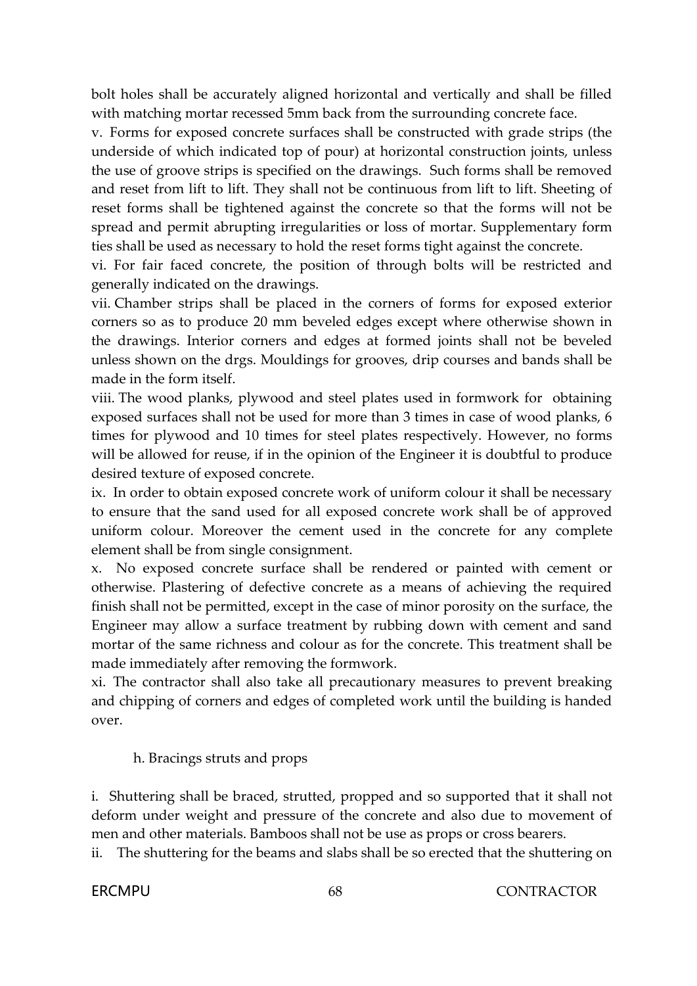bolt holes shall be accurately aligned horizontal and vertically and shall be filled with matching mortar recessed 5mm back from the surrounding concrete face.

v. Forms for exposed concrete surfaces shall be constructed with grade strips (the underside of which indicated top of pour) at horizontal construction joints, unless the use of groove strips is specified on the drawings. Such forms shall be removed and reset from lift to lift. They shall not be continuous from lift to lift. Sheeting of reset forms shall be tightened against the concrete so that the forms will not be spread and permit abrupting irregularities or loss of mortar. Supplementary form ties shall be used as necessary to hold the reset forms tight against the concrete.

vi. For fair faced concrete, the position of through bolts will be restricted and generally indicated on the drawings.

vii. Chamber strips shall be placed in the corners of forms for exposed exterior corners so as to produce 20 mm beveled edges except where otherwise shown in the drawings. Interior corners and edges at formed joints shall not be beveled unless shown on the drgs. Mouldings for grooves, drip courses and bands shall be made in the form itself.

viii. The wood planks, plywood and steel plates used in formwork for obtaining exposed surfaces shall not be used for more than 3 times in case of wood planks, 6 times for plywood and 10 times for steel plates respectively. However, no forms will be allowed for reuse, if in the opinion of the Engineer it is doubtful to produce desired texture of exposed concrete.

ix. In order to obtain exposed concrete work of uniform colour it shall be necessary to ensure that the sand used for all exposed concrete work shall be of approved uniform colour. Moreover the cement used in the concrete for any complete element shall be from single consignment.

x. No exposed concrete surface shall be rendered or painted with cement or otherwise. Plastering of defective concrete as a means of achieving the required finish shall not be permitted, except in the case of minor porosity on the surface, the Engineer may allow a surface treatment by rubbing down with cement and sand mortar of the same richness and colour as for the concrete. This treatment shall be made immediately after removing the formwork.

xi. The contractor shall also take all precautionary measures to prevent breaking and chipping of corners and edges of completed work until the building is handed over.

h. Bracings struts and props

i. Shuttering shall be braced, strutted, propped and so supported that it shall not deform under weight and pressure of the concrete and also due to movement of men and other materials. Bamboos shall not be use as props or cross bearers.

ii. The shuttering for the beams and slabs shall be so erected that the shuttering on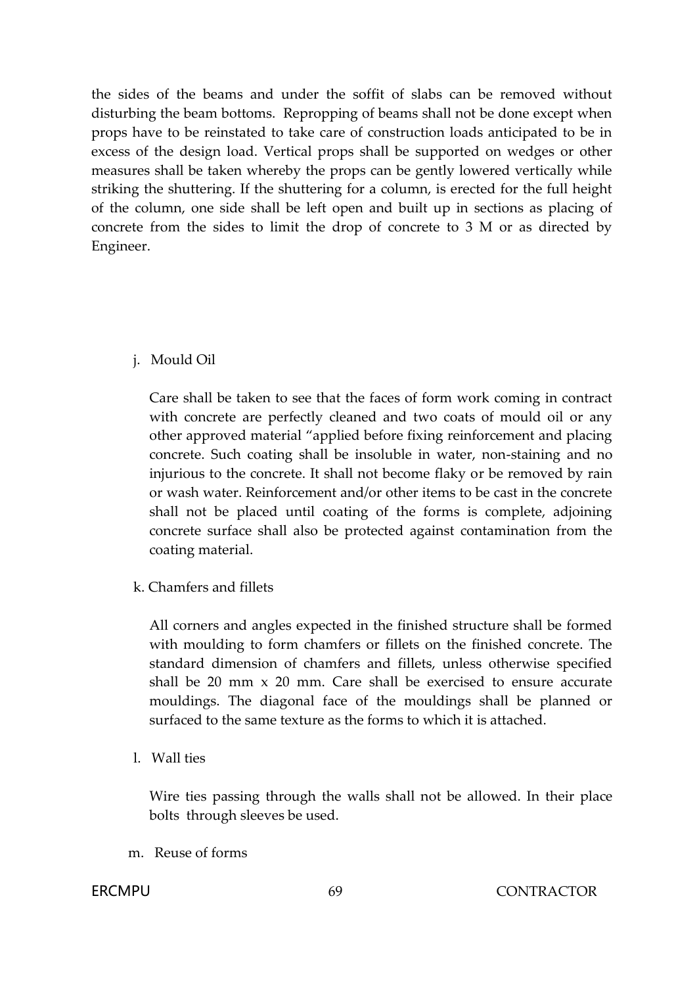the sides of the beams and under the soffit of slabs can be removed without disturbing the beam bottoms. Repropping of beams shall not be done except when props have to be reinstated to take care of construction loads anticipated to be in excess of the design load. Vertical props shall be supported on wedges or other measures shall be taken whereby the props can be gently lowered vertically while striking the shuttering. If the shuttering for a column, is erected for the full height of the column, one side shall be left open and built up in sections as placing of concrete from the sides to limit the drop of concrete to 3 M or as directed by Engineer.

## j. Mould Oil

Care shall be taken to see that the faces of form work coming in contract with concrete are perfectly cleaned and two coats of mould oil or any other approved material "applied before fixing reinforcement and placing concrete. Such coating shall be insoluble in water, non-staining and no injurious to the concrete. It shall not become flaky or be removed by rain or wash water. Reinforcement and/or other items to be cast in the concrete shall not be placed until coating of the forms is complete, adjoining concrete surface shall also be protected against contamination from the coating material.

k. Chamfers and fillets

All corners and angles expected in the finished structure shall be formed with moulding to form chamfers or fillets on the finished concrete. The standard dimension of chamfers and fillets, unless otherwise specified shall be 20 mm x 20 mm. Care shall be exercised to ensure accurate mouldings. The diagonal face of the mouldings shall be planned or surfaced to the same texture as the forms to which it is attached.

l. Wall ties

Wire ties passing through the walls shall not be allowed. In their place bolts through sleeves be used.

m. Reuse of forms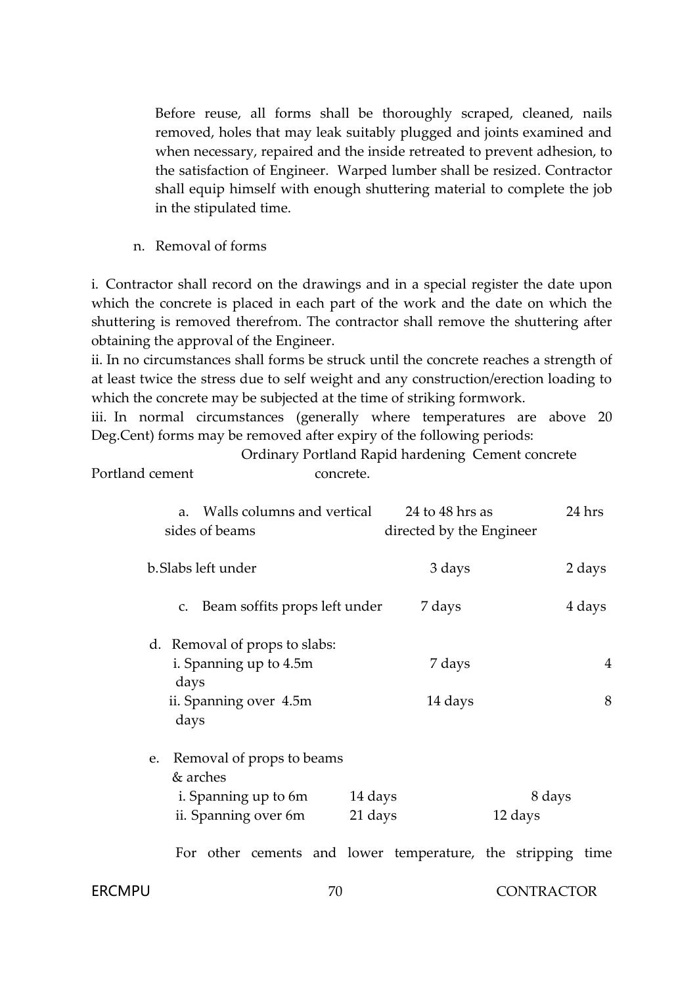Before reuse, all forms shall be thoroughly scraped, cleaned, nails removed, holes that may leak suitably plugged and joints examined and when necessary, repaired and the inside retreated to prevent adhesion, to the satisfaction of Engineer. Warped lumber shall be resized. Contractor shall equip himself with enough shuttering material to complete the job in the stipulated time.

n. Removal of forms

i. Contractor shall record on the drawings and in a special register the date upon which the concrete is placed in each part of the work and the date on which the shuttering is removed therefrom. The contractor shall remove the shuttering after obtaining the approval of the Engineer.

ii. In no circumstances shall forms be struck until the concrete reaches a strength of at least twice the stress due to self weight and any construction/erection loading to which the concrete may be subjected at the time of striking formwork.

iii. In normal circumstances (generally where temperatures are above 20 Deg.Cent) forms may be removed after expiry of the following periods:

Ordinary Portland Rapid hardening Cement concrete Portland cement concrete.

| Walls columns and vertical<br>a.<br>sides of beams                                                             | 24 to 48 hrs as<br>directed by the Engineer | 24 hrs |
|----------------------------------------------------------------------------------------------------------------|---------------------------------------------|--------|
| b. Slabs left under                                                                                            | 3 days                                      | 2 days |
| Beam soffits props left under<br>$C_{\bullet}$                                                                 | 7 days                                      | 4 days |
| d. Removal of props to slabs:<br>i. Spanning up to 4.5m<br>days<br>ii. Spanning over 4.5m<br>days              | 7 days<br>14 days                           | 4<br>8 |
| e. Removal of props to beams<br>& arches<br>i. Spanning up to 6m<br>14 days<br>ii. Spanning over 6m<br>21 days | 12 days                                     | 8 days |

For other cements and lower temperature, the stripping time

#### FRCMPU 70 70 CONTRACTOR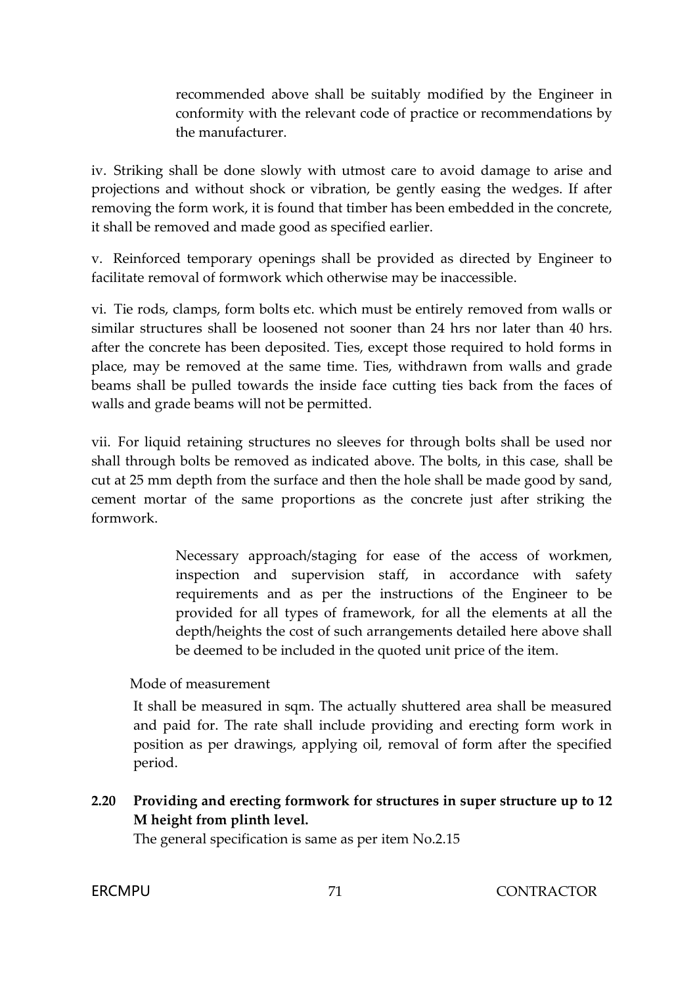recommended above shall be suitably modified by the Engineer in conformity with the relevant code of practice or recommendations by the manufacturer.

iv. Striking shall be done slowly with utmost care to avoid damage to arise and projections and without shock or vibration, be gently easing the wedges. If after removing the form work, it is found that timber has been embedded in the concrete, it shall be removed and made good as specified earlier.

v. Reinforced temporary openings shall be provided as directed by Engineer to facilitate removal of formwork which otherwise may be inaccessible.

vi. Tie rods, clamps, form bolts etc. which must be entirely removed from walls or similar structures shall be loosened not sooner than 24 hrs nor later than 40 hrs. after the concrete has been deposited. Ties, except those required to hold forms in place, may be removed at the same time. Ties, withdrawn from walls and grade beams shall be pulled towards the inside face cutting ties back from the faces of walls and grade beams will not be permitted.

vii. For liquid retaining structures no sleeves for through bolts shall be used nor shall through bolts be removed as indicated above. The bolts, in this case, shall be cut at 25 mm depth from the surface and then the hole shall be made good by sand, cement mortar of the same proportions as the concrete just after striking the formwork.

> Necessary approach/staging for ease of the access of workmen, inspection and supervision staff, in accordance with safety requirements and as per the instructions of the Engineer to be provided for all types of framework, for all the elements at all the depth/heights the cost of such arrangements detailed here above shall be deemed to be included in the quoted unit price of the item.

Mode of measurement

It shall be measured in sqm. The actually shuttered area shall be measured and paid for. The rate shall include providing and erecting form work in position as per drawings, applying oil, removal of form after the specified period.

**2.20 Providing and erecting formwork for structures in super structure up to 12 M height from plinth level.**

The general specification is same as per item No.2.15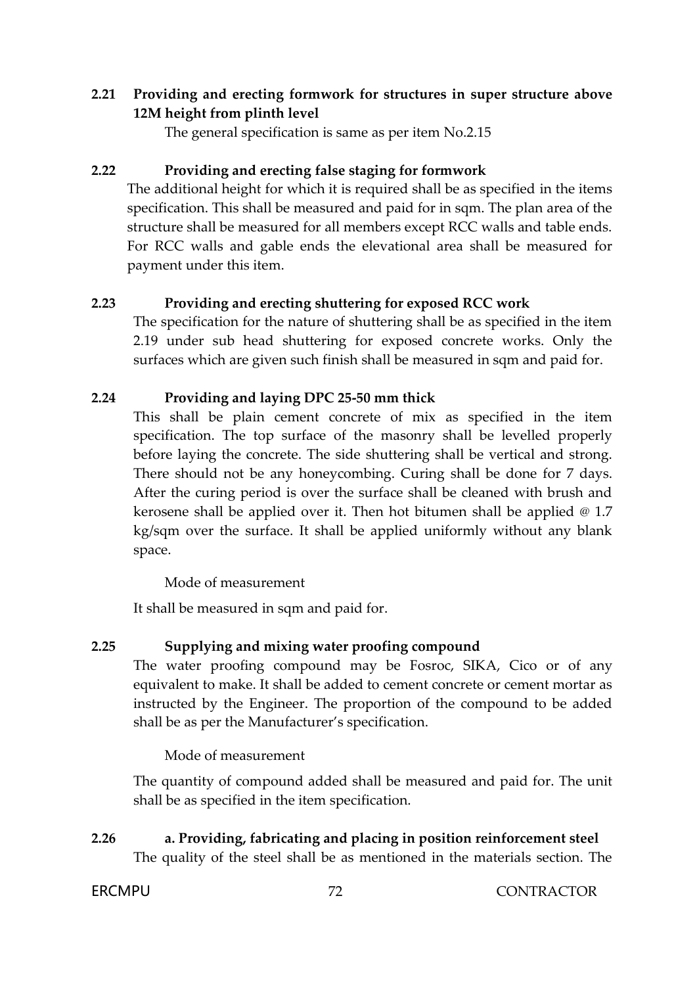## **2.21 Providing and erecting formwork for structures in super structure above 12M height from plinth level**

The general specification is same as per item No.2.15

## **2.22 Providing and erecting false staging for formwork**

The additional height for which it is required shall be as specified in the items specification. This shall be measured and paid for in sqm. The plan area of the structure shall be measured for all members except RCC walls and table ends. For RCC walls and gable ends the elevational area shall be measured for payment under this item.

## **2.23 Providing and erecting shuttering for exposed RCC work**

The specification for the nature of shuttering shall be as specified in the item 2.19 under sub head shuttering for exposed concrete works. Only the surfaces which are given such finish shall be measured in sqm and paid for.

## **2.24 Providing and laying DPC 25-50 mm thick**

This shall be plain cement concrete of mix as specified in the item specification. The top surface of the masonry shall be levelled properly before laying the concrete. The side shuttering shall be vertical and strong. There should not be any honeycombing. Curing shall be done for 7 days. After the curing period is over the surface shall be cleaned with brush and kerosene shall be applied over it. Then hot bitumen shall be applied @ 1.7 kg/sqm over the surface. It shall be applied uniformly without any blank space.

Mode of measurement

It shall be measured in sqm and paid for.

## **2.25 Supplying and mixing water proofing compound**

The water proofing compound may be Fosroc, SIKA, Cico or of any equivalent to make. It shall be added to cement concrete or cement mortar as instructed by the Engineer. The proportion of the compound to be added shall be as per the Manufacturer's specification.

Mode of measurement

The quantity of compound added shall be measured and paid for. The unit shall be as specified in the item specification.

**2.26 a. Providing, fabricating and placing in position reinforcement steel** The quality of the steel shall be as mentioned in the materials section. The

**ERCMPU** 72 CONTRACTOR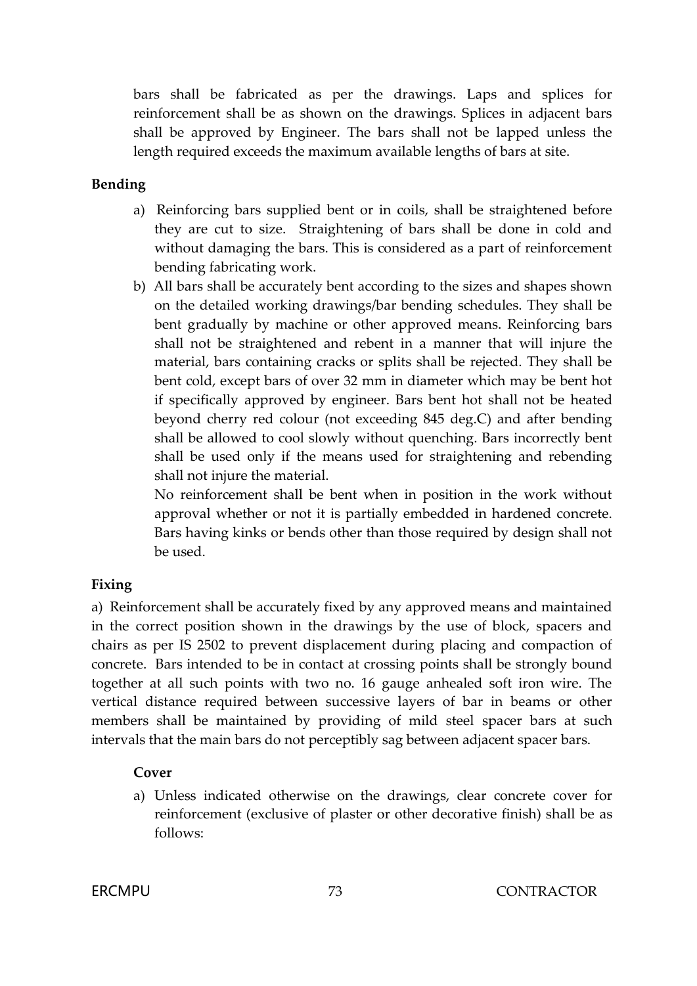bars shall be fabricated as per the drawings. Laps and splices for reinforcement shall be as shown on the drawings. Splices in adjacent bars shall be approved by Engineer. The bars shall not be lapped unless the length required exceeds the maximum available lengths of bars at site.

# **Bending**

- a) Reinforcing bars supplied bent or in coils, shall be straightened before they are cut to size. Straightening of bars shall be done in cold and without damaging the bars. This is considered as a part of reinforcement bending fabricating work.
- b) All bars shall be accurately bent according to the sizes and shapes shown on the detailed working drawings/bar bending schedules. They shall be bent gradually by machine or other approved means. Reinforcing bars shall not be straightened and rebent in a manner that will injure the material, bars containing cracks or splits shall be rejected. They shall be bent cold, except bars of over 32 mm in diameter which may be bent hot if specifically approved by engineer. Bars bent hot shall not be heated beyond cherry red colour (not exceeding 845 deg.C) and after bending shall be allowed to cool slowly without quenching. Bars incorrectly bent shall be used only if the means used for straightening and rebending shall not injure the material.

No reinforcement shall be bent when in position in the work without approval whether or not it is partially embedded in hardened concrete. Bars having kinks or bends other than those required by design shall not be used.

# **Fixing**

a) Reinforcement shall be accurately fixed by any approved means and maintained in the correct position shown in the drawings by the use of block, spacers and chairs as per IS 2502 to prevent displacement during placing and compaction of concrete. Bars intended to be in contact at crossing points shall be strongly bound together at all such points with two no. 16 gauge anhealed soft iron wire. The vertical distance required between successive layers of bar in beams or other members shall be maintained by providing of mild steel spacer bars at such intervals that the main bars do not perceptibly sag between adjacent spacer bars.

# **Cover**

a) Unless indicated otherwise on the drawings, clear concrete cover for reinforcement (exclusive of plaster or other decorative finish) shall be as follows: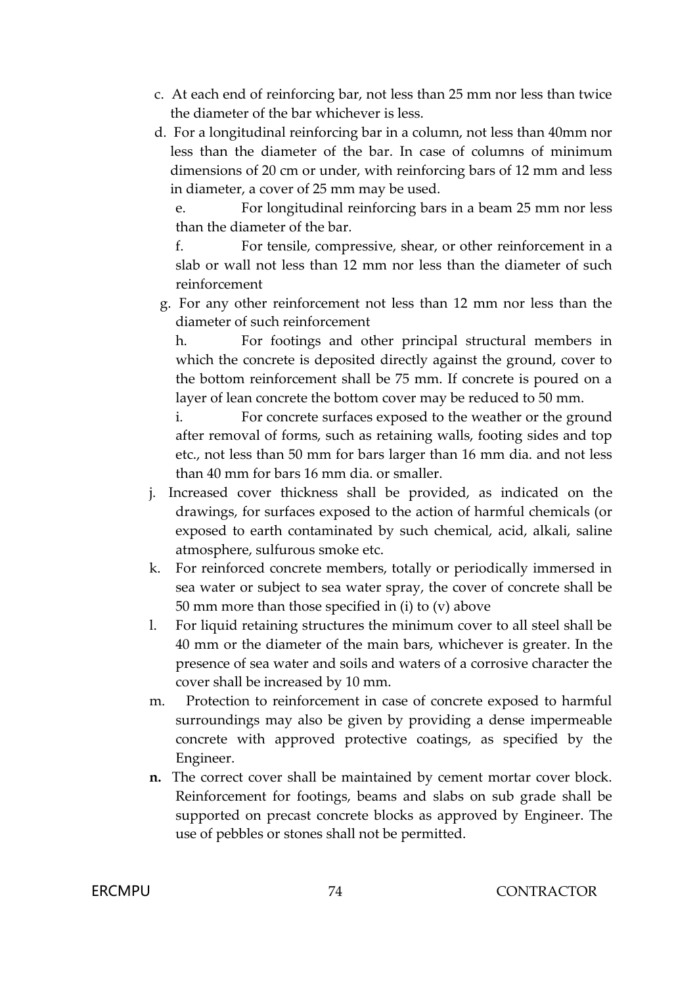- c. At each end of reinforcing bar, not less than 25 mm nor less than twice the diameter of the bar whichever is less.
- d. For a longitudinal reinforcing bar in a column, not less than 40mm nor less than the diameter of the bar. In case of columns of minimum dimensions of 20 cm or under, with reinforcing bars of 12 mm and less in diameter, a cover of 25 mm may be used.

e. For longitudinal reinforcing bars in a beam 25 mm nor less than the diameter of the bar.

f. For tensile, compressive, shear, or other reinforcement in a slab or wall not less than 12 mm nor less than the diameter of such reinforcement

g. For any other reinforcement not less than 12 mm nor less than the diameter of such reinforcement

h. For footings and other principal structural members in which the concrete is deposited directly against the ground, cover to the bottom reinforcement shall be 75 mm. If concrete is poured on a layer of lean concrete the bottom cover may be reduced to 50 mm.

i. For concrete surfaces exposed to the weather or the ground after removal of forms, such as retaining walls, footing sides and top etc., not less than 50 mm for bars larger than 16 mm dia. and not less than 40 mm for bars 16 mm dia. or smaller.

- j. Increased cover thickness shall be provided, as indicated on the drawings, for surfaces exposed to the action of harmful chemicals (or exposed to earth contaminated by such chemical, acid, alkali, saline atmosphere, sulfurous smoke etc.
- k. For reinforced concrete members, totally or periodically immersed in sea water or subject to sea water spray, the cover of concrete shall be 50 mm more than those specified in (i) to (v) above
- l. For liquid retaining structures the minimum cover to all steel shall be 40 mm or the diameter of the main bars, whichever is greater. In the presence of sea water and soils and waters of a corrosive character the cover shall be increased by 10 mm.
- m. Protection to reinforcement in case of concrete exposed to harmful surroundings may also be given by providing a dense impermeable concrete with approved protective coatings, as specified by the Engineer.
- **n.** The correct cover shall be maintained by cement mortar cover block. Reinforcement for footings, beams and slabs on sub grade shall be supported on precast concrete blocks as approved by Engineer. The use of pebbles or stones shall not be permitted.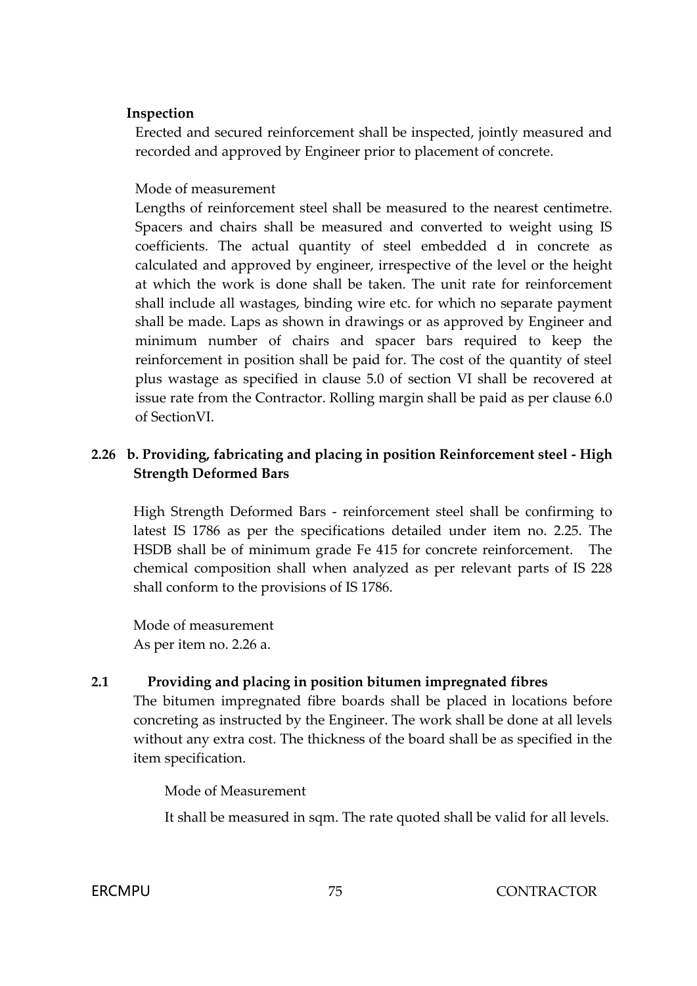### **Inspection**

Erected and secured reinforcement shall be inspected, jointly measured and recorded and approved by Engineer prior to placement of concrete.

## Mode of measurement

Lengths of reinforcement steel shall be measured to the nearest centimetre. Spacers and chairs shall be measured and converted to weight using IS coefficients. The actual quantity of steel embedded d in concrete as calculated and approved by engineer, irrespective of the level or the height at which the work is done shall be taken. The unit rate for reinforcement shall include all wastages, binding wire etc. for which no separate payment shall be made. Laps as shown in drawings or as approved by Engineer and minimum number of chairs and spacer bars required to keep the reinforcement in position shall be paid for. The cost of the quantity of steel plus wastage as specified in clause 5.0 of section VI shall be recovered at issue rate from the Contractor. Rolling margin shall be paid as per clause 6.0 of SectionVI.

# **2.26 b. Providing, fabricating and placing in position Reinforcement steel - High Strength Deformed Bars**

High Strength Deformed Bars - reinforcement steel shall be confirming to latest IS 1786 as per the specifications detailed under item no. 2.25. The HSDB shall be of minimum grade Fe 415 for concrete reinforcement. The chemical composition shall when analyzed as per relevant parts of IS 228 shall conform to the provisions of IS 1786.

Mode of measurement As per item no. 2.26 a.

# **2.1 Providing and placing in position bitumen impregnated fibres**

The bitumen impregnated fibre boards shall be placed in locations before concreting as instructed by the Engineer. The work shall be done at all levels without any extra cost. The thickness of the board shall be as specified in the item specification.

Mode of Measurement

It shall be measured in sqm. The rate quoted shall be valid for all levels.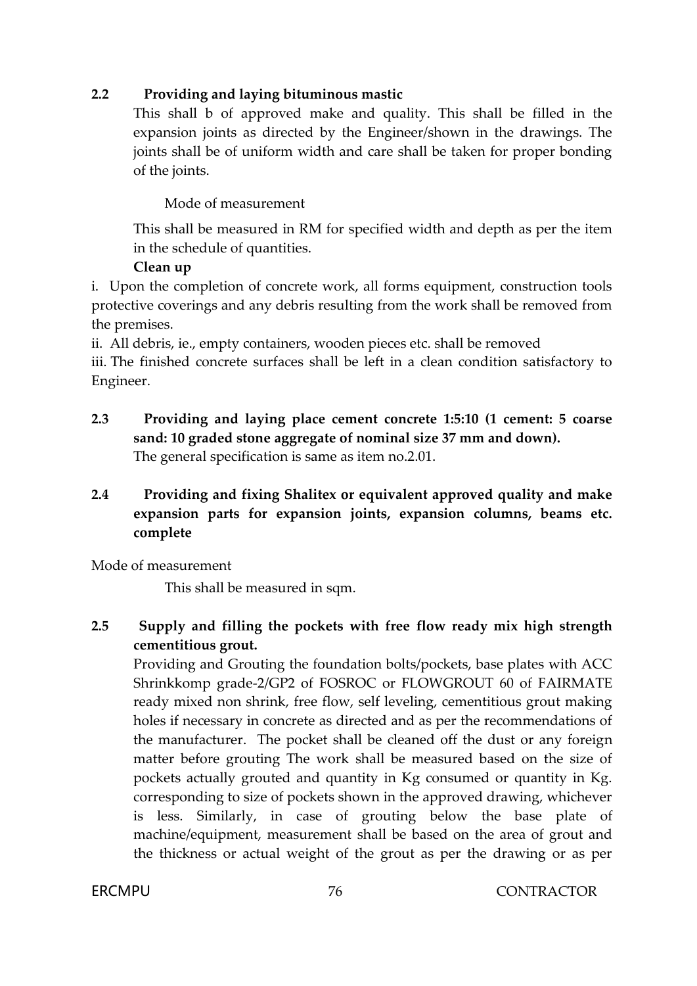# **2.2 Providing and laying bituminous mastic**

This shall b of approved make and quality. This shall be filled in the expansion joints as directed by the Engineer/shown in the drawings. The joints shall be of uniform width and care shall be taken for proper bonding of the joints.

# Mode of measurement

This shall be measured in RM for specified width and depth as per the item in the schedule of quantities.

# **Clean up**

i. Upon the completion of concrete work, all forms equipment, construction tools protective coverings and any debris resulting from the work shall be removed from the premises.

ii. All debris, ie., empty containers, wooden pieces etc. shall be removed

iii. The finished concrete surfaces shall be left in a clean condition satisfactory to Engineer.

- **2.3 Providing and laying place cement concrete 1:5:10 (1 cement: 5 coarse sand: 10 graded stone aggregate of nominal size 37 mm and down).** The general specification is same as item no.2.01.
- **2.4 Providing and fixing Shalitex or equivalent approved quality and make expansion parts for expansion joints, expansion columns, beams etc. complete**

Mode of measurement

This shall be measured in sqm.

# **2.5 Supply and filling the pockets with free flow ready mix high strength cementitious grout.**

Providing and Grouting the foundation bolts/pockets, base plates with ACC Shrinkkomp grade-2/GP2 of FOSROC or FLOWGROUT 60 of FAIRMATE ready mixed non shrink, free flow, self leveling, cementitious grout making holes if necessary in concrete as directed and as per the recommendations of the manufacturer. The pocket shall be cleaned off the dust or any foreign matter before grouting The work shall be measured based on the size of pockets actually grouted and quantity in Kg consumed or quantity in Kg. corresponding to size of pockets shown in the approved drawing, whichever is less. Similarly, in case of grouting below the base plate of machine/equipment, measurement shall be based on the area of grout and the thickness or actual weight of the grout as per the drawing or as per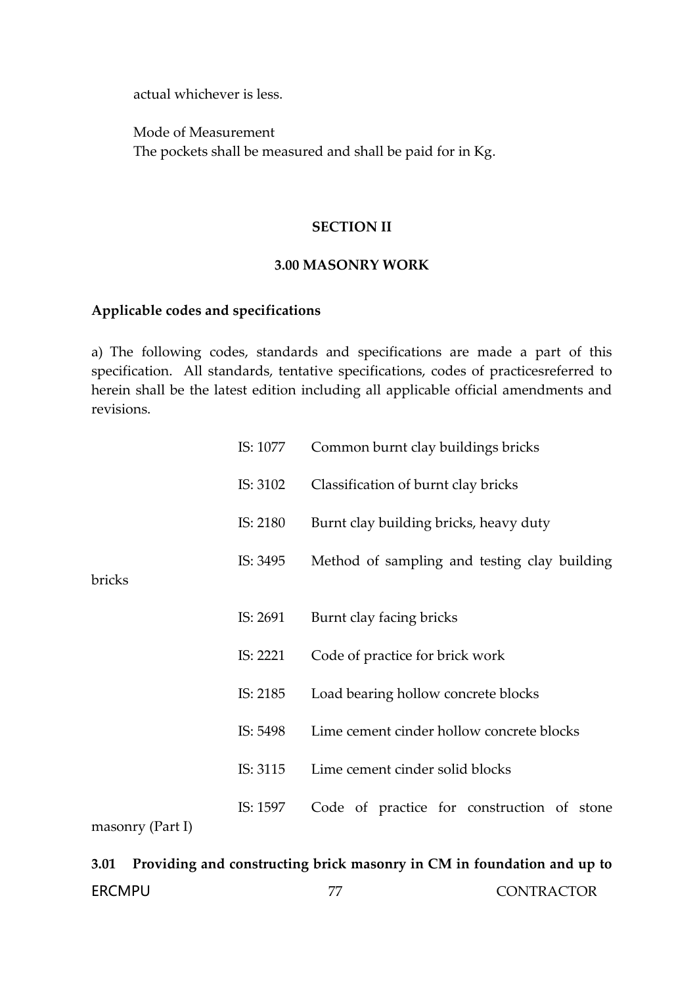actual whichever is less.

Mode of Measurement The pockets shall be measured and shall be paid for in Kg.

#### **SECTION II**

#### **3.00 MASONRY WORK**

## **Applicable codes and specifications**

a) The following codes, standards and specifications are made a part of this specification. All standards, tentative specifications, codes of practicesreferred to herein shall be the latest edition including all applicable official amendments and revisions.

|                    | IS: 1077 | Common burnt clay buildings bricks           |  |  |  |  |  |
|--------------------|----------|----------------------------------------------|--|--|--|--|--|
|                    | IS: 3102 | Classification of burnt clay bricks          |  |  |  |  |  |
|                    | IS: 2180 | Burnt clay building bricks, heavy duty       |  |  |  |  |  |
| bricks             | IS: 3495 | Method of sampling and testing clay building |  |  |  |  |  |
|                    | IS: 2691 | Burnt clay facing bricks                     |  |  |  |  |  |
|                    | IS: 2221 | Code of practice for brick work              |  |  |  |  |  |
|                    | IS: 2185 | Load bearing hollow concrete blocks          |  |  |  |  |  |
|                    | IS: 5498 | Lime cement cinder hollow concrete blocks    |  |  |  |  |  |
|                    | IS: 3115 | Lime cement cinder solid blocks              |  |  |  |  |  |
| $maxonry$ (Part I) | IS: 1597 | Code of practice for construction of stone   |  |  |  |  |  |

# ERCMPU 77 CONTRACTOR **3.01 Providing and constructing brick masonry in CM in foundation and up to**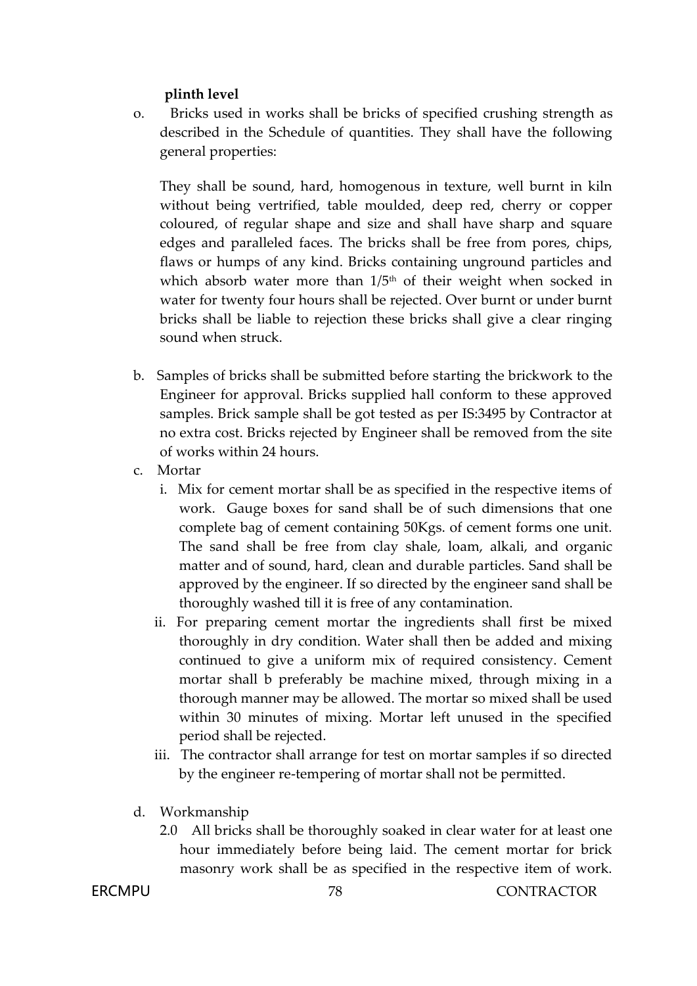# **plinth level**

o. Bricks used in works shall be bricks of specified crushing strength as described in the Schedule of quantities. They shall have the following general properties:

They shall be sound, hard, homogenous in texture, well burnt in kiln without being vertrified, table moulded, deep red, cherry or copper coloured, of regular shape and size and shall have sharp and square edges and paralleled faces. The bricks shall be free from pores, chips, flaws or humps of any kind. Bricks containing unground particles and which absorb water more than  $1/5<sup>th</sup>$  of their weight when socked in water for twenty four hours shall be rejected. Over burnt or under burnt bricks shall be liable to rejection these bricks shall give a clear ringing sound when struck.

- b. Samples of bricks shall be submitted before starting the brickwork to the Engineer for approval. Bricks supplied hall conform to these approved samples. Brick sample shall be got tested as per IS:3495 by Contractor at no extra cost. Bricks rejected by Engineer shall be removed from the site of works within 24 hours.
- c. Mortar
	- i. Mix for cement mortar shall be as specified in the respective items of work. Gauge boxes for sand shall be of such dimensions that one complete bag of cement containing 50Kgs. of cement forms one unit. The sand shall be free from clay shale, loam, alkali, and organic matter and of sound, hard, clean and durable particles. Sand shall be approved by the engineer. If so directed by the engineer sand shall be thoroughly washed till it is free of any contamination.
	- ii. For preparing cement mortar the ingredients shall first be mixed thoroughly in dry condition. Water shall then be added and mixing continued to give a uniform mix of required consistency. Cement mortar shall b preferably be machine mixed, through mixing in a thorough manner may be allowed. The mortar so mixed shall be used within 30 minutes of mixing. Mortar left unused in the specified period shall be rejected.
	- iii. The contractor shall arrange for test on mortar samples if so directed by the engineer re-tempering of mortar shall not be permitted.
- d. Workmanship
	- 2.0 All bricks shall be thoroughly soaked in clear water for at least one hour immediately before being laid. The cement mortar for brick masonry work shall be as specified in the respective item of work.

**ERCMPU** 78 CONTRACTOR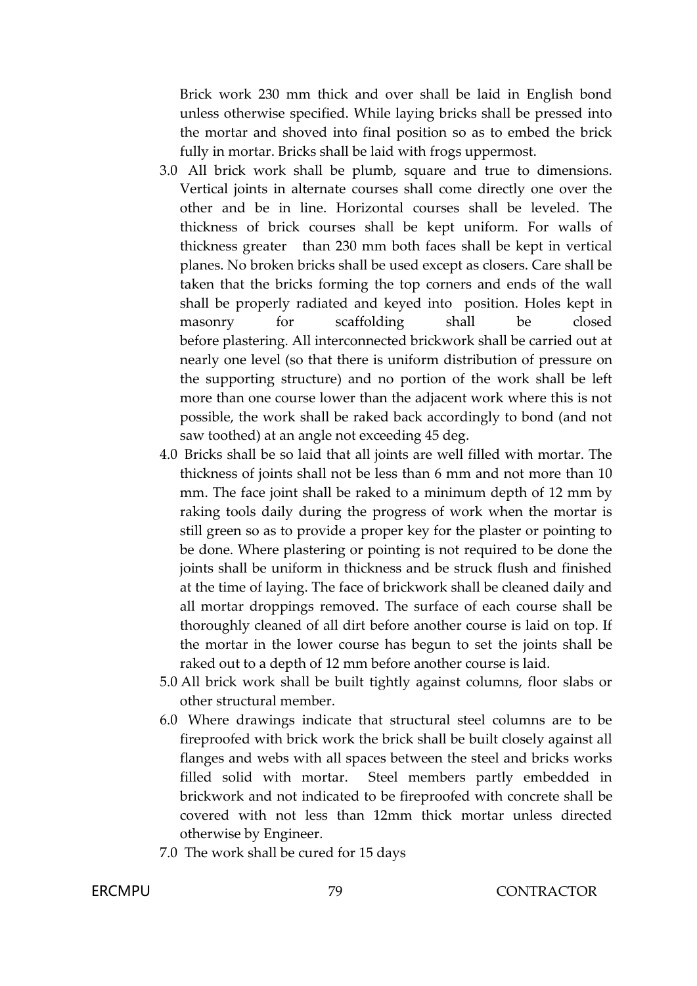Brick work 230 mm thick and over shall be laid in English bond unless otherwise specified. While laying bricks shall be pressed into the mortar and shoved into final position so as to embed the brick fully in mortar. Bricks shall be laid with frogs uppermost.

- 3.0 All brick work shall be plumb, square and true to dimensions. Vertical joints in alternate courses shall come directly one over the other and be in line. Horizontal courses shall be leveled. The thickness of brick courses shall be kept uniform. For walls of thickness greater than 230 mm both faces shall be kept in vertical planes. No broken bricks shall be used except as closers. Care shall be taken that the bricks forming the top corners and ends of the wall shall be properly radiated and keyed into position. Holes kept in masonry for scaffolding shall be closed before plastering. All interconnected brickwork shall be carried out at nearly one level (so that there is uniform distribution of pressure on the supporting structure) and no portion of the work shall be left more than one course lower than the adjacent work where this is not possible, the work shall be raked back accordingly to bond (and not saw toothed) at an angle not exceeding 45 deg.
- 4.0 Bricks shall be so laid that all joints are well filled with mortar. The thickness of joints shall not be less than 6 mm and not more than 10 mm. The face joint shall be raked to a minimum depth of 12 mm by raking tools daily during the progress of work when the mortar is still green so as to provide a proper key for the plaster or pointing to be done. Where plastering or pointing is not required to be done the joints shall be uniform in thickness and be struck flush and finished at the time of laying. The face of brickwork shall be cleaned daily and all mortar droppings removed. The surface of each course shall be thoroughly cleaned of all dirt before another course is laid on top. If the mortar in the lower course has begun to set the joints shall be raked out to a depth of 12 mm before another course is laid.
- 5.0 All brick work shall be built tightly against columns, floor slabs or other structural member.
- 6.0 Where drawings indicate that structural steel columns are to be fireproofed with brick work the brick shall be built closely against all flanges and webs with all spaces between the steel and bricks works filled solid with mortar. Steel members partly embedded in brickwork and not indicated to be fireproofed with concrete shall be covered with not less than 12mm thick mortar unless directed otherwise by Engineer.
- 7.0 The work shall be cured for 15 days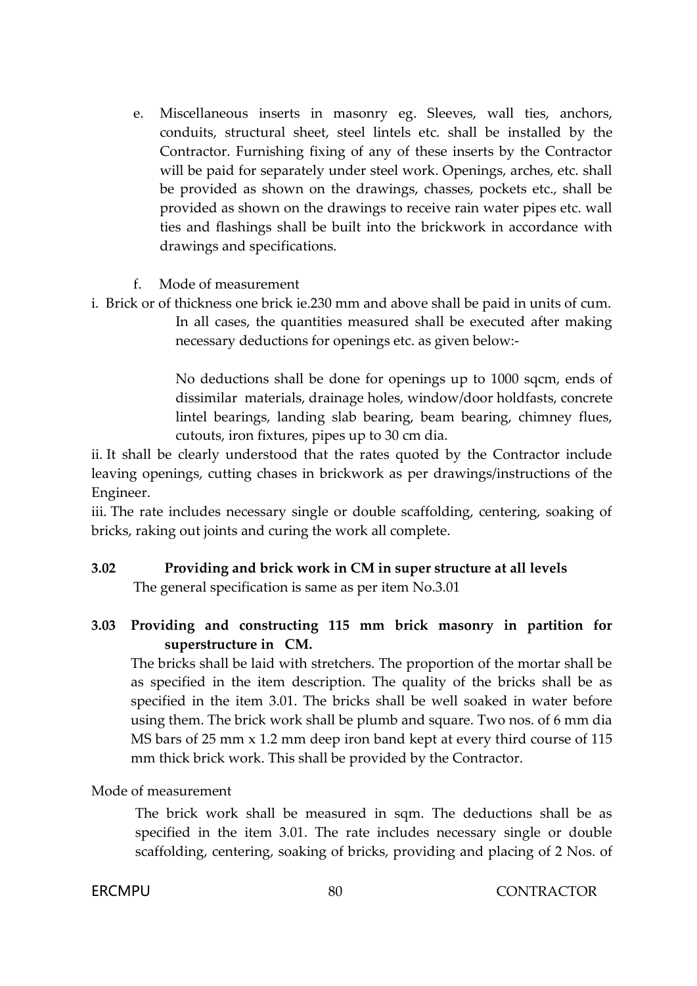- e. Miscellaneous inserts in masonry eg. Sleeves, wall ties, anchors, conduits, structural sheet, steel lintels etc. shall be installed by the Contractor. Furnishing fixing of any of these inserts by the Contractor will be paid for separately under steel work. Openings, arches, etc. shall be provided as shown on the drawings, chasses, pockets etc., shall be provided as shown on the drawings to receive rain water pipes etc. wall ties and flashings shall be built into the brickwork in accordance with drawings and specifications.
- f. Mode of measurement
- i. Brick or of thickness one brick ie.230 mm and above shall be paid in units of cum. In all cases, the quantities measured shall be executed after making necessary deductions for openings etc. as given below:-

No deductions shall be done for openings up to 1000 sqcm, ends of dissimilar materials, drainage holes, window/door holdfasts, concrete lintel bearings, landing slab bearing, beam bearing, chimney flues, cutouts, iron fixtures, pipes up to 30 cm dia.

ii. It shall be clearly understood that the rates quoted by the Contractor include leaving openings, cutting chases in brickwork as per drawings/instructions of the Engineer.

iii. The rate includes necessary single or double scaffolding, centering, soaking of bricks, raking out joints and curing the work all complete.

# **3.02 Providing and brick work in CM in super structure at all levels**

The general specification is same as per item No.3.01

# **3.03 Providing and constructing 115 mm brick masonry in partition for superstructure in CM.**

The bricks shall be laid with stretchers. The proportion of the mortar shall be as specified in the item description. The quality of the bricks shall be as specified in the item 3.01. The bricks shall be well soaked in water before using them. The brick work shall be plumb and square. Two nos. of 6 mm dia MS bars of 25 mm x 1.2 mm deep iron band kept at every third course of 115 mm thick brick work. This shall be provided by the Contractor.

# Mode of measurement

The brick work shall be measured in sqm. The deductions shall be as specified in the item 3.01. The rate includes necessary single or double scaffolding, centering, soaking of bricks, providing and placing of 2 Nos. of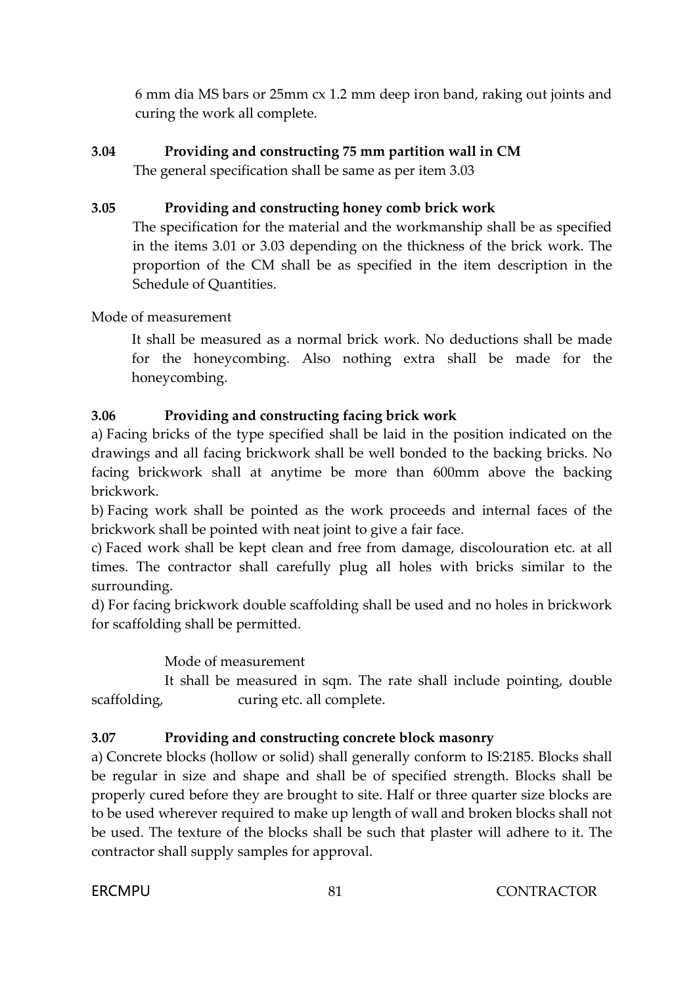6 mm dia MS bars or 25mm cx 1.2 mm deep iron band, raking out joints and curing the work all complete.

# **3.04 Providing and constructing 75 mm partition wall in CM**

The general specification shall be same as per item 3.03

# **3.05 Providing and constructing honey comb brick work**

The specification for the material and the workmanship shall be as specified in the items 3.01 or 3.03 depending on the thickness of the brick work. The proportion of the CM shall be as specified in the item description in the Schedule of Quantities.

Mode of measurement

It shall be measured as a normal brick work. No deductions shall be made for the honeycombing. Also nothing extra shall be made for the honeycombing.

# **3.06 Providing and constructing facing brick work**

a) Facing bricks of the type specified shall be laid in the position indicated on the drawings and all facing brickwork shall be well bonded to the backing bricks. No facing brickwork shall at anytime be more than 600mm above the backing brickwork.

b) Facing work shall be pointed as the work proceeds and internal faces of the brickwork shall be pointed with neat joint to give a fair face.

c) Faced work shall be kept clean and free from damage, discolouration etc. at all times. The contractor shall carefully plug all holes with bricks similar to the surrounding.

d) For facing brickwork double scaffolding shall be used and no holes in brickwork for scaffolding shall be permitted.

Mode of measurement

It shall be measured in sqm. The rate shall include pointing, double scaffolding, curing etc. all complete.

# **3.07 Providing and constructing concrete block masonry**

a) Concrete blocks (hollow or solid) shall generally conform to IS:2185. Blocks shall be regular in size and shape and shall be of specified strength. Blocks shall be properly cured before they are brought to site. Half or three quarter size blocks are to be used wherever required to make up length of wall and broken blocks shall not be used. The texture of the blocks shall be such that plaster will adhere to it. The contractor shall supply samples for approval.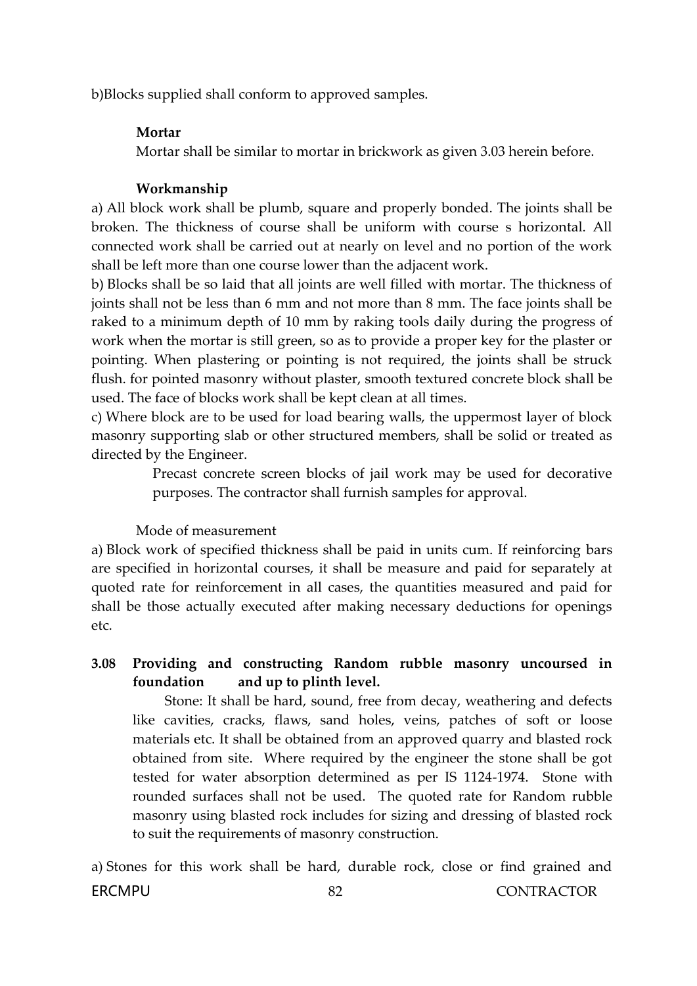b)Blocks supplied shall conform to approved samples.

# **Mortar**

Mortar shall be similar to mortar in brickwork as given 3.03 herein before.

# **Workmanship**

a) All block work shall be plumb, square and properly bonded. The joints shall be broken. The thickness of course shall be uniform with course s horizontal. All connected work shall be carried out at nearly on level and no portion of the work shall be left more than one course lower than the adjacent work.

b) Blocks shall be so laid that all joints are well filled with mortar. The thickness of joints shall not be less than 6 mm and not more than 8 mm. The face joints shall be raked to a minimum depth of 10 mm by raking tools daily during the progress of work when the mortar is still green, so as to provide a proper key for the plaster or pointing. When plastering or pointing is not required, the joints shall be struck flush. for pointed masonry without plaster, smooth textured concrete block shall be used. The face of blocks work shall be kept clean at all times.

c) Where block are to be used for load bearing walls, the uppermost layer of block masonry supporting slab or other structured members, shall be solid or treated as directed by the Engineer.

> Precast concrete screen blocks of jail work may be used for decorative purposes. The contractor shall furnish samples for approval.

### Mode of measurement

a) Block work of specified thickness shall be paid in units cum. If reinforcing bars are specified in horizontal courses, it shall be measure and paid for separately at quoted rate for reinforcement in all cases, the quantities measured and paid for shall be those actually executed after making necessary deductions for openings etc.

**3.08 Providing and constructing Random rubble masonry uncoursed in foundation and up to plinth level.**

Stone: It shall be hard, sound, free from decay, weathering and defects like cavities, cracks, flaws, sand holes, veins, patches of soft or loose materials etc. It shall be obtained from an approved quarry and blasted rock obtained from site. Where required by the engineer the stone shall be got tested for water absorption determined as per IS 1124-1974. Stone with rounded surfaces shall not be used. The quoted rate for Random rubble masonry using blasted rock includes for sizing and dressing of blasted rock to suit the requirements of masonry construction.

FRCMPU 82 82 CONTRACTOR a) Stones for this work shall be hard, durable rock, close or find grained and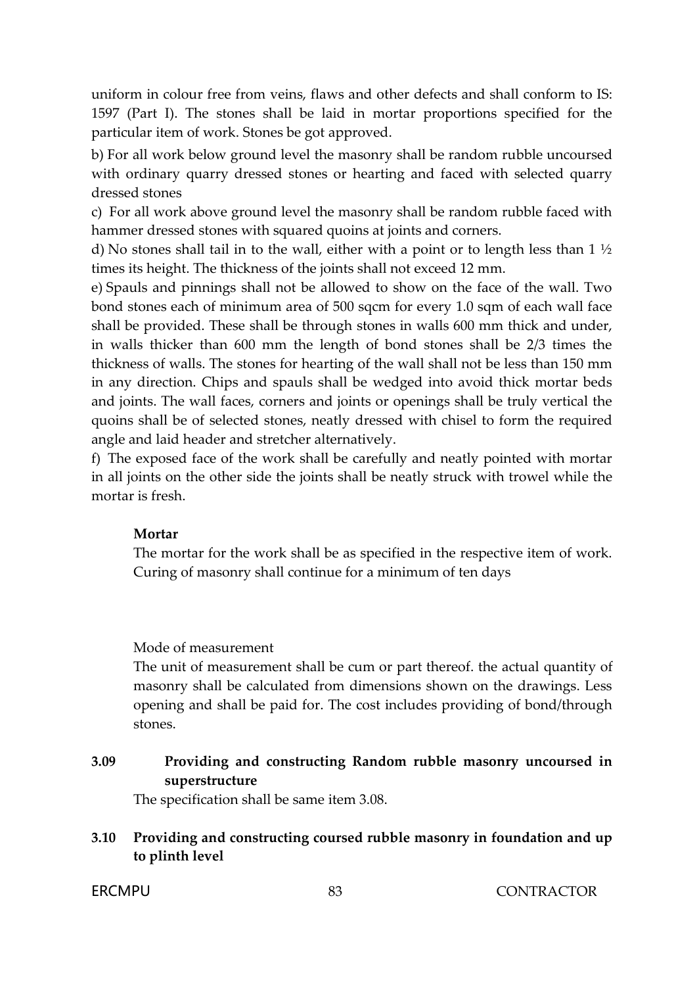uniform in colour free from veins, flaws and other defects and shall conform to IS: 1597 (Part I). The stones shall be laid in mortar proportions specified for the particular item of work. Stones be got approved.

b) For all work below ground level the masonry shall be random rubble uncoursed with ordinary quarry dressed stones or hearting and faced with selected quarry dressed stones

c) For all work above ground level the masonry shall be random rubble faced with hammer dressed stones with squared quoins at joints and corners.

d) No stones shall tail in to the wall, either with a point or to length less than 1 ½ times its height. The thickness of the joints shall not exceed 12 mm.

e) Spauls and pinnings shall not be allowed to show on the face of the wall. Two bond stones each of minimum area of 500 sqcm for every 1.0 sqm of each wall face shall be provided. These shall be through stones in walls 600 mm thick and under, in walls thicker than 600 mm the length of bond stones shall be 2/3 times the thickness of walls. The stones for hearting of the wall shall not be less than 150 mm in any direction. Chips and spauls shall be wedged into avoid thick mortar beds and joints. The wall faces, corners and joints or openings shall be truly vertical the quoins shall be of selected stones, neatly dressed with chisel to form the required angle and laid header and stretcher alternatively.

f) The exposed face of the work shall be carefully and neatly pointed with mortar in all joints on the other side the joints shall be neatly struck with trowel while the mortar is fresh.

# **Mortar**

The mortar for the work shall be as specified in the respective item of work. Curing of masonry shall continue for a minimum of ten days

### Mode of measurement

The unit of measurement shall be cum or part thereof. the actual quantity of masonry shall be calculated from dimensions shown on the drawings. Less opening and shall be paid for. The cost includes providing of bond/through stones.

# **3.09 Providing and constructing Random rubble masonry uncoursed in superstructure**

The specification shall be same item 3.08.

# **3.10 Providing and constructing coursed rubble masonry in foundation and up to plinth level**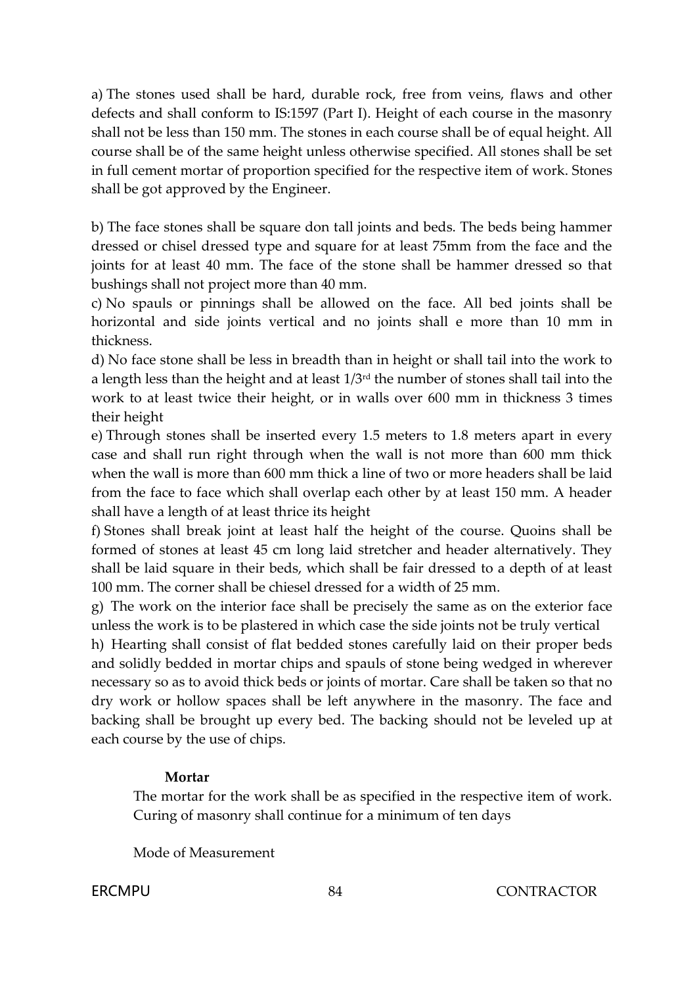a) The stones used shall be hard, durable rock, free from veins, flaws and other defects and shall conform to IS:1597 (Part I). Height of each course in the masonry shall not be less than 150 mm. The stones in each course shall be of equal height. All course shall be of the same height unless otherwise specified. All stones shall be set in full cement mortar of proportion specified for the respective item of work. Stones shall be got approved by the Engineer.

b) The face stones shall be square don tall joints and beds. The beds being hammer dressed or chisel dressed type and square for at least 75mm from the face and the joints for at least 40 mm. The face of the stone shall be hammer dressed so that bushings shall not project more than 40 mm.

c) No spauls or pinnings shall be allowed on the face. All bed joints shall be horizontal and side joints vertical and no joints shall e more than 10 mm in thickness.

d) No face stone shall be less in breadth than in height or shall tail into the work to a length less than the height and at least 1/3rd the number of stones shall tail into the work to at least twice their height, or in walls over 600 mm in thickness 3 times their height

e) Through stones shall be inserted every 1.5 meters to 1.8 meters apart in every case and shall run right through when the wall is not more than 600 mm thick when the wall is more than 600 mm thick a line of two or more headers shall be laid from the face to face which shall overlap each other by at least 150 mm. A header shall have a length of at least thrice its height

f) Stones shall break joint at least half the height of the course. Quoins shall be formed of stones at least 45 cm long laid stretcher and header alternatively. They shall be laid square in their beds, which shall be fair dressed to a depth of at least 100 mm. The corner shall be chiesel dressed for a width of 25 mm.

g) The work on the interior face shall be precisely the same as on the exterior face unless the work is to be plastered in which case the side joints not be truly vertical

h) Hearting shall consist of flat bedded stones carefully laid on their proper beds and solidly bedded in mortar chips and spauls of stone being wedged in wherever necessary so as to avoid thick beds or joints of mortar. Care shall be taken so that no dry work or hollow spaces shall be left anywhere in the masonry. The face and backing shall be brought up every bed. The backing should not be leveled up at each course by the use of chips.

# **Mortar**

The mortar for the work shall be as specified in the respective item of work. Curing of masonry shall continue for a minimum of ten days

Mode of Measurement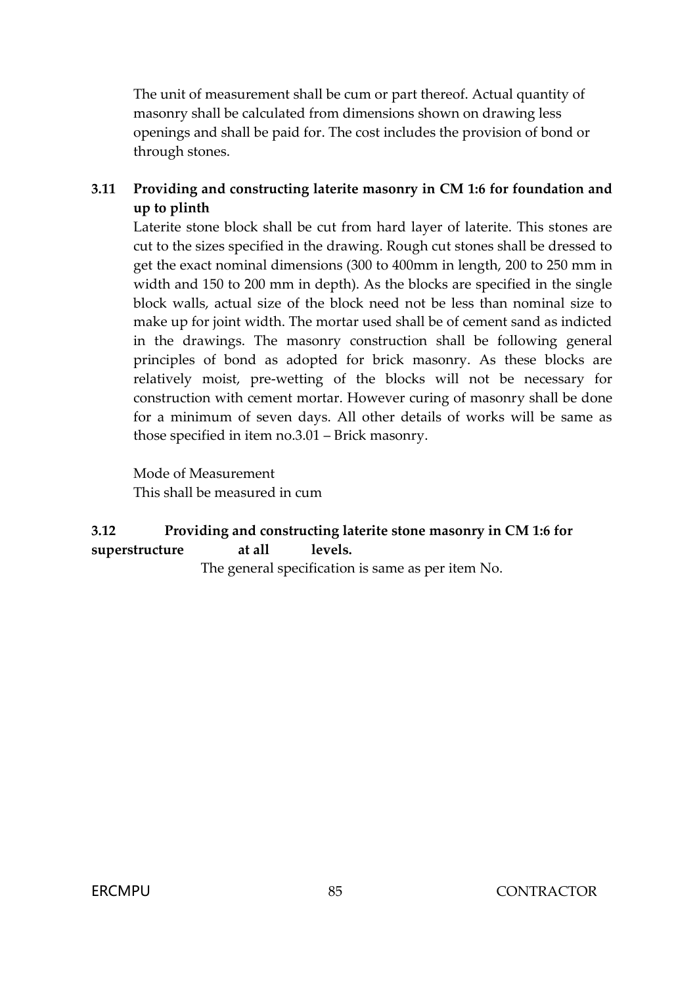The unit of measurement shall be cum or part thereof. Actual quantity of masonry shall be calculated from dimensions shown on drawing less openings and shall be paid for. The cost includes the provision of bond or through stones.

# **3.11 Providing and constructing laterite masonry in CM 1:6 for foundation and up to plinth**

Laterite stone block shall be cut from hard layer of laterite. This stones are cut to the sizes specified in the drawing. Rough cut stones shall be dressed to get the exact nominal dimensions (300 to 400mm in length, 200 to 250 mm in width and 150 to 200 mm in depth). As the blocks are specified in the single block walls, actual size of the block need not be less than nominal size to make up for joint width. The mortar used shall be of cement sand as indicted in the drawings. The masonry construction shall be following general principles of bond as adopted for brick masonry. As these blocks are relatively moist, pre-wetting of the blocks will not be necessary for construction with cement mortar. However curing of masonry shall be done for a minimum of seven days. All other details of works will be same as those specified in item no.3.01 – Brick masonry.

Mode of Measurement This shall be measured in cum

# **3.12 Providing and constructing laterite stone masonry in CM 1:6 for superstructure at all levels.**

The general specification is same as per item No.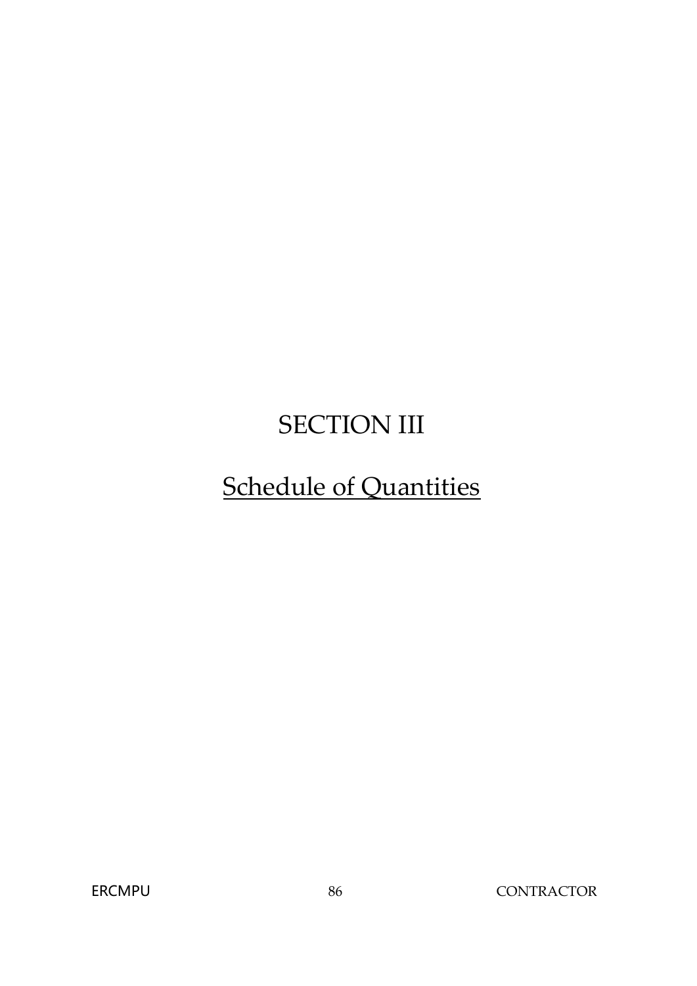# SECTION III

# Schedule of Quantities